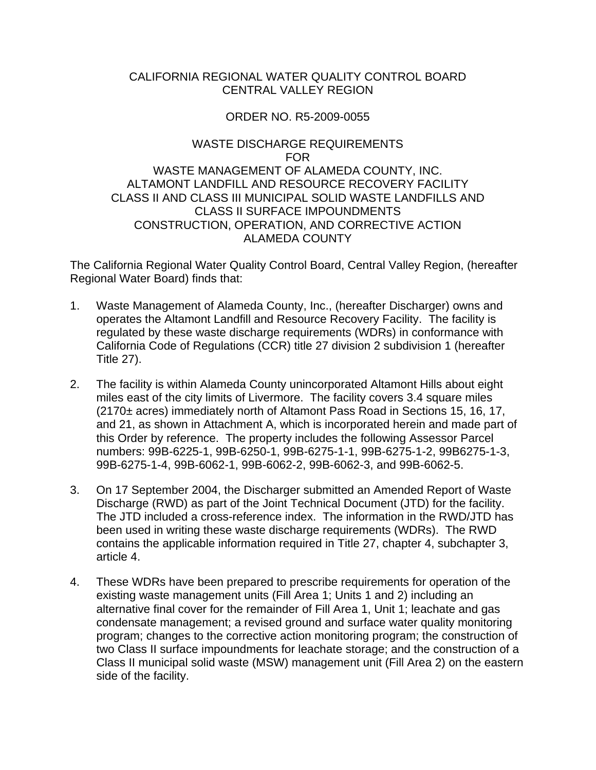### CALIFORNIA REGIONAL WATER QUALITY CONTROL BOARD CENTRAL VALLEY REGION

### ORDER NO. R5-2009-0055

### WASTE DISCHARGE REQUIREMENTS FOR WASTE MANAGEMENT OF ALAMEDA COUNTY, INC. ALTAMONT LANDFILL AND RESOURCE RECOVERY FACILITY CLASS II AND CLASS III MUNICIPAL SOLID WASTE LANDFILLS AND CLASS II SURFACE IMPOUNDMENTS CONSTRUCTION, OPERATION, AND CORRECTIVE ACTION ALAMEDA COUNTY

The California Regional Water Quality Control Board, Central Valley Region, (hereafter Regional Water Board) finds that:

- 1. Waste Management of Alameda County, Inc., (hereafter Discharger) owns and operates the Altamont Landfill and Resource Recovery Facility. The facility is regulated by these waste discharge requirements (WDRs) in conformance with California Code of Regulations (CCR) title 27 division 2 subdivision 1 (hereafter Title 27).
- 2. The facility is within Alameda County unincorporated Altamont Hills about eight miles east of the city limits of Livermore. The facility covers 3.4 square miles (2170± acres) immediately north of Altamont Pass Road in Sections 15, 16, 17, and 21, as shown in Attachment A, which is incorporated herein and made part of this Order by reference. The property includes the following Assessor Parcel numbers: 99B-6225-1, 99B-6250-1, 99B-6275-1-1, 99B-6275-1-2, 99B6275-1-3, 99B-6275-1-4, 99B-6062-1, 99B-6062-2, 99B-6062-3, and 99B-6062-5.
- 3. On 17 September 2004, the Discharger submitted an Amended Report of Waste Discharge (RWD) as part of the Joint Technical Document (JTD) for the facility. The JTD included a cross-reference index. The information in the RWD/JTD has been used in writing these waste discharge requirements (WDRs). The RWD contains the applicable information required in Title 27, chapter 4, subchapter 3, article 4.
- 4. These WDRs have been prepared to prescribe requirements for operation of the existing waste management units (Fill Area 1; Units 1 and 2) including an alternative final cover for the remainder of Fill Area 1, Unit 1; leachate and gas condensate management; a revised ground and surface water quality monitoring program; changes to the corrective action monitoring program; the construction of two Class II surface impoundments for leachate storage; and the construction of a Class II municipal solid waste (MSW) management unit (Fill Area 2) on the eastern side of the facility.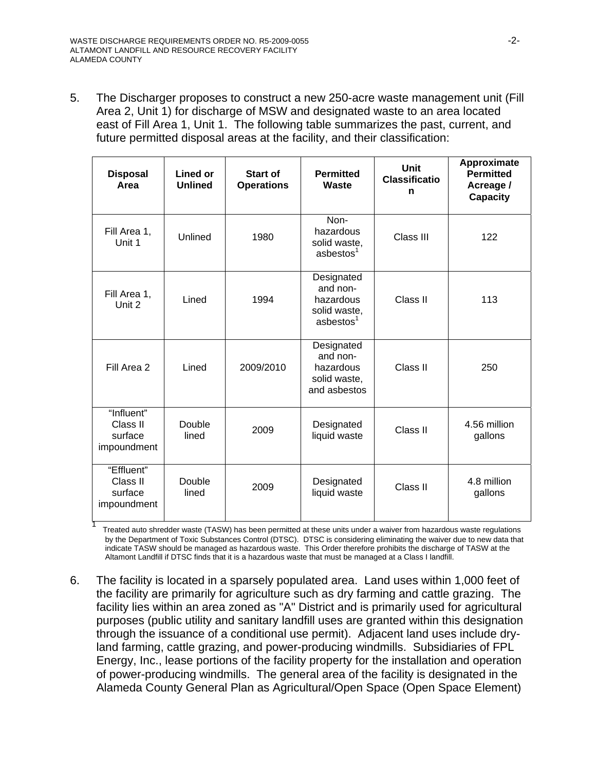1

5. The Discharger proposes to construct a new 250-acre waste management unit (Fill Area 2, Unit 1) for discharge of MSW and designated waste to an area located east of Fill Area 1, Unit 1. The following table summarizes the past, current, and future permitted disposal areas at the facility, and their classification:

| <b>Disposal</b><br>Area                          | Lined or<br><b>Unlined</b> | Start of<br><b>Operations</b> | <b>Permitted</b><br>Waste                                                    | <b>Unit</b><br><b>Classificatio</b><br>n | Approximate<br><b>Permitted</b><br>Acreage /<br><b>Capacity</b> |
|--------------------------------------------------|----------------------------|-------------------------------|------------------------------------------------------------------------------|------------------------------------------|-----------------------------------------------------------------|
| Fill Area 1,<br>Unit 1                           | Unlined                    | 1980                          | Non-<br>hazardous<br>solid waste,<br>asbestos <sup>1</sup>                   | Class III                                | 122                                                             |
| Fill Area 1,<br>Unit 2                           | Lined                      | 1994                          | Designated<br>and non-<br>hazardous<br>solid waste,<br>asbestos <sup>1</sup> | Class II                                 | 113                                                             |
| Fill Area 2                                      | Lined                      | 2009/2010                     | Designated<br>and non-<br>hazardous<br>solid waste,<br>and asbestos          | Class II                                 | 250                                                             |
| "Influent"<br>Class II<br>surface<br>impoundment | Double<br>lined            | 2009                          | Designated<br>liquid waste                                                   | Class II                                 | 4.56 million<br>gallons                                         |
| "Effluent"<br>Class II<br>surface<br>impoundment | Double<br>lined            | 2009                          | Designated<br>liquid waste                                                   | Class II                                 | 4.8 million<br>gallons                                          |

 Treated auto shredder waste (TASW) has been permitted at these units under a waiver from hazardous waste regulations by the Department of Toxic Substances Control (DTSC). DTSC is considering eliminating the waiver due to new data that indicate TASW should be managed as hazardous waste. This Order therefore prohibits the discharge of TASW at the Altamont Landfill if DTSC finds that it is a hazardous waste that must be managed at a Class I landfill.

6. The facility is located in a sparsely populated area. Land uses within 1,000 feet of the facility are primarily for agriculture such as dry farming and cattle grazing. The facility lies within an area zoned as "A" District and is primarily used for agricultural purposes (public utility and sanitary landfill uses are granted within this designation through the issuance of a conditional use permit). Adjacent land uses include dryland farming, cattle grazing, and power-producing windmills. Subsidiaries of FPL Energy, Inc., lease portions of the facility property for the installation and operation of power-producing windmills. The general area of the facility is designated in the Alameda County General Plan as Agricultural/Open Space (Open Space Element)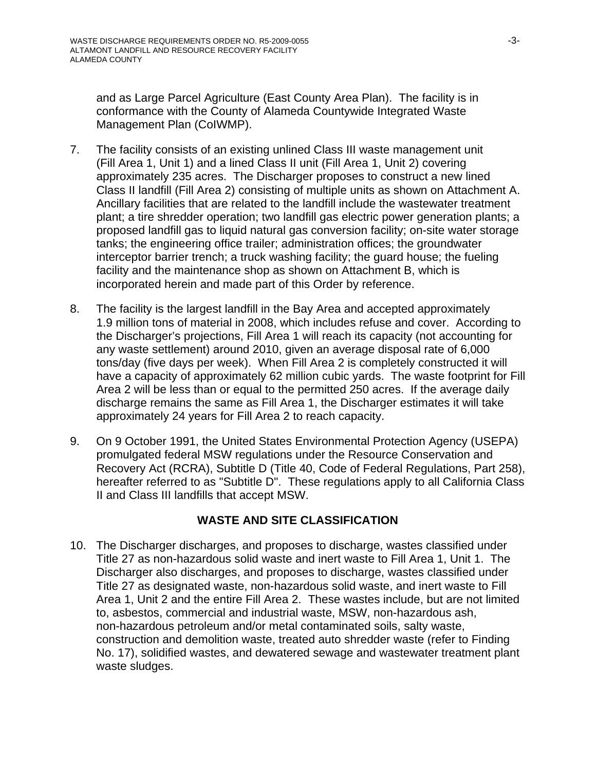and as Large Parcel Agriculture (East County Area Plan). The facility is in conformance with the County of Alameda Countywide Integrated Waste Management Plan (CoIWMP).

- 7. The facility consists of an existing unlined Class III waste management unit (Fill Area 1, Unit 1) and a lined Class II unit (Fill Area 1, Unit 2) covering approximately 235 acres. The Discharger proposes to construct a new lined Class II landfill (Fill Area 2) consisting of multiple units as shown on Attachment A. Ancillary facilities that are related to the landfill include the wastewater treatment plant; a tire shredder operation; two landfill gas electric power generation plants; a proposed landfill gas to liquid natural gas conversion facility; on-site water storage tanks; the engineering office trailer; administration offices; the groundwater interceptor barrier trench; a truck washing facility; the guard house; the fueling facility and the maintenance shop as shown on Attachment B, which is incorporated herein and made part of this Order by reference.
- 8. The facility is the largest landfill in the Bay Area and accepted approximately 1.9 million tons of material in 2008, which includes refuse and cover. According to the Discharger's projections, Fill Area 1 will reach its capacity (not accounting for any waste settlement) around 2010, given an average disposal rate of 6,000 tons/day (five days per week). When Fill Area 2 is completely constructed it will have a capacity of approximately 62 million cubic yards. The waste footprint for Fill Area 2 will be less than or equal to the permitted 250 acres. If the average daily discharge remains the same as Fill Area 1, the Discharger estimates it will take approximately 24 years for Fill Area 2 to reach capacity.
- 9. On 9 October 1991, the United States Environmental Protection Agency (USEPA) promulgated federal MSW regulations under the Resource Conservation and Recovery Act (RCRA), Subtitle D (Title 40, Code of Federal Regulations, Part 258), hereafter referred to as "Subtitle D". These regulations apply to all California Class II and Class III landfills that accept MSW.

## **WASTE AND SITE CLASSIFICATION**

10. The Discharger discharges, and proposes to discharge, wastes classified under Title 27 as non-hazardous solid waste and inert waste to Fill Area 1, Unit 1. The Discharger also discharges, and proposes to discharge, wastes classified under Title 27 as designated waste, non-hazardous solid waste, and inert waste to Fill Area 1, Unit 2 and the entire Fill Area 2. These wastes include, but are not limited to, asbestos, commercial and industrial waste, MSW, non-hazardous ash, non-hazardous petroleum and/or metal contaminated soils, salty waste, construction and demolition waste, treated auto shredder waste (refer to Finding No. 17), solidified wastes, and dewatered sewage and wastewater treatment plant waste sludges.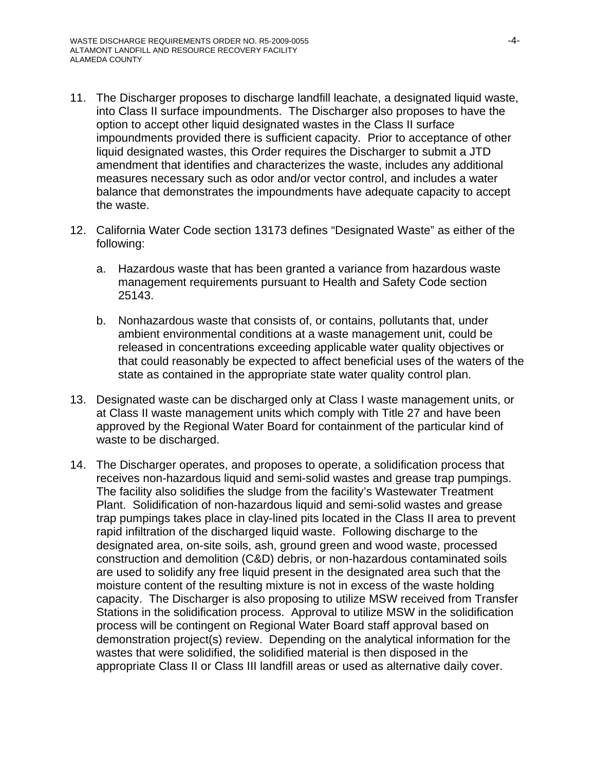- 11. The Discharger proposes to discharge landfill leachate, a designated liquid waste, into Class II surface impoundments. The Discharger also proposes to have the option to accept other liquid designated wastes in the Class II surface impoundments provided there is sufficient capacity. Prior to acceptance of other liquid designated wastes, this Order requires the Discharger to submit a JTD amendment that identifies and characterizes the waste, includes any additional measures necessary such as odor and/or vector control, and includes a water balance that demonstrates the impoundments have adequate capacity to accept the waste.
- 12. California Water Code section 13173 defines "Designated Waste" as either of the following:
	- a. Hazardous waste that has been granted a variance from hazardous waste management requirements pursuant to Health and Safety Code section 25143.
	- b. Nonhazardous waste that consists of, or contains, pollutants that, under ambient environmental conditions at a waste management unit, could be released in concentrations exceeding applicable water quality objectives or that could reasonably be expected to affect beneficial uses of the waters of the state as contained in the appropriate state water quality control plan.
- 13. Designated waste can be discharged only at Class I waste management units, or at Class II waste management units which comply with Title 27 and have been approved by the Regional Water Board for containment of the particular kind of waste to be discharged.
- 14. The Discharger operates, and proposes to operate, a solidification process that receives non-hazardous liquid and semi-solid wastes and grease trap pumpings. The facility also solidifies the sludge from the facility's Wastewater Treatment Plant. Solidification of non-hazardous liquid and semi-solid wastes and grease trap pumpings takes place in clay-lined pits located in the Class II area to prevent rapid infiltration of the discharged liquid waste. Following discharge to the designated area, on-site soils, ash, ground green and wood waste, processed construction and demolition (C&D) debris, or non-hazardous contaminated soils are used to solidify any free liquid present in the designated area such that the moisture content of the resulting mixture is not in excess of the waste holding capacity. The Discharger is also proposing to utilize MSW received from Transfer Stations in the solidification process. Approval to utilize MSW in the solidification process will be contingent on Regional Water Board staff approval based on demonstration project(s) review. Depending on the analytical information for the wastes that were solidified, the solidified material is then disposed in the appropriate Class II or Class III landfill areas or used as alternative daily cover.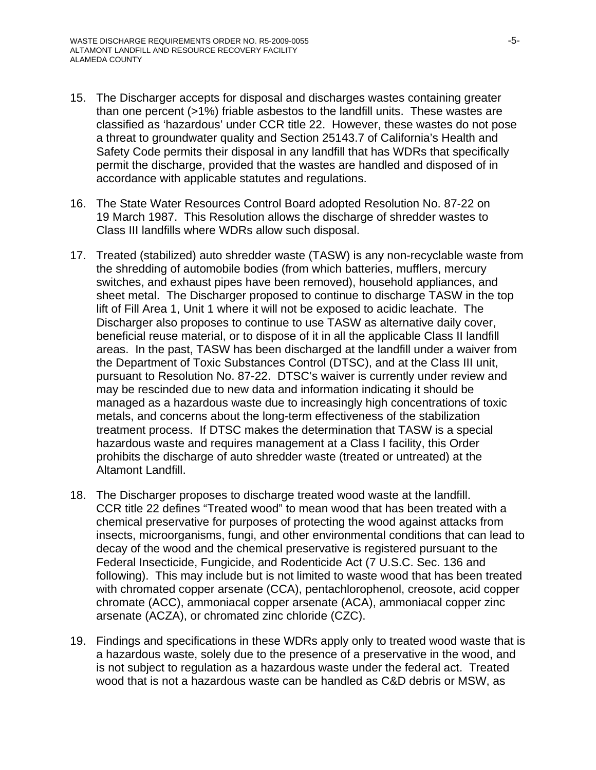- 15. The Discharger accepts for disposal and discharges wastes containing greater than one percent (>1%) friable asbestos to the landfill units. These wastes are classified as 'hazardous' under CCR title 22. However, these wastes do not pose a threat to groundwater quality and Section 25143.7 of California's Health and Safety Code permits their disposal in any landfill that has WDRs that specifically permit the discharge, provided that the wastes are handled and disposed of in accordance with applicable statutes and regulations.
- 16. The State Water Resources Control Board adopted Resolution No. 87-22 on 19 March 1987. This Resolution allows the discharge of shredder wastes to Class III landfills where WDRs allow such disposal.
- 17. Treated (stabilized) auto shredder waste (TASW) is any non-recyclable waste from the shredding of automobile bodies (from which batteries, mufflers, mercury switches, and exhaust pipes have been removed), household appliances, and sheet metal. The Discharger proposed to continue to discharge TASW in the top lift of Fill Area 1, Unit 1 where it will not be exposed to acidic leachate. The Discharger also proposes to continue to use TASW as alternative daily cover, beneficial reuse material, or to dispose of it in all the applicable Class II landfill areas. In the past, TASW has been discharged at the landfill under a waiver from the Department of Toxic Substances Control (DTSC), and at the Class III unit, pursuant to Resolution No. 87-22. DTSC's waiver is currently under review and may be rescinded due to new data and information indicating it should be managed as a hazardous waste due to increasingly high concentrations of toxic metals, and concerns about the long-term effectiveness of the stabilization treatment process. If DTSC makes the determination that TASW is a special hazardous waste and requires management at a Class I facility, this Order prohibits the discharge of auto shredder waste (treated or untreated) at the Altamont Landfill.
- 18. The Discharger proposes to discharge treated wood waste at the landfill. CCR title 22 defines "Treated wood" to mean wood that has been treated with a chemical preservative for purposes of protecting the wood against attacks from insects, microorganisms, fungi, and other environmental conditions that can lead to decay of the wood and the chemical preservative is registered pursuant to the Federal Insecticide, Fungicide, and Rodenticide Act (7 U.S.C. Sec. 136 and following). This may include but is not limited to waste wood that has been treated with chromated copper arsenate (CCA), pentachlorophenol, creosote, acid copper chromate (ACC), ammoniacal copper arsenate (ACA), ammoniacal copper zinc arsenate (ACZA), or chromated zinc chloride (CZC).
- 19. Findings and specifications in these WDRs apply only to treated wood waste that is a hazardous waste, solely due to the presence of a preservative in the wood, and is not subject to regulation as a hazardous waste under the federal act. Treated wood that is not a hazardous waste can be handled as C&D debris or MSW, as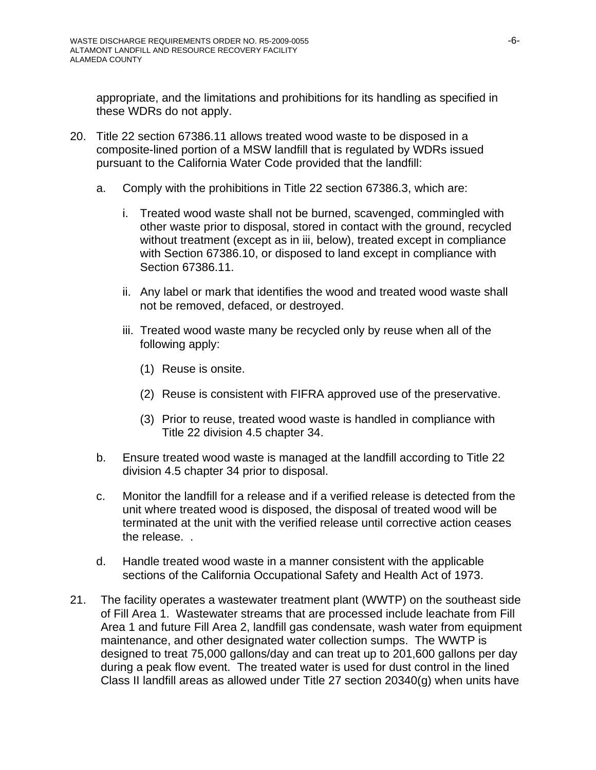appropriate, and the limitations and prohibitions for its handling as specified in these WDRs do not apply.

- 20. Title 22 section 67386.11 allows treated wood waste to be disposed in a composite-lined portion of a MSW landfill that is regulated by WDRs issued pursuant to the California Water Code provided that the landfill:
	- a. Comply with the prohibitions in Title 22 section 67386.3, which are:
		- i. Treated wood waste shall not be burned, scavenged, commingled with other waste prior to disposal, stored in contact with the ground, recycled without treatment (except as in iii, below), treated except in compliance with Section 67386.10, or disposed to land except in compliance with Section 67386.11.
		- ii. Any label or mark that identifies the wood and treated wood waste shall not be removed, defaced, or destroyed.
		- iii. Treated wood waste many be recycled only by reuse when all of the following apply:
			- (1) Reuse is onsite.
			- (2) Reuse is consistent with FIFRA approved use of the preservative.
			- (3) Prior to reuse, treated wood waste is handled in compliance with Title 22 division 4.5 chapter 34.
	- b. Ensure treated wood waste is managed at the landfill according to Title 22 division 4.5 chapter 34 prior to disposal.
	- c. Monitor the landfill for a release and if a verified release is detected from the unit where treated wood is disposed, the disposal of treated wood will be terminated at the unit with the verified release until corrective action ceases the release. .
	- d. Handle treated wood waste in a manner consistent with the applicable sections of the California Occupational Safety and Health Act of 1973.
- 21. The facility operates a wastewater treatment plant (WWTP) on the southeast side of Fill Area 1. Wastewater streams that are processed include leachate from Fill Area 1 and future Fill Area 2, landfill gas condensate, wash water from equipment maintenance, and other designated water collection sumps. The WWTP is designed to treat 75,000 gallons/day and can treat up to 201,600 gallons per day during a peak flow event. The treated water is used for dust control in the lined Class II landfill areas as allowed under Title 27 section 20340(g) when units have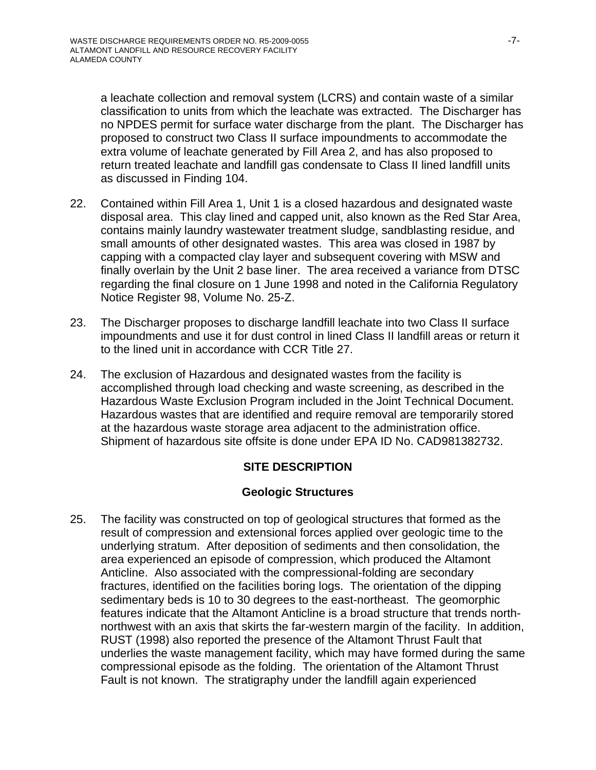a leachate collection and removal system (LCRS) and contain waste of a similar classification to units from which the leachate was extracted. The Discharger has no NPDES permit for surface water discharge from the plant. The Discharger has proposed to construct two Class II surface impoundments to accommodate the extra volume of leachate generated by Fill Area 2, and has also proposed to return treated leachate and landfill gas condensate to Class II lined landfill units as discussed in Finding 104.

- 22. Contained within Fill Area 1, Unit 1 is a closed hazardous and designated waste disposal area. This clay lined and capped unit, also known as the Red Star Area, contains mainly laundry wastewater treatment sludge, sandblasting residue, and small amounts of other designated wastes. This area was closed in 1987 by capping with a compacted clay layer and subsequent covering with MSW and finally overlain by the Unit 2 base liner. The area received a variance from DTSC regarding the final closure on 1 June 1998 and noted in the California Regulatory Notice Register 98, Volume No. 25-Z.
- 23. The Discharger proposes to discharge landfill leachate into two Class II surface impoundments and use it for dust control in lined Class II landfill areas or return it to the lined unit in accordance with CCR Title 27.
- 24. The exclusion of Hazardous and designated wastes from the facility is accomplished through load checking and waste screening, as described in the Hazardous Waste Exclusion Program included in the Joint Technical Document. Hazardous wastes that are identified and require removal are temporarily stored at the hazardous waste storage area adjacent to the administration office. Shipment of hazardous site offsite is done under EPA ID No. CAD981382732.

## **SITE DESCRIPTION**

## **Geologic Structures**

25. The facility was constructed on top of geological structures that formed as the result of compression and extensional forces applied over geologic time to the underlying stratum. After deposition of sediments and then consolidation, the area experienced an episode of compression, which produced the Altamont Anticline. Also associated with the compressional-folding are secondary fractures, identified on the facilities boring logs. The orientation of the dipping sedimentary beds is 10 to 30 degrees to the east-northeast. The geomorphic features indicate that the Altamont Anticline is a broad structure that trends northnorthwest with an axis that skirts the far-western margin of the facility. In addition, RUST (1998) also reported the presence of the Altamont Thrust Fault that underlies the waste management facility, which may have formed during the same compressional episode as the folding. The orientation of the Altamont Thrust Fault is not known. The stratigraphy under the landfill again experienced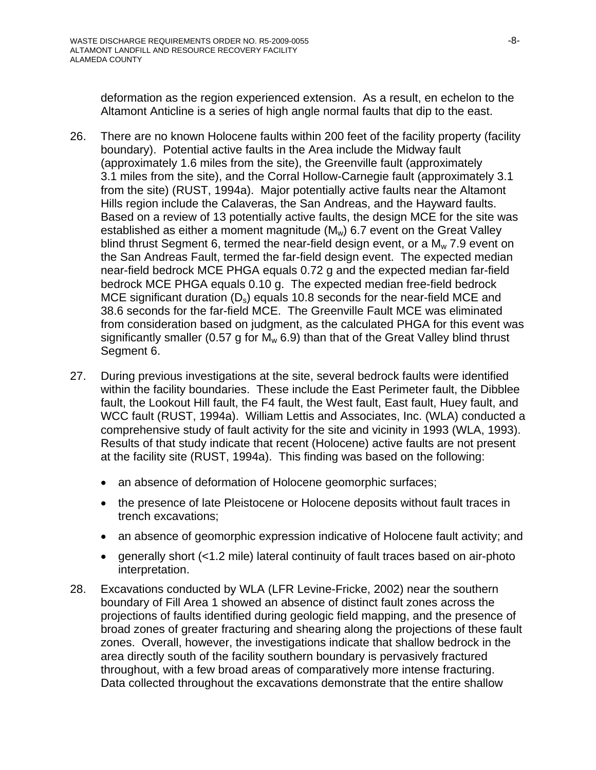deformation as the region experienced extension. As a result, en echelon to the Altamont Anticline is a series of high angle normal faults that dip to the east.

- 26. There are no known Holocene faults within 200 feet of the facility property (facility boundary). Potential active faults in the Area include the Midway fault (approximately 1.6 miles from the site), the Greenville fault (approximately 3.1 miles from the site), and the Corral Hollow-Carnegie fault (approximately 3.1 from the site) (RUST, 1994a). Major potentially active faults near the Altamont Hills region include the Calaveras, the San Andreas, and the Hayward faults. Based on a review of 13 potentially active faults, the design MCE for the site was established as either a moment magnitude (M<sub>w</sub>) 6.7 event on the Great Valley blind thrust Segment 6, termed the near-field design event, or a  $M<sub>w</sub>$  7.9 event on the San Andreas Fault, termed the far-field design event. The expected median near-field bedrock MCE PHGA equals 0.72 g and the expected median far-field bedrock MCE PHGA equals 0.10 g. The expected median free-field bedrock MCE significant duration  $(D_s)$  equals 10.8 seconds for the near-field MCE and 38.6 seconds for the far-field MCE. The Greenville Fault MCE was eliminated from consideration based on judgment, as the calculated PHGA for this event was significantly smaller (0.57 g for  $M_w$  6.9) than that of the Great Valley blind thrust Segment 6.
- 27. During previous investigations at the site, several bedrock faults were identified within the facility boundaries. These include the East Perimeter fault, the Dibblee fault, the Lookout Hill fault, the F4 fault, the West fault, East fault, Huey fault, and WCC fault (RUST, 1994a). William Lettis and Associates, Inc. (WLA) conducted a comprehensive study of fault activity for the site and vicinity in 1993 (WLA, 1993). Results of that study indicate that recent (Holocene) active faults are not present at the facility site (RUST, 1994a). This finding was based on the following:
	- an absence of deformation of Holocene geomorphic surfaces;
	- the presence of late Pleistocene or Holocene deposits without fault traces in trench excavations;
	- an absence of geomorphic expression indicative of Holocene fault activity; and
	- generally short (<1.2 mile) lateral continuity of fault traces based on air-photo interpretation.
- 28. Excavations conducted by WLA (LFR Levine-Fricke, 2002) near the southern boundary of Fill Area 1 showed an absence of distinct fault zones across the projections of faults identified during geologic field mapping, and the presence of broad zones of greater fracturing and shearing along the projections of these fault zones. Overall, however, the investigations indicate that shallow bedrock in the area directly south of the facility southern boundary is pervasively fractured throughout, with a few broad areas of comparatively more intense fracturing. Data collected throughout the excavations demonstrate that the entire shallow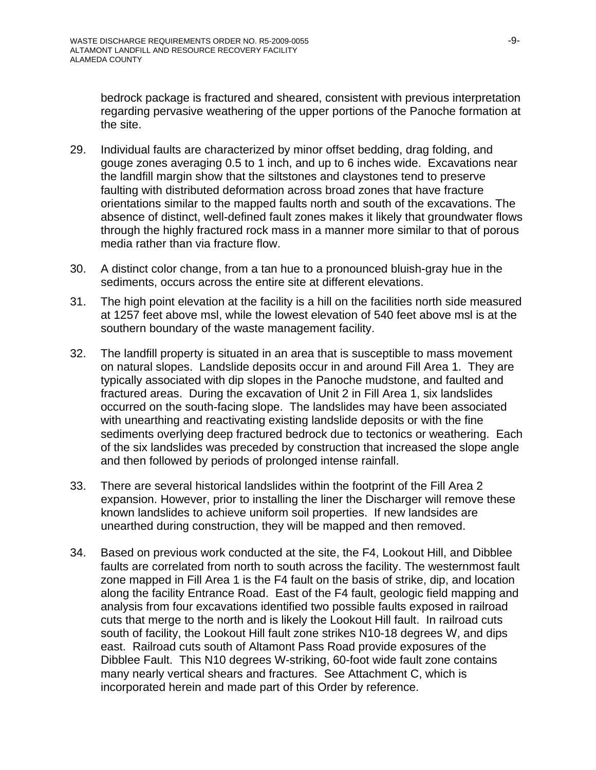bedrock package is fractured and sheared, consistent with previous interpretation regarding pervasive weathering of the upper portions of the Panoche formation at the site.

- 29. Individual faults are characterized by minor offset bedding, drag folding, and gouge zones averaging 0.5 to 1 inch, and up to 6 inches wide. Excavations near the landfill margin show that the siltstones and claystones tend to preserve faulting with distributed deformation across broad zones that have fracture orientations similar to the mapped faults north and south of the excavations. The absence of distinct, well-defined fault zones makes it likely that groundwater flows through the highly fractured rock mass in a manner more similar to that of porous media rather than via fracture flow.
- 30. A distinct color change, from a tan hue to a pronounced bluish-gray hue in the sediments, occurs across the entire site at different elevations.
- 31. The high point elevation at the facility is a hill on the facilities north side measured at 1257 feet above msl, while the lowest elevation of 540 feet above msl is at the southern boundary of the waste management facility.
- 32. The landfill property is situated in an area that is susceptible to mass movement on natural slopes. Landslide deposits occur in and around Fill Area 1. They are typically associated with dip slopes in the Panoche mudstone, and faulted and fractured areas. During the excavation of Unit 2 in Fill Area 1, six landslides occurred on the south-facing slope. The landslides may have been associated with unearthing and reactivating existing landslide deposits or with the fine sediments overlying deep fractured bedrock due to tectonics or weathering. Each of the six landslides was preceded by construction that increased the slope angle and then followed by periods of prolonged intense rainfall.
- 33. There are several historical landslides within the footprint of the Fill Area 2 expansion. However, prior to installing the liner the Discharger will remove these known landslides to achieve uniform soil properties. If new landsides are unearthed during construction, they will be mapped and then removed.
- 34. Based on previous work conducted at the site, the F4, Lookout Hill, and Dibblee faults are correlated from north to south across the facility. The westernmost fault zone mapped in Fill Area 1 is the F4 fault on the basis of strike, dip, and location along the facility Entrance Road. East of the F4 fault, geologic field mapping and analysis from four excavations identified two possible faults exposed in railroad cuts that merge to the north and is likely the Lookout Hill fault. In railroad cuts south of facility, the Lookout Hill fault zone strikes N10-18 degrees W, and dips east. Railroad cuts south of Altamont Pass Road provide exposures of the Dibblee Fault. This N10 degrees W-striking, 60-foot wide fault zone contains many nearly vertical shears and fractures. See Attachment C, which is incorporated herein and made part of this Order by reference.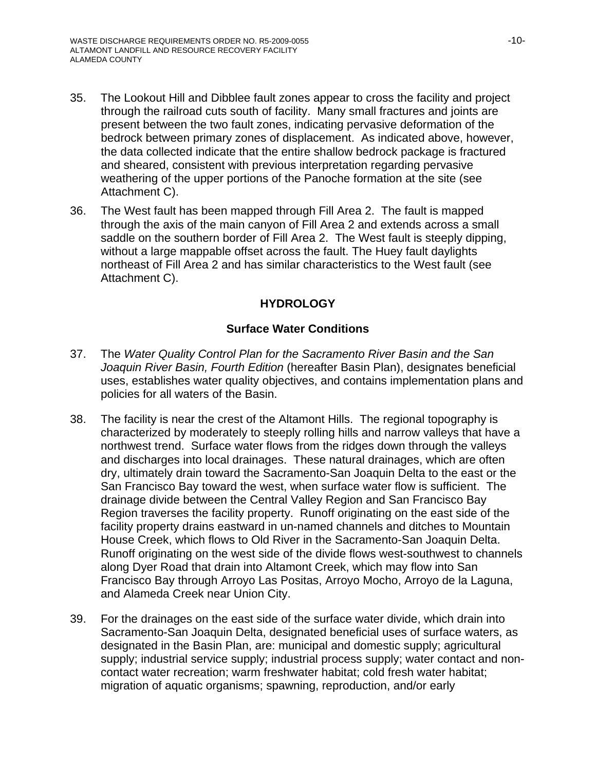- 35. The Lookout Hill and Dibblee fault zones appear to cross the facility and project through the railroad cuts south of facility. Many small fractures and joints are present between the two fault zones, indicating pervasive deformation of the bedrock between primary zones of displacement. As indicated above, however, the data collected indicate that the entire shallow bedrock package is fractured and sheared, consistent with previous interpretation regarding pervasive weathering of the upper portions of the Panoche formation at the site (see Attachment C).
- 36. The West fault has been mapped through Fill Area 2. The fault is mapped through the axis of the main canyon of Fill Area 2 and extends across a small saddle on the southern border of Fill Area 2. The West fault is steeply dipping, without a large mappable offset across the fault. The Huey fault daylights northeast of Fill Area 2 and has similar characteristics to the West fault (see Attachment C).

## **HYDROLOGY**

### **Surface Water Conditions**

- 37. The *Water Quality Control Plan for the Sacramento River Basin and the San Joaquin River Basin, Fourth Edition* (hereafter Basin Plan), designates beneficial uses, establishes water quality objectives, and contains implementation plans and policies for all waters of the Basin.
- 38. The facility is near the crest of the Altamont Hills. The regional topography is characterized by moderately to steeply rolling hills and narrow valleys that have a northwest trend. Surface water flows from the ridges down through the valleys and discharges into local drainages. These natural drainages, which are often dry, ultimately drain toward the Sacramento-San Joaquin Delta to the east or the San Francisco Bay toward the west, when surface water flow is sufficient. The drainage divide between the Central Valley Region and San Francisco Bay Region traverses the facility property. Runoff originating on the east side of the facility property drains eastward in un-named channels and ditches to Mountain House Creek, which flows to Old River in the Sacramento-San Joaquin Delta. Runoff originating on the west side of the divide flows west-southwest to channels along Dyer Road that drain into Altamont Creek, which may flow into San Francisco Bay through Arroyo Las Positas, Arroyo Mocho, Arroyo de la Laguna, and Alameda Creek near Union City.
- 39. For the drainages on the east side of the surface water divide, which drain into Sacramento-San Joaquin Delta, designated beneficial uses of surface waters, as designated in the Basin Plan, are: municipal and domestic supply; agricultural supply; industrial service supply; industrial process supply; water contact and noncontact water recreation; warm freshwater habitat; cold fresh water habitat; migration of aquatic organisms; spawning, reproduction, and/or early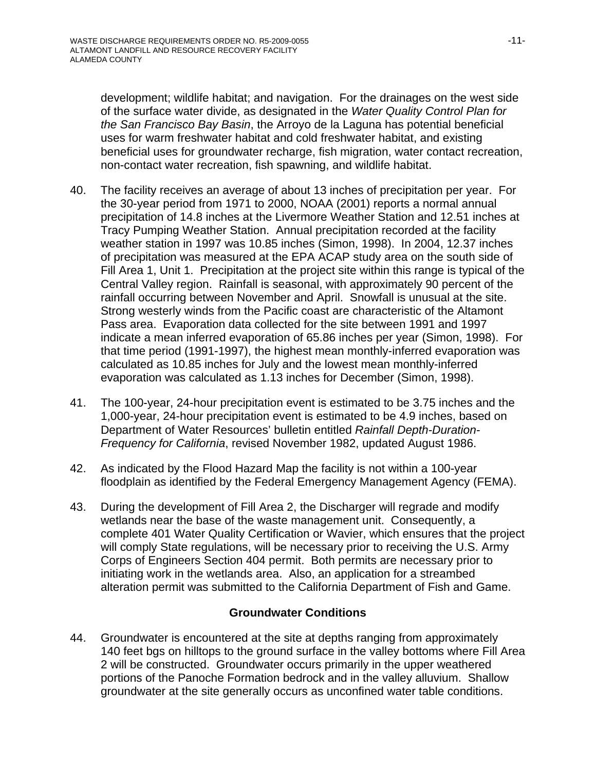development; wildlife habitat; and navigation. For the drainages on the west side of the surface water divide, as designated in the *Water Quality Control Plan for the San Francisco Bay Basin*, the Arroyo de la Laguna has potential beneficial uses for warm freshwater habitat and cold freshwater habitat, and existing beneficial uses for groundwater recharge, fish migration, water contact recreation, non-contact water recreation, fish spawning, and wildlife habitat.

- 40. The facility receives an average of about 13 inches of precipitation per year. For the 30-year period from 1971 to 2000, NOAA (2001) reports a normal annual precipitation of 14.8 inches at the Livermore Weather Station and 12.51 inches at Tracy Pumping Weather Station. Annual precipitation recorded at the facility weather station in 1997 was 10.85 inches (Simon, 1998). In 2004, 12.37 inches of precipitation was measured at the EPA ACAP study area on the south side of Fill Area 1, Unit 1. Precipitation at the project site within this range is typical of the Central Valley region. Rainfall is seasonal, with approximately 90 percent of the rainfall occurring between November and April. Snowfall is unusual at the site. Strong westerly winds from the Pacific coast are characteristic of the Altamont Pass area. Evaporation data collected for the site between 1991 and 1997 indicate a mean inferred evaporation of 65.86 inches per year (Simon, 1998). For that time period (1991-1997), the highest mean monthly-inferred evaporation was calculated as 10.85 inches for July and the lowest mean monthly-inferred evaporation was calculated as 1.13 inches for December (Simon, 1998).
- 41. The 100-year, 24-hour precipitation event is estimated to be 3.75 inches and the 1,000-year, 24-hour precipitation event is estimated to be 4.9 inches, based on Department of Water Resources' bulletin entitled *Rainfall Depth-Duration-Frequency for California*, revised November 1982, updated August 1986.
- 42. As indicated by the Flood Hazard Map the facility is not within a 100-year floodplain as identified by the Federal Emergency Management Agency (FEMA).
- 43. During the development of Fill Area 2, the Discharger will regrade and modify wetlands near the base of the waste management unit. Consequently, a complete 401 Water Quality Certification or Wavier, which ensures that the project will comply State regulations, will be necessary prior to receiving the U.S. Army Corps of Engineers Section 404 permit. Both permits are necessary prior to initiating work in the wetlands area. Also, an application for a streambed alteration permit was submitted to the California Department of Fish and Game.

### **Groundwater Conditions**

44. Groundwater is encountered at the site at depths ranging from approximately 140 feet bgs on hilltops to the ground surface in the valley bottoms where Fill Area 2 will be constructed. Groundwater occurs primarily in the upper weathered portions of the Panoche Formation bedrock and in the valley alluvium. Shallow groundwater at the site generally occurs as unconfined water table conditions.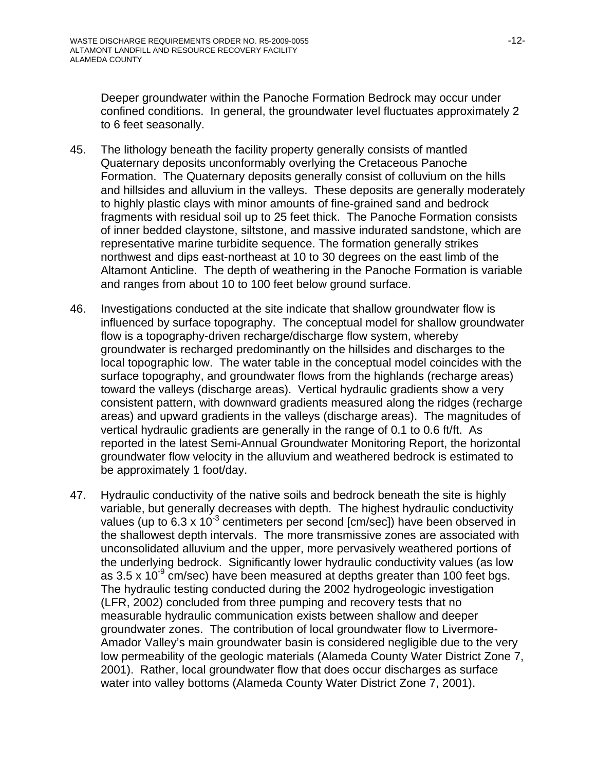Deeper groundwater within the Panoche Formation Bedrock may occur under confined conditions. In general, the groundwater level fluctuates approximately 2 to 6 feet seasonally.

- 45. The lithology beneath the facility property generally consists of mantled Quaternary deposits unconformably overlying the Cretaceous Panoche Formation. The Quaternary deposits generally consist of colluvium on the hills and hillsides and alluvium in the valleys. These deposits are generally moderately to highly plastic clays with minor amounts of fine-grained sand and bedrock fragments with residual soil up to 25 feet thick. The Panoche Formation consists of inner bedded claystone, siltstone, and massive indurated sandstone, which are representative marine turbidite sequence. The formation generally strikes northwest and dips east-northeast at 10 to 30 degrees on the east limb of the Altamont Anticline. The depth of weathering in the Panoche Formation is variable and ranges from about 10 to 100 feet below ground surface.
- 46. Investigations conducted at the site indicate that shallow groundwater flow is influenced by surface topography. The conceptual model for shallow groundwater flow is a topography-driven recharge/discharge flow system, whereby groundwater is recharged predominantly on the hillsides and discharges to the local topographic low. The water table in the conceptual model coincides with the surface topography, and groundwater flows from the highlands (recharge areas) toward the valleys (discharge areas). Vertical hydraulic gradients show a very consistent pattern, with downward gradients measured along the ridges (recharge areas) and upward gradients in the valleys (discharge areas). The magnitudes of vertical hydraulic gradients are generally in the range of 0.1 to 0.6 ft/ft. As reported in the latest Semi-Annual Groundwater Monitoring Report, the horizontal groundwater flow velocity in the alluvium and weathered bedrock is estimated to be approximately 1 foot/day.
- 47. Hydraulic conductivity of the native soils and bedrock beneath the site is highly variable, but generally decreases with depth. The highest hydraulic conductivity values (up to  $6.3 \times 10^{-3}$  centimeters per second [cm/sec]) have been observed in the shallowest depth intervals. The more transmissive zones are associated with unconsolidated alluvium and the upper, more pervasively weathered portions of the underlying bedrock. Significantly lower hydraulic conductivity values (as low as 3.5 x 10<sup>-9</sup> cm/sec) have been measured at depths greater than 100 feet bgs. The hydraulic testing conducted during the 2002 hydrogeologic investigation (LFR, 2002) concluded from three pumping and recovery tests that no measurable hydraulic communication exists between shallow and deeper groundwater zones. The contribution of local groundwater flow to Livermore-Amador Valley's main groundwater basin is considered negligible due to the very low permeability of the geologic materials (Alameda County Water District Zone 7, 2001). Rather, local groundwater flow that does occur discharges as surface water into valley bottoms (Alameda County Water District Zone 7, 2001).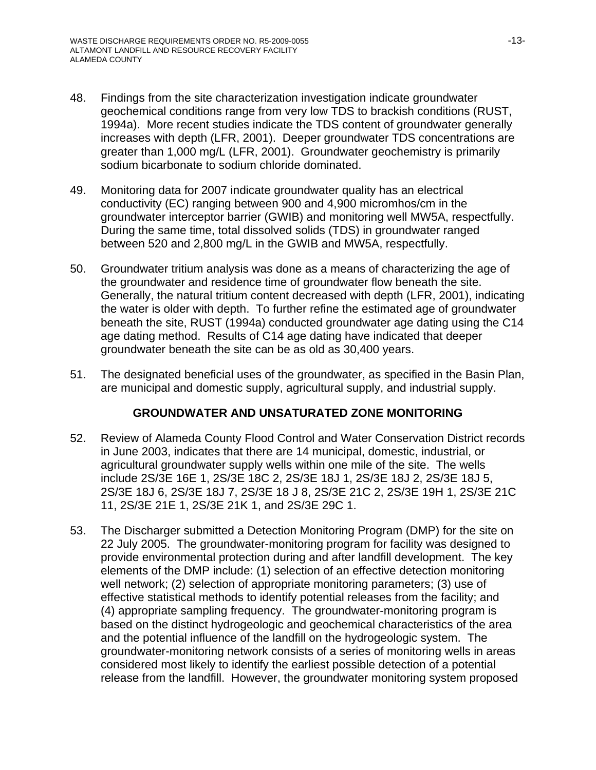- 48. Findings from the site characterization investigation indicate groundwater geochemical conditions range from very low TDS to brackish conditions (RUST, 1994a). More recent studies indicate the TDS content of groundwater generally increases with depth (LFR, 2001). Deeper groundwater TDS concentrations are greater than 1,000 mg/L (LFR, 2001). Groundwater geochemistry is primarily sodium bicarbonate to sodium chloride dominated.
- 49. Monitoring data for 2007 indicate groundwater quality has an electrical conductivity (EC) ranging between 900 and 4,900 micromhos/cm in the groundwater interceptor barrier (GWIB) and monitoring well MW5A, respectfully. During the same time, total dissolved solids (TDS) in groundwater ranged between 520 and 2,800 mg/L in the GWIB and MW5A, respectfully.
- 50. Groundwater tritium analysis was done as a means of characterizing the age of the groundwater and residence time of groundwater flow beneath the site. Generally, the natural tritium content decreased with depth (LFR, 2001), indicating the water is older with depth. To further refine the estimated age of groundwater beneath the site, RUST (1994a) conducted groundwater age dating using the C14 age dating method. Results of C14 age dating have indicated that deeper groundwater beneath the site can be as old as 30,400 years.
- 51. The designated beneficial uses of the groundwater, as specified in the Basin Plan, are municipal and domestic supply, agricultural supply, and industrial supply.

## **GROUNDWATER AND UNSATURATED ZONE MONITORING**

- 52. Review of Alameda County Flood Control and Water Conservation District records in June 2003, indicates that there are 14 municipal, domestic, industrial, or agricultural groundwater supply wells within one mile of the site. The wells include 2S/3E 16E 1, 2S/3E 18C 2, 2S/3E 18J 1, 2S/3E 18J 2, 2S/3E 18J 5, 2S/3E 18J 6, 2S/3E 18J 7, 2S/3E 18 J 8, 2S/3E 21C 2, 2S/3E 19H 1, 2S/3E 21C 11, 2S/3E 21E 1, 2S/3E 21K 1, and 2S/3E 29C 1.
- 53. The Discharger submitted a Detection Monitoring Program (DMP) for the site on 22 July 2005. The groundwater-monitoring program for facility was designed to provide environmental protection during and after landfill development. The key elements of the DMP include: (1) selection of an effective detection monitoring well network; (2) selection of appropriate monitoring parameters; (3) use of effective statistical methods to identify potential releases from the facility; and (4) appropriate sampling frequency. The groundwater-monitoring program is based on the distinct hydrogeologic and geochemical characteristics of the area and the potential influence of the landfill on the hydrogeologic system. The groundwater-monitoring network consists of a series of monitoring wells in areas considered most likely to identify the earliest possible detection of a potential release from the landfill. However, the groundwater monitoring system proposed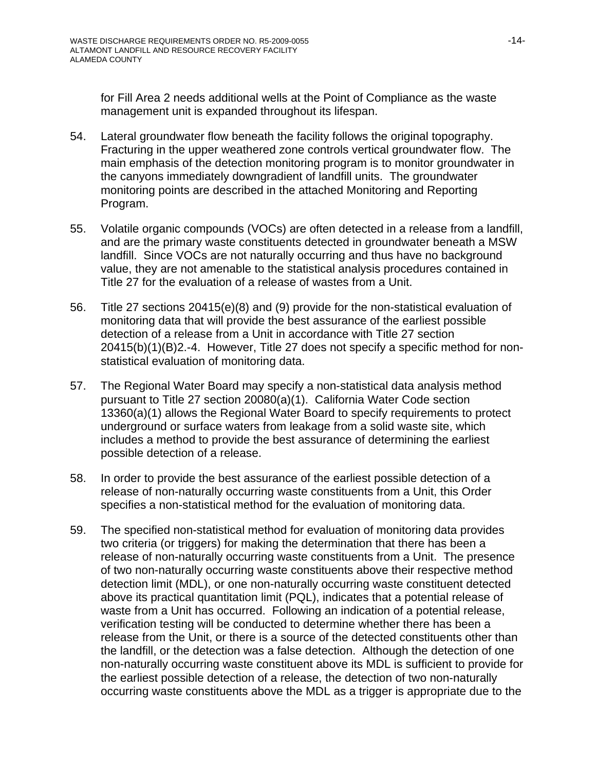for Fill Area 2 needs additional wells at the Point of Compliance as the waste management unit is expanded throughout its lifespan.

- 54. Lateral groundwater flow beneath the facility follows the original topography. Fracturing in the upper weathered zone controls vertical groundwater flow. The main emphasis of the detection monitoring program is to monitor groundwater in the canyons immediately downgradient of landfill units. The groundwater monitoring points are described in the attached Monitoring and Reporting Program.
- 55. Volatile organic compounds (VOCs) are often detected in a release from a landfill, and are the primary waste constituents detected in groundwater beneath a MSW landfill. Since VOCs are not naturally occurring and thus have no background value, they are not amenable to the statistical analysis procedures contained in Title 27 for the evaluation of a release of wastes from a Unit.
- 56. Title 27 sections 20415(e)(8) and (9) provide for the non-statistical evaluation of monitoring data that will provide the best assurance of the earliest possible detection of a release from a Unit in accordance with Title 27 section 20415(b)(1)(B)2.-4. However, Title 27 does not specify a specific method for nonstatistical evaluation of monitoring data.
- 57. The Regional Water Board may specify a non-statistical data analysis method pursuant to Title 27 section 20080(a)(1). California Water Code section 13360(a)(1) allows the Regional Water Board to specify requirements to protect underground or surface waters from leakage from a solid waste site, which includes a method to provide the best assurance of determining the earliest possible detection of a release.
- 58. In order to provide the best assurance of the earliest possible detection of a release of non-naturally occurring waste constituents from a Unit, this Order specifies a non-statistical method for the evaluation of monitoring data.
- 59. The specified non-statistical method for evaluation of monitoring data provides two criteria (or triggers) for making the determination that there has been a release of non-naturally occurring waste constituents from a Unit. The presence of two non-naturally occurring waste constituents above their respective method detection limit (MDL), or one non-naturally occurring waste constituent detected above its practical quantitation limit (PQL), indicates that a potential release of waste from a Unit has occurred. Following an indication of a potential release, verification testing will be conducted to determine whether there has been a release from the Unit, or there is a source of the detected constituents other than the landfill, or the detection was a false detection. Although the detection of one non-naturally occurring waste constituent above its MDL is sufficient to provide for the earliest possible detection of a release, the detection of two non-naturally occurring waste constituents above the MDL as a trigger is appropriate due to the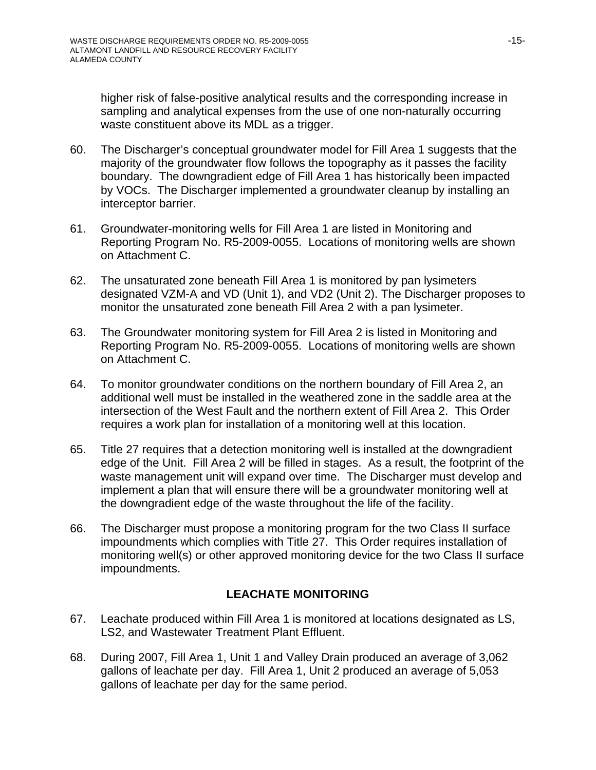higher risk of false-positive analytical results and the corresponding increase in sampling and analytical expenses from the use of one non-naturally occurring waste constituent above its MDL as a trigger.

- 60. The Discharger's conceptual groundwater model for Fill Area 1 suggests that the majority of the groundwater flow follows the topography as it passes the facility boundary. The downgradient edge of Fill Area 1 has historically been impacted by VOCs. The Discharger implemented a groundwater cleanup by installing an interceptor barrier.
- 61. Groundwater-monitoring wells for Fill Area 1 are listed in Monitoring and Reporting Program No. R5-2009-0055. Locations of monitoring wells are shown on Attachment C.
- 62. The unsaturated zone beneath Fill Area 1 is monitored by pan lysimeters designated VZM-A and VD (Unit 1), and VD2 (Unit 2). The Discharger proposes to monitor the unsaturated zone beneath Fill Area 2 with a pan lysimeter.
- 63. The Groundwater monitoring system for Fill Area 2 is listed in Monitoring and Reporting Program No. R5-2009-0055. Locations of monitoring wells are shown on Attachment C.
- 64. To monitor groundwater conditions on the northern boundary of Fill Area 2, an additional well must be installed in the weathered zone in the saddle area at the intersection of the West Fault and the northern extent of Fill Area 2. This Order requires a work plan for installation of a monitoring well at this location.
- 65. Title 27 requires that a detection monitoring well is installed at the downgradient edge of the Unit. Fill Area 2 will be filled in stages. As a result, the footprint of the waste management unit will expand over time. The Discharger must develop and implement a plan that will ensure there will be a groundwater monitoring well at the downgradient edge of the waste throughout the life of the facility.
- 66. The Discharger must propose a monitoring program for the two Class II surface impoundments which complies with Title 27. This Order requires installation of monitoring well(s) or other approved monitoring device for the two Class II surface impoundments.

## **LEACHATE MONITORING**

- 67. Leachate produced within Fill Area 1 is monitored at locations designated as LS, LS2, and Wastewater Treatment Plant Effluent.
- 68. During 2007, Fill Area 1, Unit 1 and Valley Drain produced an average of 3,062 gallons of leachate per day. Fill Area 1, Unit 2 produced an average of 5,053 gallons of leachate per day for the same period.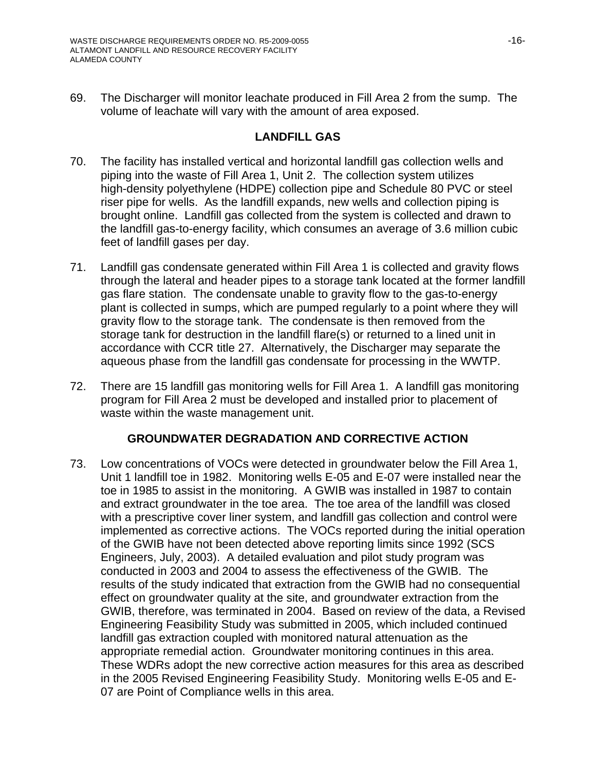69. The Discharger will monitor leachate produced in Fill Area 2 from the sump. The volume of leachate will vary with the amount of area exposed.

### **LANDFILL GAS**

- 70. The facility has installed vertical and horizontal landfill gas collection wells and piping into the waste of Fill Area 1, Unit 2. The collection system utilizes high-density polyethylene (HDPE) collection pipe and Schedule 80 PVC or steel riser pipe for wells. As the landfill expands, new wells and collection piping is brought online. Landfill gas collected from the system is collected and drawn to the landfill gas-to-energy facility, which consumes an average of 3.6 million cubic feet of landfill gases per day.
- 71. Landfill gas condensate generated within Fill Area 1 is collected and gravity flows through the lateral and header pipes to a storage tank located at the former landfill gas flare station. The condensate unable to gravity flow to the gas-to-energy plant is collected in sumps, which are pumped regularly to a point where they will gravity flow to the storage tank. The condensate is then removed from the storage tank for destruction in the landfill flare(s) or returned to a lined unit in accordance with CCR title 27. Alternatively, the Discharger may separate the aqueous phase from the landfill gas condensate for processing in the WWTP.
- 72. There are 15 landfill gas monitoring wells for Fill Area 1. A landfill gas monitoring program for Fill Area 2 must be developed and installed prior to placement of waste within the waste management unit.

## **GROUNDWATER DEGRADATION AND CORRECTIVE ACTION**

73. Low concentrations of VOCs were detected in groundwater below the Fill Area 1, Unit 1 landfill toe in 1982. Monitoring wells E-05 and E-07 were installed near the toe in 1985 to assist in the monitoring. A GWIB was installed in 1987 to contain and extract groundwater in the toe area. The toe area of the landfill was closed with a prescriptive cover liner system, and landfill gas collection and control were implemented as corrective actions. The VOCs reported during the initial operation of the GWIB have not been detected above reporting limits since 1992 (SCS Engineers, July, 2003). A detailed evaluation and pilot study program was conducted in 2003 and 2004 to assess the effectiveness of the GWIB. The results of the study indicated that extraction from the GWIB had no consequential effect on groundwater quality at the site, and groundwater extraction from the GWIB, therefore, was terminated in 2004. Based on review of the data, a Revised Engineering Feasibility Study was submitted in 2005, which included continued landfill gas extraction coupled with monitored natural attenuation as the appropriate remedial action. Groundwater monitoring continues in this area. These WDRs adopt the new corrective action measures for this area as described in the 2005 Revised Engineering Feasibility Study. Monitoring wells E-05 and E-07 are Point of Compliance wells in this area.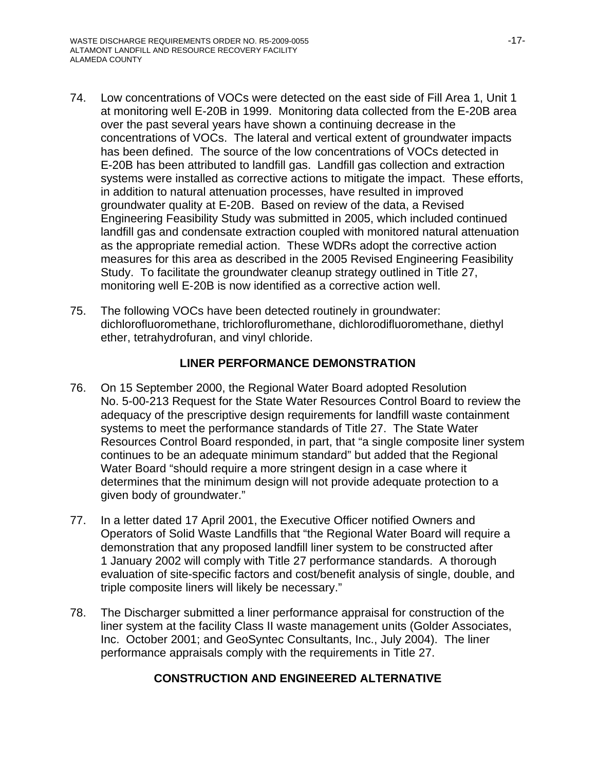- 74. Low concentrations of VOCs were detected on the east side of Fill Area 1, Unit 1 at monitoring well E-20B in 1999. Monitoring data collected from the E-20B area over the past several years have shown a continuing decrease in the concentrations of VOCs. The lateral and vertical extent of groundwater impacts has been defined. The source of the low concentrations of VOCs detected in E-20B has been attributed to landfill gas. Landfill gas collection and extraction systems were installed as corrective actions to mitigate the impact. These efforts, in addition to natural attenuation processes, have resulted in improved groundwater quality at E-20B. Based on review of the data, a Revised Engineering Feasibility Study was submitted in 2005, which included continued landfill gas and condensate extraction coupled with monitored natural attenuation as the appropriate remedial action. These WDRs adopt the corrective action measures for this area as described in the 2005 Revised Engineering Feasibility Study. To facilitate the groundwater cleanup strategy outlined in Title 27, monitoring well E-20B is now identified as a corrective action well.
- 75. The following VOCs have been detected routinely in groundwater: dichlorofluoromethane, trichlorofluromethane, dichlorodifluoromethane, diethyl ether, tetrahydrofuran, and vinyl chloride.

## **LINER PERFORMANCE DEMONSTRATION**

- 76. On 15 September 2000, the Regional Water Board adopted Resolution No. 5-00-213 Request for the State Water Resources Control Board to review the adequacy of the prescriptive design requirements for landfill waste containment systems to meet the performance standards of Title 27. The State Water Resources Control Board responded, in part, that "a single composite liner system continues to be an adequate minimum standard" but added that the Regional Water Board "should require a more stringent design in a case where it determines that the minimum design will not provide adequate protection to a given body of groundwater."
- 77. In a letter dated 17 April 2001, the Executive Officer notified Owners and Operators of Solid Waste Landfills that "the Regional Water Board will require a demonstration that any proposed landfill liner system to be constructed after 1 January 2002 will comply with Title 27 performance standards. A thorough evaluation of site-specific factors and cost/benefit analysis of single, double, and triple composite liners will likely be necessary."
- 78. The Discharger submitted a liner performance appraisal for construction of the liner system at the facility Class II waste management units (Golder Associates, Inc. October 2001; and GeoSyntec Consultants, Inc., July 2004). The liner performance appraisals comply with the requirements in Title 27.

## **CONSTRUCTION AND ENGINEERED ALTERNATIVE**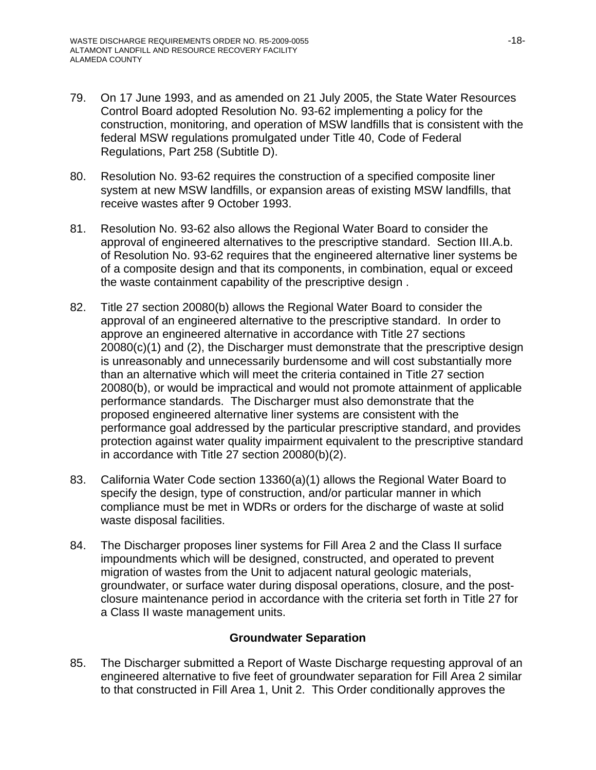- 79. On 17 June 1993, and as amended on 21 July 2005, the State Water Resources Control Board adopted Resolution No. 93-62 implementing a policy for the construction, monitoring, and operation of MSW landfills that is consistent with the federal MSW regulations promulgated under Title 40, Code of Federal Regulations, Part 258 (Subtitle D).
- 80. Resolution No. 93-62 requires the construction of a specified composite liner system at new MSW landfills, or expansion areas of existing MSW landfills, that receive wastes after 9 October 1993.
- 81. Resolution No. 93-62 also allows the Regional Water Board to consider the approval of engineered alternatives to the prescriptive standard. Section III.A.b. of Resolution No. 93-62 requires that the engineered alternative liner systems be of a composite design and that its components, in combination, equal or exceed the waste containment capability of the prescriptive design .
- 82. Title 27 section 20080(b) allows the Regional Water Board to consider the approval of an engineered alternative to the prescriptive standard. In order to approve an engineered alternative in accordance with Title 27 sections 20080(c)(1) and (2), the Discharger must demonstrate that the prescriptive design is unreasonably and unnecessarily burdensome and will cost substantially more than an alternative which will meet the criteria contained in Title 27 section 20080(b), or would be impractical and would not promote attainment of applicable performance standards. The Discharger must also demonstrate that the proposed engineered alternative liner systems are consistent with the performance goal addressed by the particular prescriptive standard, and provides protection against water quality impairment equivalent to the prescriptive standard in accordance with Title 27 section 20080(b)(2).
- 83. California Water Code section 13360(a)(1) allows the Regional Water Board to specify the design, type of construction, and/or particular manner in which compliance must be met in WDRs or orders for the discharge of waste at solid waste disposal facilities.
- 84. The Discharger proposes liner systems for Fill Area 2 and the Class II surface impoundments which will be designed, constructed, and operated to prevent migration of wastes from the Unit to adjacent natural geologic materials, groundwater, or surface water during disposal operations, closure, and the postclosure maintenance period in accordance with the criteria set forth in Title 27 for a Class II waste management units.

### **Groundwater Separation**

85. The Discharger submitted a Report of Waste Discharge requesting approval of an engineered alternative to five feet of groundwater separation for Fill Area 2 similar to that constructed in Fill Area 1, Unit 2. This Order conditionally approves the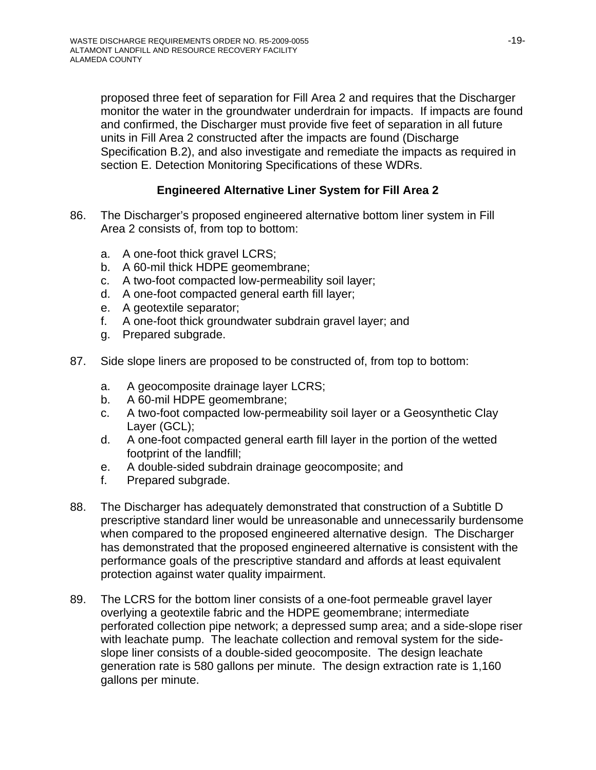proposed three feet of separation for Fill Area 2 and requires that the Discharger monitor the water in the groundwater underdrain for impacts. If impacts are found and confirmed, the Discharger must provide five feet of separation in all future units in Fill Area 2 constructed after the impacts are found (Discharge Specification B.2), and also investigate and remediate the impacts as required in section E. Detection Monitoring Specifications of these WDRs.

## **Engineered Alternative Liner System for Fill Area 2**

- 86. The Discharger's proposed engineered alternative bottom liner system in Fill Area 2 consists of, from top to bottom:
	- a. A one-foot thick gravel LCRS;
	- b. A 60-mil thick HDPE geomembrane;
	- c. A two-foot compacted low-permeability soil layer;
	- d. A one-foot compacted general earth fill layer;
	- e. A geotextile separator;
	- f. A one-foot thick groundwater subdrain gravel layer; and
	- g. Prepared subgrade.
- 87. Side slope liners are proposed to be constructed of, from top to bottom:
	- a. A geocomposite drainage layer LCRS;
	- b. A 60-mil HDPE geomembrane;
	- c. A two-foot compacted low-permeability soil layer or a Geosynthetic Clay Layer (GCL);
	- d. A one-foot compacted general earth fill layer in the portion of the wetted footprint of the landfill;
	- e. A double-sided subdrain drainage geocomposite; and
	- f. Prepared subgrade.
- 88. The Discharger has adequately demonstrated that construction of a Subtitle D prescriptive standard liner would be unreasonable and unnecessarily burdensome when compared to the proposed engineered alternative design. The Discharger has demonstrated that the proposed engineered alternative is consistent with the performance goals of the prescriptive standard and affords at least equivalent protection against water quality impairment.
- 89. The LCRS for the bottom liner consists of a one-foot permeable gravel layer overlying a geotextile fabric and the HDPE geomembrane; intermediate perforated collection pipe network; a depressed sump area; and a side-slope riser with leachate pump. The leachate collection and removal system for the sideslope liner consists of a double-sided geocomposite. The design leachate generation rate is 580 gallons per minute. The design extraction rate is 1,160 gallons per minute.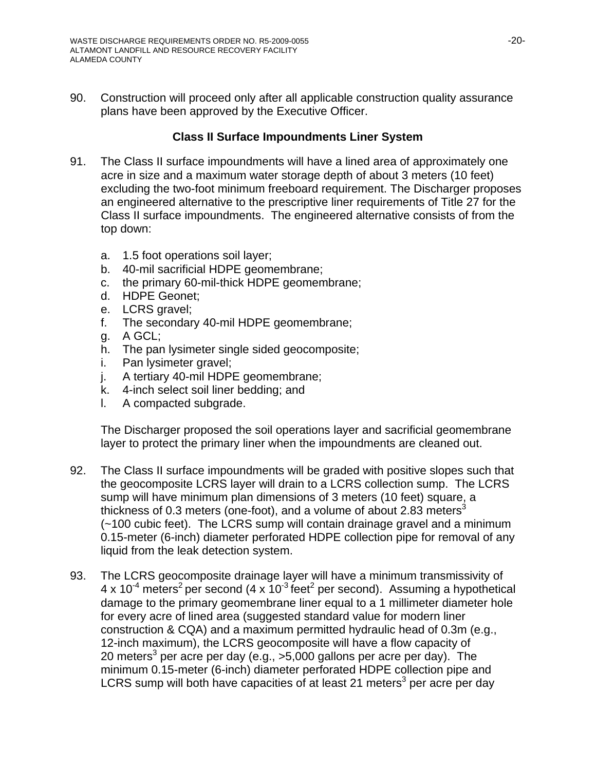90. Construction will proceed only after all applicable construction quality assurance plans have been approved by the Executive Officer.

## **Class II Surface Impoundments Liner System**

- 91. The Class II surface impoundments will have a lined area of approximately one acre in size and a maximum water storage depth of about 3 meters (10 feet) excluding the two-foot minimum freeboard requirement. The Discharger proposes an engineered alternative to the prescriptive liner requirements of Title 27 for the Class II surface impoundments. The engineered alternative consists of from the top down:
	- a. 1.5 foot operations soil layer;
	- b. 40-mil sacrificial HDPE geomembrane;
	- c. the primary 60-mil-thick HDPE geomembrane;
	- d. HDPE Geonet;
	- e. LCRS gravel;
	- f. The secondary 40-mil HDPE geomembrane;
	- g. A GCL;
	- h. The pan lysimeter single sided geocomposite;
	- i. Pan lysimeter gravel;
	- j. A tertiary 40-mil HDPE geomembrane;
	- k. 4-inch select soil liner bedding; and
	- l. A compacted subgrade.

The Discharger proposed the soil operations layer and sacrificial geomembrane layer to protect the primary liner when the impoundments are cleaned out.

- 92. The Class II surface impoundments will be graded with positive slopes such that the geocomposite LCRS layer will drain to a LCRS collection sump. The LCRS sump will have minimum plan dimensions of 3 meters (10 feet) square, a thickness of 0.3 meters (one-foot), and a volume of about 2.83 meters<sup>3</sup> (~100 cubic feet). The LCRS sump will contain drainage gravel and a minimum 0.15-meter (6-inch) diameter perforated HDPE collection pipe for removal of any liquid from the leak detection system.
- 93. The LCRS geocomposite drainage layer will have a minimum transmissivity of 4 x 10<sup>-4</sup> meters<sup>2</sup> per second (4 x 10<sup>-3</sup> feet<sup>2</sup> per second). Assuming a hypothetical damage to the primary geomembrane liner equal to a 1 millimeter diameter hole for every acre of lined area (suggested standard value for modern liner construction & CQA) and a maximum permitted hydraulic head of 0.3m (e.g., 12-inch maximum), the LCRS geocomposite will have a flow capacity of 20 meters<sup>3</sup> per acre per day (e.g., >5,000 gallons per acre per day). The minimum 0.15-meter (6-inch) diameter perforated HDPE collection pipe and LCRS sump will both have capacities of at least 21 meters<sup>3</sup> per acre per day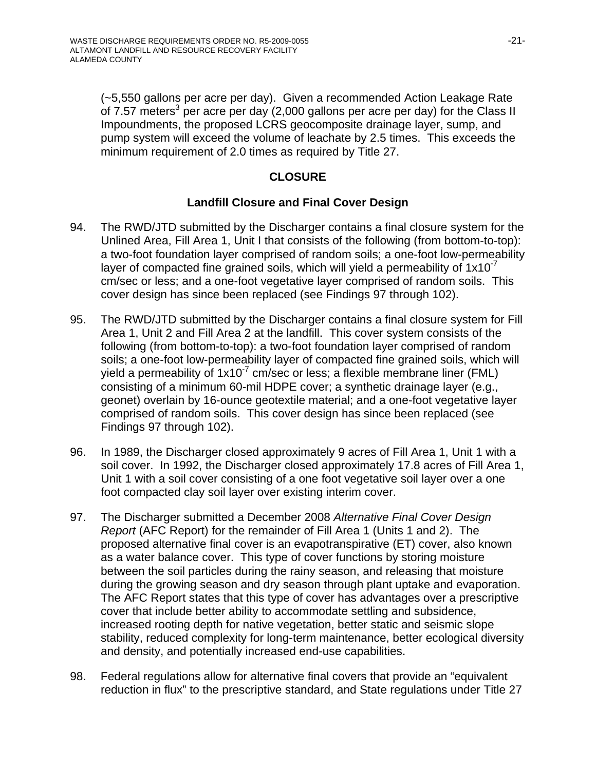(~5,550 gallons per acre per day). Given a recommended Action Leakage Rate of 7.57 meters<sup>3</sup> per acre per day (2,000 gallons per acre per day) for the Class II Impoundments, the proposed LCRS geocomposite drainage layer, sump, and pump system will exceed the volume of leachate by 2.5 times. This exceeds the minimum requirement of 2.0 times as required by Title 27.

## **CLOSURE**

## **Landfill Closure and Final Cover Design**

- 94. The RWD/JTD submitted by the Discharger contains a final closure system for the Unlined Area, Fill Area 1, Unit I that consists of the following (from bottom-to-top): a two-foot foundation layer comprised of random soils; a one-foot low-permeability layer of compacted fine grained soils, which will yield a permeability of  $1x10^{-7}$ cm/sec or less; and a one-foot vegetative layer comprised of random soils. This cover design has since been replaced (see Findings 97 through 102).
- 95. The RWD/JTD submitted by the Discharger contains a final closure system for Fill Area 1, Unit 2 and Fill Area 2 at the landfill. This cover system consists of the following (from bottom-to-top): a two-foot foundation layer comprised of random soils; a one-foot low-permeability layer of compacted fine grained soils, which will yield a permeability of  $1x10<sup>-7</sup>$  cm/sec or less; a flexible membrane liner (FML) consisting of a minimum 60-mil HDPE cover; a synthetic drainage layer (e.g., geonet) overlain by 16-ounce geotextile material; and a one-foot vegetative layer comprised of random soils. This cover design has since been replaced (see Findings 97 through 102).
- 96. In 1989, the Discharger closed approximately 9 acres of Fill Area 1, Unit 1 with a soil cover. In 1992, the Discharger closed approximately 17.8 acres of Fill Area 1, Unit 1 with a soil cover consisting of a one foot vegetative soil layer over a one foot compacted clay soil layer over existing interim cover.
- 97. The Discharger submitted a December 2008 *Alternative Final Cover Design Report* (AFC Report) for the remainder of Fill Area 1 (Units 1 and 2). The proposed alternative final cover is an evapotranspirative (ET) cover, also known as a water balance cover. This type of cover functions by storing moisture between the soil particles during the rainy season, and releasing that moisture during the growing season and dry season through plant uptake and evaporation. The AFC Report states that this type of cover has advantages over a prescriptive cover that include better ability to accommodate settling and subsidence, increased rooting depth for native vegetation, better static and seismic slope stability, reduced complexity for long-term maintenance, better ecological diversity and density, and potentially increased end-use capabilities.
- 98. Federal regulations allow for alternative final covers that provide an "equivalent reduction in flux" to the prescriptive standard, and State regulations under Title 27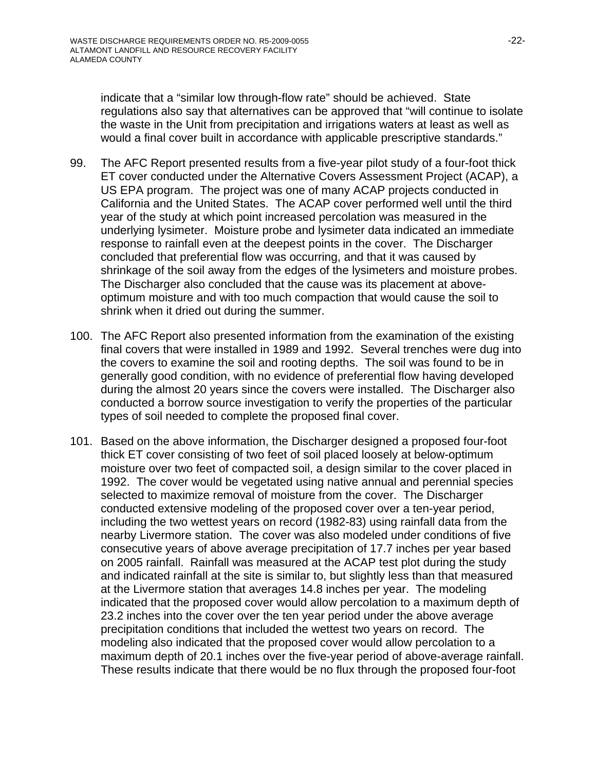indicate that a "similar low through-flow rate" should be achieved. State regulations also say that alternatives can be approved that "will continue to isolate the waste in the Unit from precipitation and irrigations waters at least as well as would a final cover built in accordance with applicable prescriptive standards."

- 99. The AFC Report presented results from a five-year pilot study of a four-foot thick ET cover conducted under the Alternative Covers Assessment Project (ACAP), a US EPA program. The project was one of many ACAP projects conducted in California and the United States. The ACAP cover performed well until the third year of the study at which point increased percolation was measured in the underlying lysimeter. Moisture probe and lysimeter data indicated an immediate response to rainfall even at the deepest points in the cover. The Discharger concluded that preferential flow was occurring, and that it was caused by shrinkage of the soil away from the edges of the lysimeters and moisture probes. The Discharger also concluded that the cause was its placement at aboveoptimum moisture and with too much compaction that would cause the soil to shrink when it dried out during the summer.
- 100. The AFC Report also presented information from the examination of the existing final covers that were installed in 1989 and 1992. Several trenches were dug into the covers to examine the soil and rooting depths. The soil was found to be in generally good condition, with no evidence of preferential flow having developed during the almost 20 years since the covers were installed. The Discharger also conducted a borrow source investigation to verify the properties of the particular types of soil needed to complete the proposed final cover.
- 101. Based on the above information, the Discharger designed a proposed four-foot thick ET cover consisting of two feet of soil placed loosely at below-optimum moisture over two feet of compacted soil, a design similar to the cover placed in 1992. The cover would be vegetated using native annual and perennial species selected to maximize removal of moisture from the cover. The Discharger conducted extensive modeling of the proposed cover over a ten-year period, including the two wettest years on record (1982-83) using rainfall data from the nearby Livermore station. The cover was also modeled under conditions of five consecutive years of above average precipitation of 17.7 inches per year based on 2005 rainfall. Rainfall was measured at the ACAP test plot during the study and indicated rainfall at the site is similar to, but slightly less than that measured at the Livermore station that averages 14.8 inches per year. The modeling indicated that the proposed cover would allow percolation to a maximum depth of 23.2 inches into the cover over the ten year period under the above average precipitation conditions that included the wettest two years on record. The modeling also indicated that the proposed cover would allow percolation to a maximum depth of 20.1 inches over the five-year period of above-average rainfall. These results indicate that there would be no flux through the proposed four-foot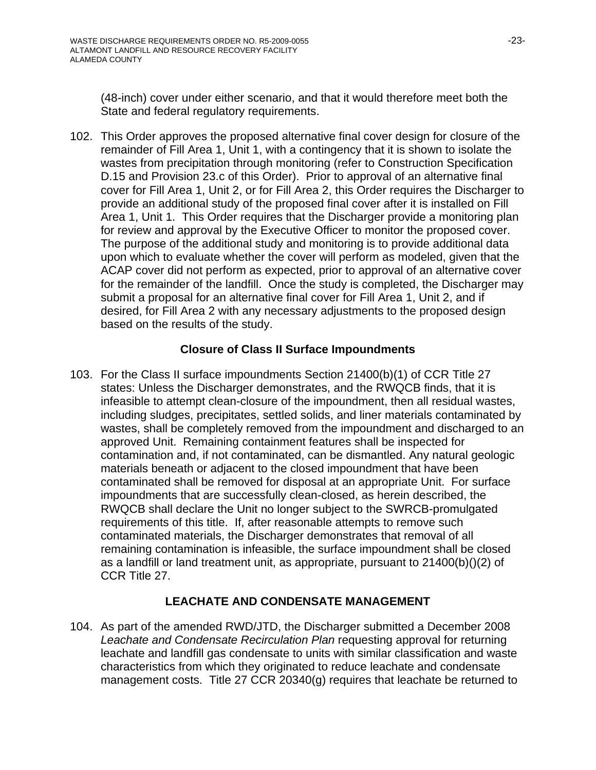(48-inch) cover under either scenario, and that it would therefore meet both the State and federal regulatory requirements.

102. This Order approves the proposed alternative final cover design for closure of the remainder of Fill Area 1, Unit 1, with a contingency that it is shown to isolate the wastes from precipitation through monitoring (refer to Construction Specification D.15 and Provision 23.c of this Order). Prior to approval of an alternative final cover for Fill Area 1, Unit 2, or for Fill Area 2, this Order requires the Discharger to provide an additional study of the proposed final cover after it is installed on Fill Area 1, Unit 1. This Order requires that the Discharger provide a monitoring plan for review and approval by the Executive Officer to monitor the proposed cover. The purpose of the additional study and monitoring is to provide additional data upon which to evaluate whether the cover will perform as modeled, given that the ACAP cover did not perform as expected, prior to approval of an alternative cover for the remainder of the landfill. Once the study is completed, the Discharger may submit a proposal for an alternative final cover for Fill Area 1, Unit 2, and if desired, for Fill Area 2 with any necessary adjustments to the proposed design based on the results of the study.

## **Closure of Class II Surface Impoundments**

103. For the Class II surface impoundments Section 21400(b)(1) of CCR Title 27 states: Unless the Discharger demonstrates, and the RWQCB finds, that it is infeasible to attempt clean-closure of the impoundment, then all residual wastes, including sludges, precipitates, settled solids, and liner materials contaminated by wastes, shall be completely removed from the impoundment and discharged to an approved Unit. Remaining containment features shall be inspected for contamination and, if not contaminated, can be dismantled. Any natural geologic materials beneath or adjacent to the closed impoundment that have been contaminated shall be removed for disposal at an appropriate Unit. For surface impoundments that are successfully clean-closed, as herein described, the RWQCB shall declare the Unit no longer subject to the SWRCB-promulgated requirements of this title. If, after reasonable attempts to remove such contaminated materials, the Discharger demonstrates that removal of all remaining contamination is infeasible, the surface impoundment shall be closed as a landfill or land treatment unit, as appropriate, pursuant to 21400(b)()(2) of CCR Title 27.

# **LEACHATE AND CONDENSATE MANAGEMENT**

104. As part of the amended RWD/JTD, the Discharger submitted a December 2008 *Leachate and Condensate Recirculation Plan* requesting approval for returning leachate and landfill gas condensate to units with similar classification and waste characteristics from which they originated to reduce leachate and condensate management costs. Title 27 CCR 20340(g) requires that leachate be returned to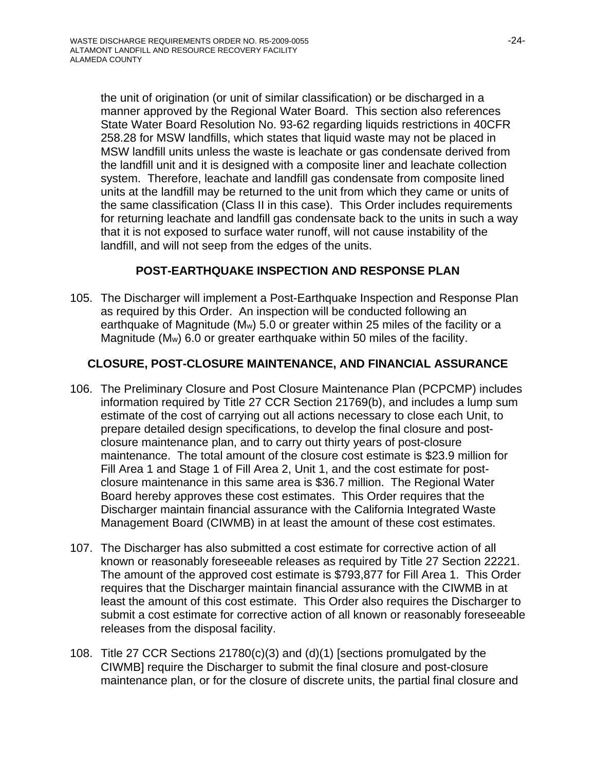the unit of origination (or unit of similar classification) or be discharged in a manner approved by the Regional Water Board. This section also references State Water Board Resolution No. 93-62 regarding liquids restrictions in 40CFR 258.28 for MSW landfills, which states that liquid waste may not be placed in MSW landfill units unless the waste is leachate or gas condensate derived from the landfill unit and it is designed with a composite liner and leachate collection system. Therefore, leachate and landfill gas condensate from composite lined units at the landfill may be returned to the unit from which they came or units of the same classification (Class II in this case). This Order includes requirements for returning leachate and landfill gas condensate back to the units in such a way that it is not exposed to surface water runoff, will not cause instability of the landfill, and will not seep from the edges of the units.

## **POST-EARTHQUAKE INSPECTION AND RESPONSE PLAN**

105. The Discharger will implement a Post-Earthquake Inspection and Response Plan as required by this Order. An inspection will be conducted following an earthquake of Magnitude (Mw) 5.0 or greater within 25 miles of the facility or a Magnitude (Mw) 6.0 or greater earthquake within 50 miles of the facility.

## **CLOSURE, POST-CLOSURE MAINTENANCE, AND FINANCIAL ASSURANCE**

- 106. The Preliminary Closure and Post Closure Maintenance Plan (PCPCMP) includes information required by Title 27 CCR Section 21769(b), and includes a lump sum estimate of the cost of carrying out all actions necessary to close each Unit, to prepare detailed design specifications, to develop the final closure and postclosure maintenance plan, and to carry out thirty years of post-closure maintenance. The total amount of the closure cost estimate is \$23.9 million for Fill Area 1 and Stage 1 of Fill Area 2, Unit 1, and the cost estimate for postclosure maintenance in this same area is \$36.7 million. The Regional Water Board hereby approves these cost estimates. This Order requires that the Discharger maintain financial assurance with the California Integrated Waste Management Board (CIWMB) in at least the amount of these cost estimates.
- 107. The Discharger has also submitted a cost estimate for corrective action of all known or reasonably foreseeable releases as required by Title 27 Section 22221. The amount of the approved cost estimate is \$793,877 for Fill Area 1. This Order requires that the Discharger maintain financial assurance with the CIWMB in at least the amount of this cost estimate. This Order also requires the Discharger to submit a cost estimate for corrective action of all known or reasonably foreseeable releases from the disposal facility.
- 108. Title 27 CCR Sections 21780(c)(3) and (d)(1) [sections promulgated by the CIWMB] require the Discharger to submit the final closure and post-closure maintenance plan, or for the closure of discrete units, the partial final closure and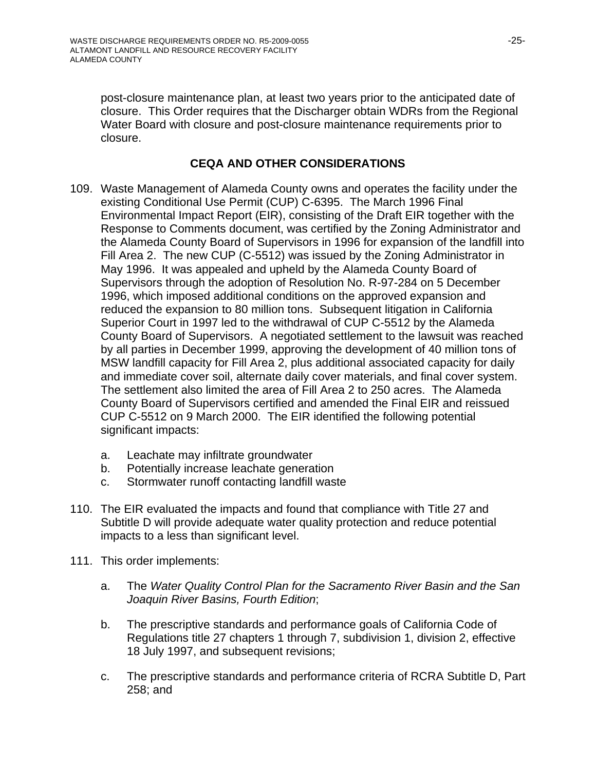post-closure maintenance plan, at least two years prior to the anticipated date of closure. This Order requires that the Discharger obtain WDRs from the Regional Water Board with closure and post-closure maintenance requirements prior to closure.

## **CEQA AND OTHER CONSIDERATIONS**

- 109. Waste Management of Alameda County owns and operates the facility under the existing Conditional Use Permit (CUP) C-6395. The March 1996 Final Environmental Impact Report (EIR), consisting of the Draft EIR together with the Response to Comments document, was certified by the Zoning Administrator and the Alameda County Board of Supervisors in 1996 for expansion of the landfill into Fill Area 2. The new CUP (C-5512) was issued by the Zoning Administrator in May 1996. It was appealed and upheld by the Alameda County Board of Supervisors through the adoption of Resolution No. R-97-284 on 5 December 1996, which imposed additional conditions on the approved expansion and reduced the expansion to 80 million tons. Subsequent litigation in California Superior Court in 1997 led to the withdrawal of CUP C-5512 by the Alameda County Board of Supervisors. A negotiated settlement to the lawsuit was reached by all parties in December 1999, approving the development of 40 million tons of MSW landfill capacity for Fill Area 2, plus additional associated capacity for daily and immediate cover soil, alternate daily cover materials, and final cover system. The settlement also limited the area of Fill Area 2 to 250 acres. The Alameda County Board of Supervisors certified and amended the Final EIR and reissued CUP C-5512 on 9 March 2000. The EIR identified the following potential significant impacts:
	- a. Leachate may infiltrate groundwater
	- b. Potentially increase leachate generation
	- c. Stormwater runoff contacting landfill waste
- 110. The EIR evaluated the impacts and found that compliance with Title 27 and Subtitle D will provide adequate water quality protection and reduce potential impacts to a less than significant level.
- 111. This order implements:
	- a. The *Water Quality Control Plan for the Sacramento River Basin and the San Joaquin River Basins, Fourth Edition*;
	- b. The prescriptive standards and performance goals of California Code of Regulations title 27 chapters 1 through 7, subdivision 1, division 2, effective 18 July 1997, and subsequent revisions;
	- c. The prescriptive standards and performance criteria of RCRA Subtitle D, Part 258; and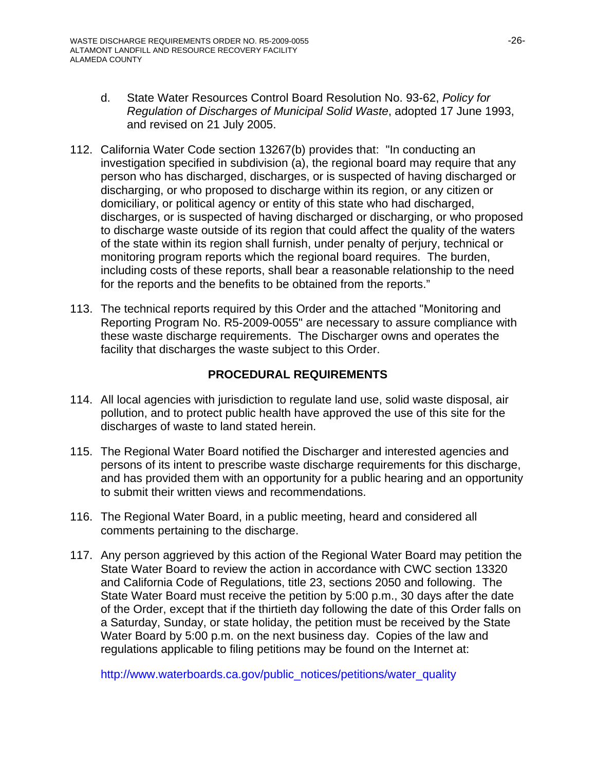- d. State Water Resources Control Board Resolution No. 93-62, *Policy for Regulation of Discharges of Municipal Solid Waste*, adopted 17 June 1993, and revised on 21 July 2005.
- 112. California Water Code section 13267(b) provides that: "In conducting an investigation specified in subdivision (a), the regional board may require that any person who has discharged, discharges, or is suspected of having discharged or discharging, or who proposed to discharge within its region, or any citizen or domiciliary, or political agency or entity of this state who had discharged, discharges, or is suspected of having discharged or discharging, or who proposed to discharge waste outside of its region that could affect the quality of the waters of the state within its region shall furnish, under penalty of perjury, technical or monitoring program reports which the regional board requires. The burden, including costs of these reports, shall bear a reasonable relationship to the need for the reports and the benefits to be obtained from the reports."
- 113. The technical reports required by this Order and the attached "Monitoring and Reporting Program No. R5-2009-0055" are necessary to assure compliance with these waste discharge requirements. The Discharger owns and operates the facility that discharges the waste subject to this Order.

## **PROCEDURAL REQUIREMENTS**

- 114. All local agencies with jurisdiction to regulate land use, solid waste disposal, air pollution, and to protect public health have approved the use of this site for the discharges of waste to land stated herein.
- 115. The Regional Water Board notified the Discharger and interested agencies and persons of its intent to prescribe waste discharge requirements for this discharge, and has provided them with an opportunity for a public hearing and an opportunity to submit their written views and recommendations.
- 116. The Regional Water Board, in a public meeting, heard and considered all comments pertaining to the discharge.
- 117. Any person aggrieved by this action of the Regional Water Board may petition the State Water Board to review the action in accordance with CWC section 13320 and California Code of Regulations, title 23, sections 2050 and following. The State Water Board must receive the petition by 5:00 p.m., 30 days after the date of the Order, except that if the thirtieth day following the date of this Order falls on a Saturday, Sunday, or state holiday, the petition must be received by the State Water Board by 5:00 p.m. on the next business day. Copies of the law and regulations applicable to filing petitions may be found on the Internet at:

http://www.waterboards.ca.gov/public\_notices/petitions/water\_quality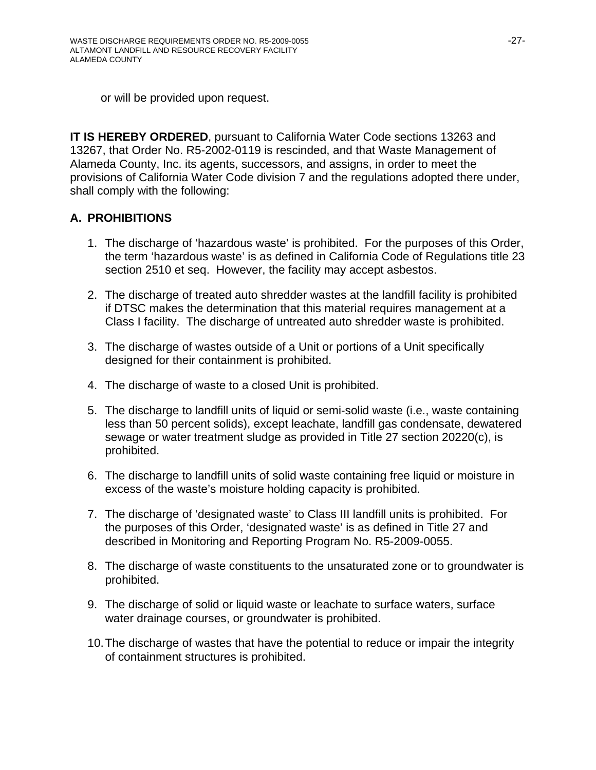or will be provided upon request.

**IT IS HEREBY ORDERED, pursuant to California Water Code sections 13263 and** 13267, that Order No. R5-2002-0119 is rescinded, and that Waste Management of Alameda County, Inc. its agents, successors, and assigns, in order to meet the provisions of California Water Code division 7 and the regulations adopted there under, shall comply with the following:

## **A. PROHIBITIONS**

- 1. The discharge of 'hazardous waste' is prohibited. For the purposes of this Order, the term 'hazardous waste' is as defined in California Code of Regulations title 23 section 2510 et seq. However, the facility may accept asbestos.
- 2. The discharge of treated auto shredder wastes at the landfill facility is prohibited if DTSC makes the determination that this material requires management at a Class I facility. The discharge of untreated auto shredder waste is prohibited.
- 3. The discharge of wastes outside of a Unit or portions of a Unit specifically designed for their containment is prohibited.
- 4. The discharge of waste to a closed Unit is prohibited.
- 5. The discharge to landfill units of liquid or semi-solid waste (i.e., waste containing less than 50 percent solids), except leachate, landfill gas condensate, dewatered sewage or water treatment sludge as provided in Title 27 section 20220(c), is prohibited.
- 6. The discharge to landfill units of solid waste containing free liquid or moisture in excess of the waste's moisture holding capacity is prohibited.
- 7. The discharge of 'designated waste' to Class III landfill units is prohibited. For the purposes of this Order, 'designated waste' is as defined in Title 27 and described in Monitoring and Reporting Program No. R5-2009-0055.
- 8. The discharge of waste constituents to the unsaturated zone or to groundwater is prohibited.
- 9. The discharge of solid or liquid waste or leachate to surface waters, surface water drainage courses, or groundwater is prohibited.
- 10. The discharge of wastes that have the potential to reduce or impair the integrity of containment structures is prohibited.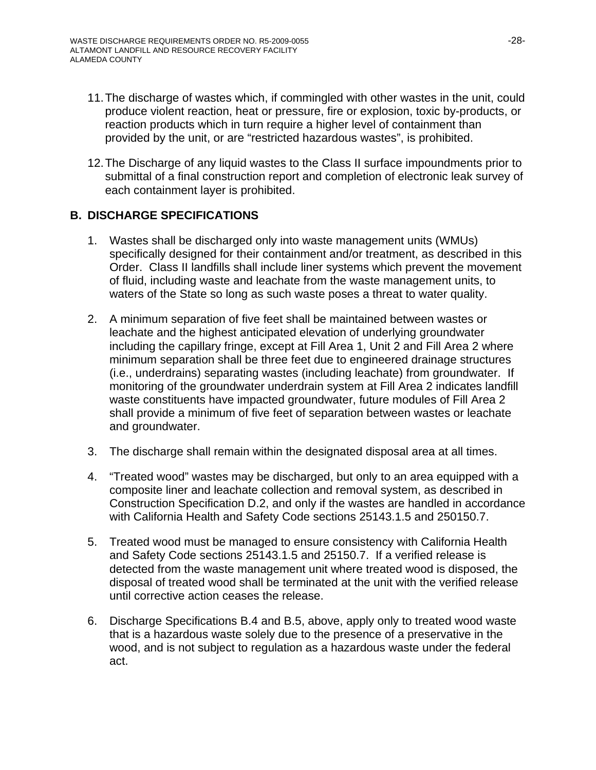- 11. The discharge of wastes which, if commingled with other wastes in the unit, could produce violent reaction, heat or pressure, fire or explosion, toxic by-products, or reaction products which in turn require a higher level of containment than provided by the unit, or are "restricted hazardous wastes", is prohibited.
- 12. The Discharge of any liquid wastes to the Class II surface impoundments prior to submittal of a final construction report and completion of electronic leak survey of each containment layer is prohibited.

## **B. DISCHARGE SPECIFICATIONS**

- 1. Wastes shall be discharged only into waste management units (WMUs) specifically designed for their containment and/or treatment, as described in this Order. Class II landfills shall include liner systems which prevent the movement of fluid, including waste and leachate from the waste management units, to waters of the State so long as such waste poses a threat to water quality.
- 2. A minimum separation of five feet shall be maintained between wastes or leachate and the highest anticipated elevation of underlying groundwater including the capillary fringe, except at Fill Area 1, Unit 2 and Fill Area 2 where minimum separation shall be three feet due to engineered drainage structures (i.e., underdrains) separating wastes (including leachate) from groundwater. If monitoring of the groundwater underdrain system at Fill Area 2 indicates landfill waste constituents have impacted groundwater, future modules of Fill Area 2 shall provide a minimum of five feet of separation between wastes or leachate and groundwater.
- 3. The discharge shall remain within the designated disposal area at all times.
- 4. "Treated wood" wastes may be discharged, but only to an area equipped with a composite liner and leachate collection and removal system, as described in Construction Specification D.2, and only if the wastes are handled in accordance with California Health and Safety Code sections 25143.1.5 and 250150.7.
- 5. Treated wood must be managed to ensure consistency with California Health and Safety Code sections 25143.1.5 and 25150.7. If a verified release is detected from the waste management unit where treated wood is disposed, the disposal of treated wood shall be terminated at the unit with the verified release until corrective action ceases the release.
- 6. Discharge Specifications B.4 and B.5, above, apply only to treated wood waste that is a hazardous waste solely due to the presence of a preservative in the wood, and is not subject to regulation as a hazardous waste under the federal act.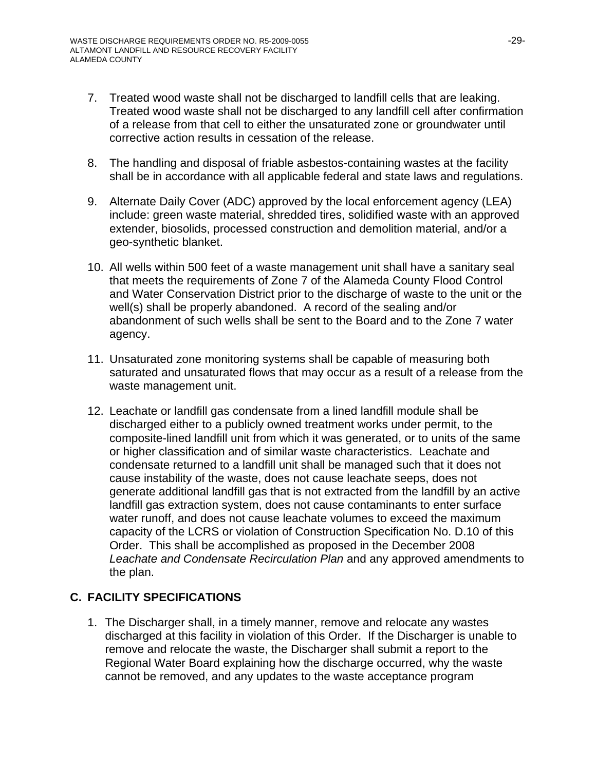- 7. Treated wood waste shall not be discharged to landfill cells that are leaking. Treated wood waste shall not be discharged to any landfill cell after confirmation of a release from that cell to either the unsaturated zone or groundwater until corrective action results in cessation of the release.
- 8. The handling and disposal of friable asbestos-containing wastes at the facility shall be in accordance with all applicable federal and state laws and regulations.
- 9. Alternate Daily Cover (ADC) approved by the local enforcement agency (LEA) include: green waste material, shredded tires, solidified waste with an approved extender, biosolids, processed construction and demolition material, and/or a geo-synthetic blanket.
- 10. All wells within 500 feet of a waste management unit shall have a sanitary seal that meets the requirements of Zone 7 of the Alameda County Flood Control and Water Conservation District prior to the discharge of waste to the unit or the well(s) shall be properly abandoned. A record of the sealing and/or abandonment of such wells shall be sent to the Board and to the Zone 7 water agency.
- 11. Unsaturated zone monitoring systems shall be capable of measuring both saturated and unsaturated flows that may occur as a result of a release from the waste management unit.
- 12. Leachate or landfill gas condensate from a lined landfill module shall be discharged either to a publicly owned treatment works under permit, to the composite-lined landfill unit from which it was generated, or to units of the same or higher classification and of similar waste characteristics. Leachate and condensate returned to a landfill unit shall be managed such that it does not cause instability of the waste, does not cause leachate seeps, does not generate additional landfill gas that is not extracted from the landfill by an active landfill gas extraction system, does not cause contaminants to enter surface water runoff, and does not cause leachate volumes to exceed the maximum capacity of the LCRS or violation of Construction Specification No. D.10 of this Order. This shall be accomplished as proposed in the December 2008 *Leachate and Condensate Recirculation Plan* and any approved amendments to the plan.

# **C. FACILITY SPECIFICATIONS**

1. The Discharger shall, in a timely manner, remove and relocate any wastes discharged at this facility in violation of this Order. If the Discharger is unable to remove and relocate the waste, the Discharger shall submit a report to the Regional Water Board explaining how the discharge occurred, why the waste cannot be removed, and any updates to the waste acceptance program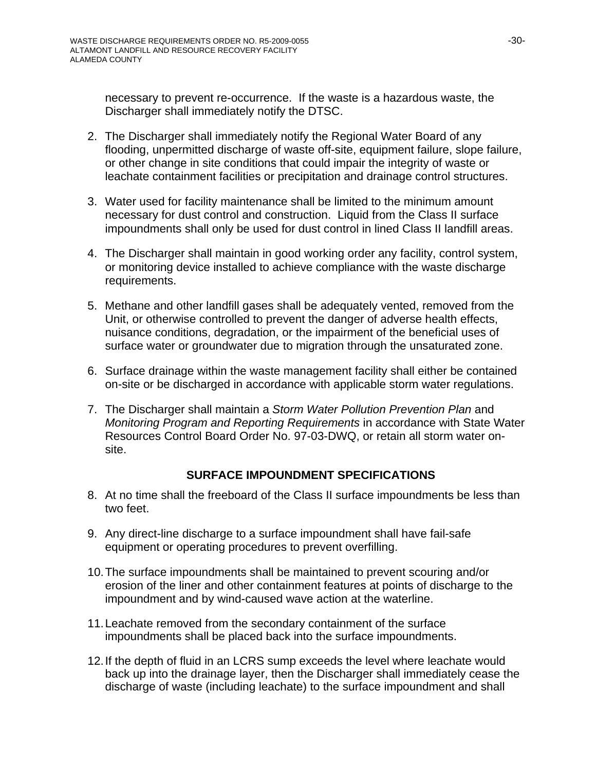necessary to prevent re-occurrence. If the waste is a hazardous waste, the Discharger shall immediately notify the DTSC.

- 2. The Discharger shall immediately notify the Regional Water Board of any flooding, unpermitted discharge of waste off-site, equipment failure, slope failure, or other change in site conditions that could impair the integrity of waste or leachate containment facilities or precipitation and drainage control structures.
- 3. Water used for facility maintenance shall be limited to the minimum amount necessary for dust control and construction. Liquid from the Class II surface impoundments shall only be used for dust control in lined Class II landfill areas.
- 4. The Discharger shall maintain in good working order any facility, control system, or monitoring device installed to achieve compliance with the waste discharge requirements.
- 5. Methane and other landfill gases shall be adequately vented, removed from the Unit, or otherwise controlled to prevent the danger of adverse health effects, nuisance conditions, degradation, or the impairment of the beneficial uses of surface water or groundwater due to migration through the unsaturated zone.
- 6. Surface drainage within the waste management facility shall either be contained on-site or be discharged in accordance with applicable storm water regulations.
- 7. The Discharger shall maintain a *Storm Water Pollution Prevention Plan* and *Monitoring Program and Reporting Requirements* in accordance with State Water Resources Control Board Order No. 97-03-DWQ, or retain all storm water onsite.

## **SURFACE IMPOUNDMENT SPECIFICATIONS**

- 8. At no time shall the freeboard of the Class II surface impoundments be less than two feet.
- 9. Any direct-line discharge to a surface impoundment shall have fail-safe equipment or operating procedures to prevent overfilling.
- 10. The surface impoundments shall be maintained to prevent scouring and/or erosion of the liner and other containment features at points of discharge to the impoundment and by wind-caused wave action at the waterline.
- 11. Leachate removed from the secondary containment of the surface impoundments shall be placed back into the surface impoundments.
- 12. If the depth of fluid in an LCRS sump exceeds the level where leachate would back up into the drainage layer, then the Discharger shall immediately cease the discharge of waste (including leachate) to the surface impoundment and shall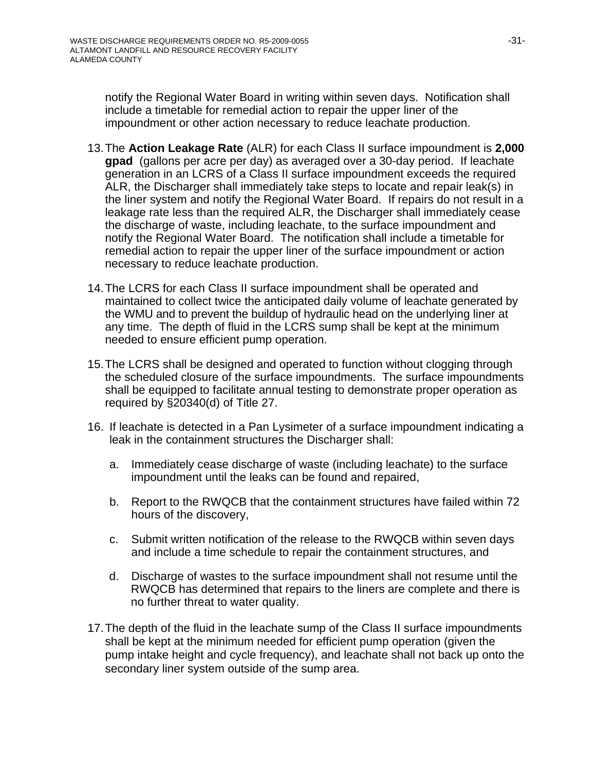notify the Regional Water Board in writing within seven days. Notification shall include a timetable for remedial action to repair the upper liner of the impoundment or other action necessary to reduce leachate production.

- 13. The **Action Leakage Rate** (ALR) for each Class II surface impoundment is **2,000 gpad** (gallons per acre per day) as averaged over a 30-day period. If leachate generation in an LCRS of a Class II surface impoundment exceeds the required ALR, the Discharger shall immediately take steps to locate and repair leak(s) in the liner system and notify the Regional Water Board. If repairs do not result in a leakage rate less than the required ALR, the Discharger shall immediately cease the discharge of waste, including leachate, to the surface impoundment and notify the Regional Water Board. The notification shall include a timetable for remedial action to repair the upper liner of the surface impoundment or action necessary to reduce leachate production.
- 14. The LCRS for each Class II surface impoundment shall be operated and maintained to collect twice the anticipated daily volume of leachate generated by the WMU and to prevent the buildup of hydraulic head on the underlying liner at any time. The depth of fluid in the LCRS sump shall be kept at the minimum needed to ensure efficient pump operation.
- 15. The LCRS shall be designed and operated to function without clogging through the scheduled closure of the surface impoundments. The surface impoundments shall be equipped to facilitate annual testing to demonstrate proper operation as required by §20340(d) of Title 27.
- 16. If leachate is detected in a Pan Lysimeter of a surface impoundment indicating a leak in the containment structures the Discharger shall:
	- a. Immediately cease discharge of waste (including leachate) to the surface impoundment until the leaks can be found and repaired,
	- b. Report to the RWQCB that the containment structures have failed within 72 hours of the discovery,
	- c. Submit written notification of the release to the RWQCB within seven days and include a time schedule to repair the containment structures, and
	- d. Discharge of wastes to the surface impoundment shall not resume until the RWQCB has determined that repairs to the liners are complete and there is no further threat to water quality.
- 17. The depth of the fluid in the leachate sump of the Class II surface impoundments shall be kept at the minimum needed for efficient pump operation (given the pump intake height and cycle frequency), and leachate shall not back up onto the secondary liner system outside of the sump area.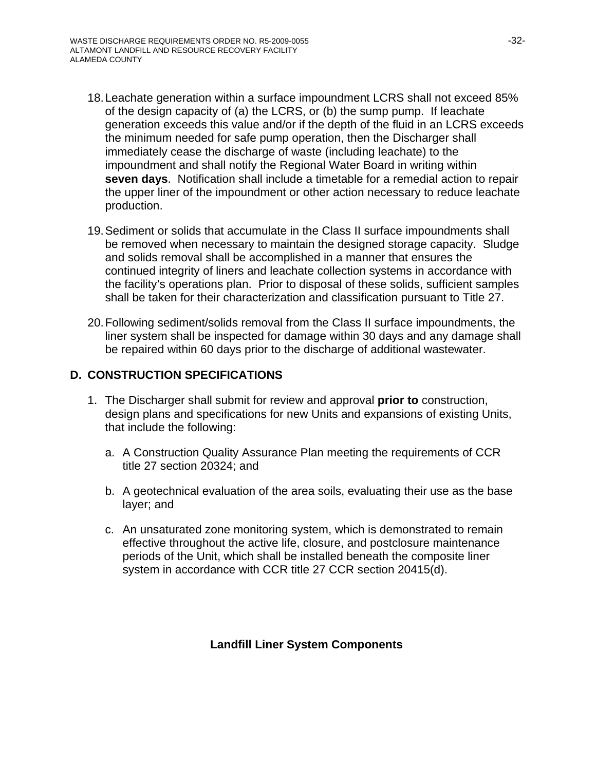- 18. Leachate generation within a surface impoundment LCRS shall not exceed 85% of the design capacity of (a) the LCRS, or (b) the sump pump. If leachate generation exceeds this value and/or if the depth of the fluid in an LCRS exceeds the minimum needed for safe pump operation, then the Discharger shall immediately cease the discharge of waste (including leachate) to the impoundment and shall notify the Regional Water Board in writing within **seven days**. Notification shall include a timetable for a remedial action to repair the upper liner of the impoundment or other action necessary to reduce leachate production.
- 19. Sediment or solids that accumulate in the Class II surface impoundments shall be removed when necessary to maintain the designed storage capacity. Sludge and solids removal shall be accomplished in a manner that ensures the continued integrity of liners and leachate collection systems in accordance with the facility's operations plan. Prior to disposal of these solids, sufficient samples shall be taken for their characterization and classification pursuant to Title 27.
- 20. Following sediment/solids removal from the Class II surface impoundments, the liner system shall be inspected for damage within 30 days and any damage shall be repaired within 60 days prior to the discharge of additional wastewater.

## **D. CONSTRUCTION SPECIFICATIONS**

- 1. The Discharger shall submit for review and approval **prior to** construction, design plans and specifications for new Units and expansions of existing Units, that include the following:
	- a. A Construction Quality Assurance Plan meeting the requirements of CCR title 27 section 20324; and
	- b. A geotechnical evaluation of the area soils, evaluating their use as the base layer; and
	- c. An unsaturated zone monitoring system, which is demonstrated to remain effective throughout the active life, closure, and postclosure maintenance periods of the Unit, which shall be installed beneath the composite liner system in accordance with CCR title 27 CCR section 20415(d).

### **Landfill Liner System Components**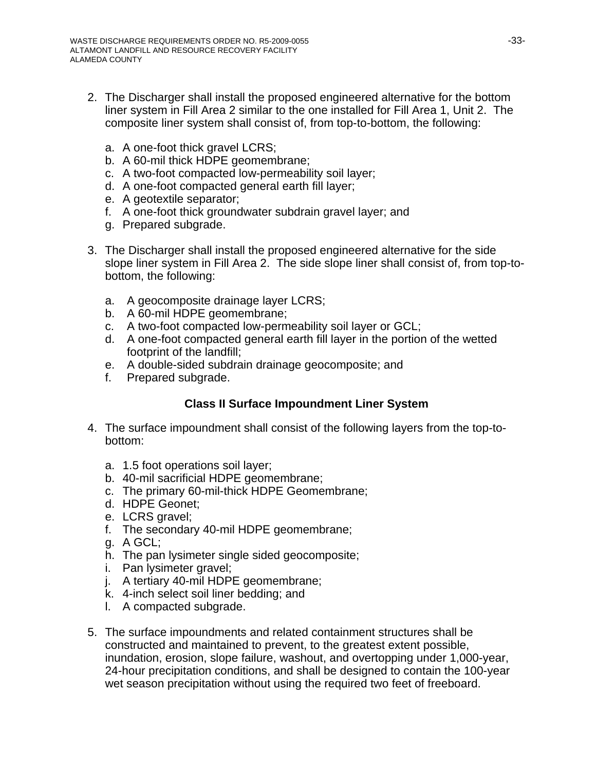- 2. The Discharger shall install the proposed engineered alternative for the bottom liner system in Fill Area 2 similar to the one installed for Fill Area 1, Unit 2. The composite liner system shall consist of, from top-to-bottom, the following:
	- a. A one-foot thick gravel LCRS;
	- b. A 60-mil thick HDPE geomembrane;
	- c. A two-foot compacted low-permeability soil layer;
	- d. A one-foot compacted general earth fill layer;
	- e. A geotextile separator;
	- f. A one-foot thick groundwater subdrain gravel layer; and
	- g. Prepared subgrade.
- 3. The Discharger shall install the proposed engineered alternative for the side slope liner system in Fill Area 2. The side slope liner shall consist of, from top-tobottom, the following:
	- a. A geocomposite drainage layer LCRS;
	- b. A 60-mil HDPE geomembrane;
	- c. A two-foot compacted low-permeability soil layer or GCL;
	- d. A one-foot compacted general earth fill layer in the portion of the wetted footprint of the landfill;
	- e. A double-sided subdrain drainage geocomposite; and
	- f. Prepared subgrade.

# **Class II Surface Impoundment Liner System**

- 4. The surface impoundment shall consist of the following layers from the top-tobottom:
	- a. 1.5 foot operations soil layer;
	- b. 40-mil sacrificial HDPE geomembrane;
	- c. The primary 60-mil-thick HDPE Geomembrane;
	- d. HDPE Geonet;
	- e. LCRS gravel;
	- f. The secondary 40-mil HDPE geomembrane;
	- g. A GCL;
	- h. The pan lysimeter single sided geocomposite;
	- i. Pan lysimeter gravel;
	- j. A tertiary 40-mil HDPE geomembrane;
	- k. 4-inch select soil liner bedding; and
	- l. A compacted subgrade.
- 5. The surface impoundments and related containment structures shall be constructed and maintained to prevent, to the greatest extent possible, inundation, erosion, slope failure, washout, and overtopping under 1,000-year, 24-hour precipitation conditions, and shall be designed to contain the 100-year wet season precipitation without using the required two feet of freeboard.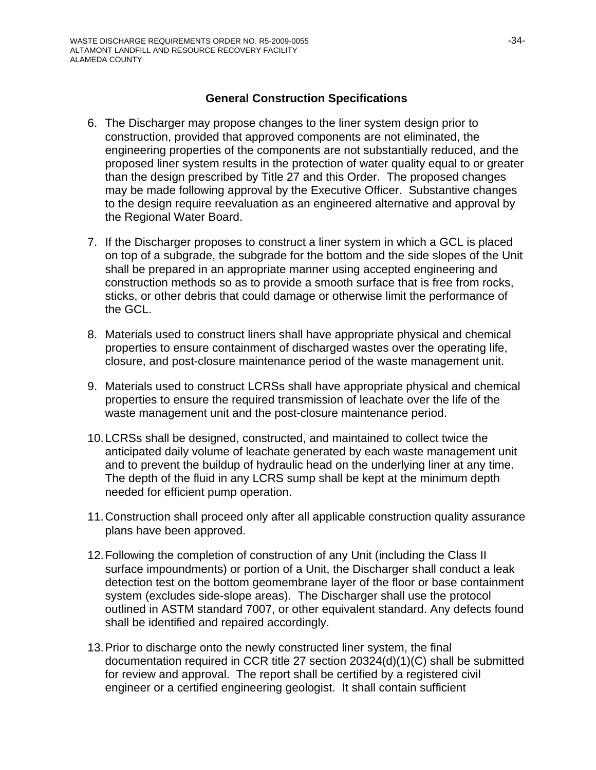### **General Construction Specifications**

- 6. The Discharger may propose changes to the liner system design prior to construction, provided that approved components are not eliminated, the engineering properties of the components are not substantially reduced, and the proposed liner system results in the protection of water quality equal to or greater than the design prescribed by Title 27 and this Order. The proposed changes may be made following approval by the Executive Officer. Substantive changes to the design require reevaluation as an engineered alternative and approval by the Regional Water Board.
- 7. If the Discharger proposes to construct a liner system in which a GCL is placed on top of a subgrade, the subgrade for the bottom and the side slopes of the Unit shall be prepared in an appropriate manner using accepted engineering and construction methods so as to provide a smooth surface that is free from rocks, sticks, or other debris that could damage or otherwise limit the performance of the GCL.
- 8. Materials used to construct liners shall have appropriate physical and chemical properties to ensure containment of discharged wastes over the operating life, closure, and post-closure maintenance period of the waste management unit.
- 9. Materials used to construct LCRSs shall have appropriate physical and chemical properties to ensure the required transmission of leachate over the life of the waste management unit and the post-closure maintenance period.
- 10. LCRSs shall be designed, constructed, and maintained to collect twice the anticipated daily volume of leachate generated by each waste management unit and to prevent the buildup of hydraulic head on the underlying liner at any time. The depth of the fluid in any LCRS sump shall be kept at the minimum depth needed for efficient pump operation.
- 11. Construction shall proceed only after all applicable construction quality assurance plans have been approved.
- 12. Following the completion of construction of any Unit (including the Class II surface impoundments) or portion of a Unit, the Discharger shall conduct a leak detection test on the bottom geomembrane layer of the floor or base containment system (excludes side-slope areas). The Discharger shall use the protocol outlined in ASTM standard 7007, or other equivalent standard. Any defects found shall be identified and repaired accordingly.
- 13. Prior to discharge onto the newly constructed liner system, the final documentation required in CCR title 27 section 20324(d)(1)(C) shall be submitted for review and approval. The report shall be certified by a registered civil engineer or a certified engineering geologist. It shall contain sufficient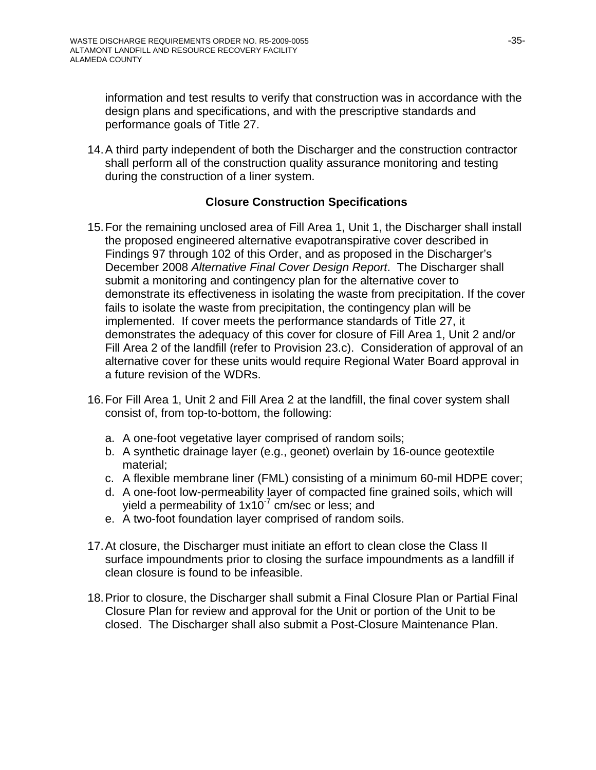information and test results to verify that construction was in accordance with the design plans and specifications, and with the prescriptive standards and performance goals of Title 27.

14. A third party independent of both the Discharger and the construction contractor shall perform all of the construction quality assurance monitoring and testing during the construction of a liner system.

## **Closure Construction Specifications**

- 15. For the remaining unclosed area of Fill Area 1, Unit 1, the Discharger shall install the proposed engineered alternative evapotranspirative cover described in Findings 97 through 102 of this Order, and as proposed in the Discharger's December 2008 *Alternative Final Cover Design Report*. The Discharger shall submit a monitoring and contingency plan for the alternative cover to demonstrate its effectiveness in isolating the waste from precipitation. If the cover fails to isolate the waste from precipitation, the contingency plan will be implemented. If cover meets the performance standards of Title 27, it demonstrates the adequacy of this cover for closure of Fill Area 1, Unit 2 and/or Fill Area 2 of the landfill (refer to Provision 23.c). Consideration of approval of an alternative cover for these units would require Regional Water Board approval in a future revision of the WDRs.
- 16. For Fill Area 1, Unit 2 and Fill Area 2 at the landfill, the final cover system shall consist of, from top-to-bottom, the following:
	- a. A one-foot vegetative layer comprised of random soils;
	- b. A synthetic drainage layer (e.g., geonet) overlain by 16-ounce geotextile material;
	- c. A flexible membrane liner (FML) consisting of a minimum 60-mil HDPE cover;
	- d. A one-foot low-permeability layer of compacted fine grained soils, which will yield a permeability of  $1x10^{-7}$  cm/sec or less; and
	- e. A two-foot foundation layer comprised of random soils.
- 17. At closure, the Discharger must initiate an effort to clean close the Class II surface impoundments prior to closing the surface impoundments as a landfill if clean closure is found to be infeasible.
- 18. Prior to closure, the Discharger shall submit a Final Closure Plan or Partial Final Closure Plan for review and approval for the Unit or portion of the Unit to be closed. The Discharger shall also submit a Post-Closure Maintenance Plan.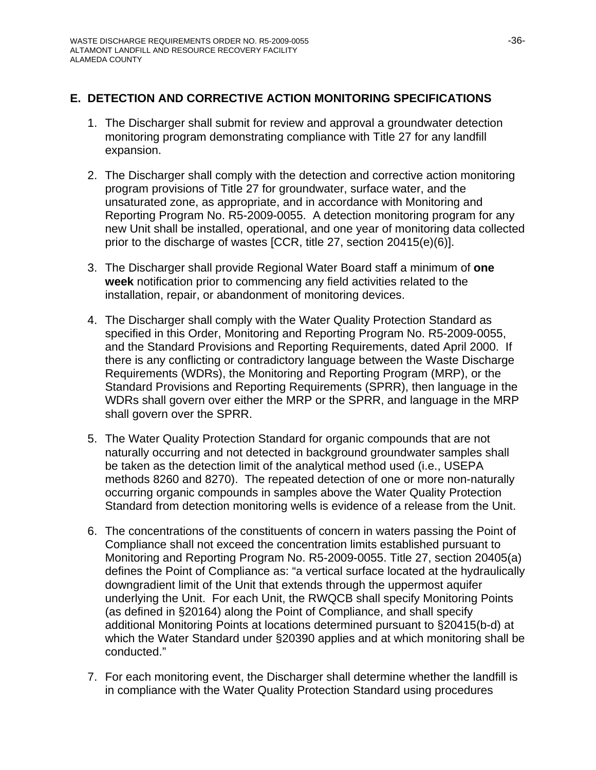## **E. DETECTION AND CORRECTIVE ACTION MONITORING SPECIFICATIONS**

- 1. The Discharger shall submit for review and approval a groundwater detection monitoring program demonstrating compliance with Title 27 for any landfill expansion.
- 2. The Discharger shall comply with the detection and corrective action monitoring program provisions of Title 27 for groundwater, surface water, and the unsaturated zone, as appropriate, and in accordance with Monitoring and Reporting Program No. R5-2009-0055. A detection monitoring program for any new Unit shall be installed, operational, and one year of monitoring data collected prior to the discharge of wastes [CCR, title 27, section 20415(e)(6)].
- 3. The Discharger shall provide Regional Water Board staff a minimum of **one week** notification prior to commencing any field activities related to the installation, repair, or abandonment of monitoring devices.
- 4. The Discharger shall comply with the Water Quality Protection Standard as specified in this Order, Monitoring and Reporting Program No. R5-2009-0055, and the Standard Provisions and Reporting Requirements, dated April 2000. If there is any conflicting or contradictory language between the Waste Discharge Requirements (WDRs), the Monitoring and Reporting Program (MRP), or the Standard Provisions and Reporting Requirements (SPRR), then language in the WDRs shall govern over either the MRP or the SPRR, and language in the MRP shall govern over the SPRR.
- 5. The Water Quality Protection Standard for organic compounds that are not naturally occurring and not detected in background groundwater samples shall be taken as the detection limit of the analytical method used (i.e., USEPA methods 8260 and 8270). The repeated detection of one or more non-naturally occurring organic compounds in samples above the Water Quality Protection Standard from detection monitoring wells is evidence of a release from the Unit.
- 6. The concentrations of the constituents of concern in waters passing the Point of Compliance shall not exceed the concentration limits established pursuant to Monitoring and Reporting Program No. R5-2009-0055. Title 27, section 20405(a) defines the Point of Compliance as: "a vertical surface located at the hydraulically downgradient limit of the Unit that extends through the uppermost aquifer underlying the Unit. For each Unit, the RWQCB shall specify Monitoring Points (as defined in §20164) along the Point of Compliance, and shall specify additional Monitoring Points at locations determined pursuant to §20415(b-d) at which the Water Standard under §20390 applies and at which monitoring shall be conducted."
- 7. For each monitoring event, the Discharger shall determine whether the landfill is in compliance with the Water Quality Protection Standard using procedures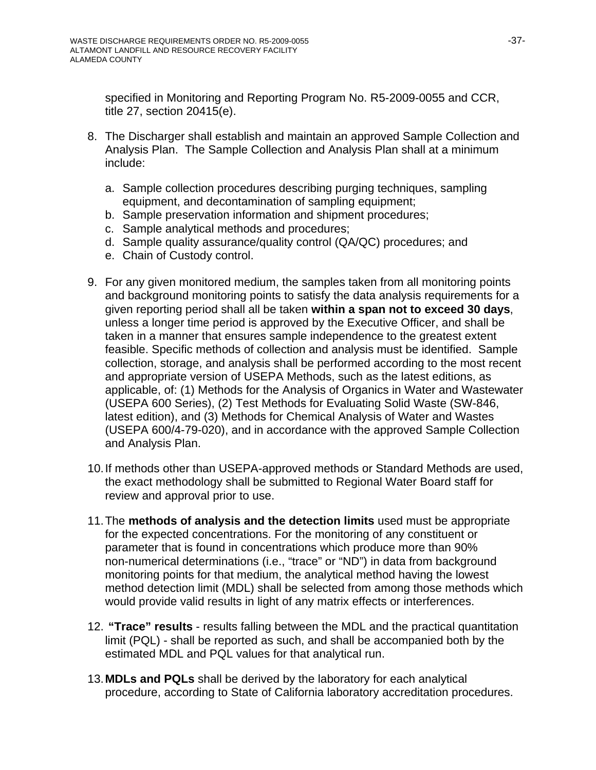specified in Monitoring and Reporting Program No. R5-2009-0055 and CCR, title 27, section 20415(e).

- 8. The Discharger shall establish and maintain an approved Sample Collection and Analysis Plan. The Sample Collection and Analysis Plan shall at a minimum include:
	- a. Sample collection procedures describing purging techniques, sampling equipment, and decontamination of sampling equipment;
	- b. Sample preservation information and shipment procedures;
	- c. Sample analytical methods and procedures;
	- d. Sample quality assurance/quality control (QA/QC) procedures; and
	- e. Chain of Custody control.
- 9. For any given monitored medium, the samples taken from all monitoring points and background monitoring points to satisfy the data analysis requirements for a given reporting period shall all be taken **within a span not to exceed 30 days**, unless a longer time period is approved by the Executive Officer, and shall be taken in a manner that ensures sample independence to the greatest extent feasible. Specific methods of collection and analysis must be identified. Sample collection, storage, and analysis shall be performed according to the most recent and appropriate version of USEPA Methods, such as the latest editions, as applicable, of: (1) Methods for the Analysis of Organics in Water and Wastewater (USEPA 600 Series), (2) Test Methods for Evaluating Solid Waste (SW-846, latest edition), and (3) Methods for Chemical Analysis of Water and Wastes (USEPA 600/4-79-020), and in accordance with the approved Sample Collection and Analysis Plan.
- 10. If methods other than USEPA-approved methods or Standard Methods are used, the exact methodology shall be submitted to Regional Water Board staff for review and approval prior to use.
- 11. The **methods of analysis and the detection limits** used must be appropriate for the expected concentrations. For the monitoring of any constituent or parameter that is found in concentrations which produce more than 90% non-numerical determinations (i.e., "trace" or "ND") in data from background monitoring points for that medium, the analytical method having the lowest method detection limit (MDL) shall be selected from among those methods which would provide valid results in light of any matrix effects or interferences.
- 12. **"Trace" results** results falling between the MDL and the practical quantitation limit (PQL) - shall be reported as such, and shall be accompanied both by the estimated MDL and PQL values for that analytical run.
- 13. **MDLs and PQLs** shall be derived by the laboratory for each analytical procedure, according to State of California laboratory accreditation procedures.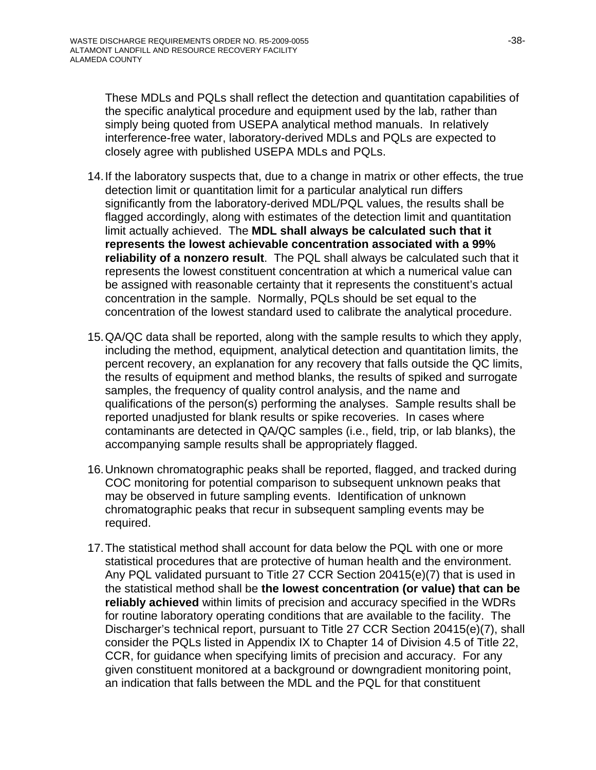These MDLs and PQLs shall reflect the detection and quantitation capabilities of the specific analytical procedure and equipment used by the lab, rather than simply being quoted from USEPA analytical method manuals. In relatively interference-free water, laboratory-derived MDLs and PQLs are expected to closely agree with published USEPA MDLs and PQLs.

- 14. If the laboratory suspects that, due to a change in matrix or other effects, the true detection limit or quantitation limit for a particular analytical run differs significantly from the laboratory-derived MDL/PQL values, the results shall be flagged accordingly, along with estimates of the detection limit and quantitation limit actually achieved. The **MDL shall always be calculated such that it represents the lowest achievable concentration associated with a 99% reliability of a nonzero result**. The PQL shall always be calculated such that it represents the lowest constituent concentration at which a numerical value can be assigned with reasonable certainty that it represents the constituent's actual concentration in the sample. Normally, PQLs should be set equal to the concentration of the lowest standard used to calibrate the analytical procedure.
- 15. QA/QC data shall be reported, along with the sample results to which they apply, including the method, equipment, analytical detection and quantitation limits, the percent recovery, an explanation for any recovery that falls outside the QC limits, the results of equipment and method blanks, the results of spiked and surrogate samples, the frequency of quality control analysis, and the name and qualifications of the person(s) performing the analyses. Sample results shall be reported unadjusted for blank results or spike recoveries. In cases where contaminants are detected in QA/QC samples (i.e., field, trip, or lab blanks), the accompanying sample results shall be appropriately flagged.
- 16. Unknown chromatographic peaks shall be reported, flagged, and tracked during COC monitoring for potential comparison to subsequent unknown peaks that may be observed in future sampling events. Identification of unknown chromatographic peaks that recur in subsequent sampling events may be required.
- 17. The statistical method shall account for data below the PQL with one or more statistical procedures that are protective of human health and the environment. Any PQL validated pursuant to Title 27 CCR Section 20415(e)(7) that is used in the statistical method shall be **the lowest concentration (or value) that can be reliably achieved** within limits of precision and accuracy specified in the WDRs for routine laboratory operating conditions that are available to the facility. The Discharger's technical report, pursuant to Title 27 CCR Section 20415(e)(7), shall consider the PQLs listed in Appendix IX to Chapter 14 of Division 4.5 of Title 22, CCR, for guidance when specifying limits of precision and accuracy. For any given constituent monitored at a background or downgradient monitoring point, an indication that falls between the MDL and the PQL for that constituent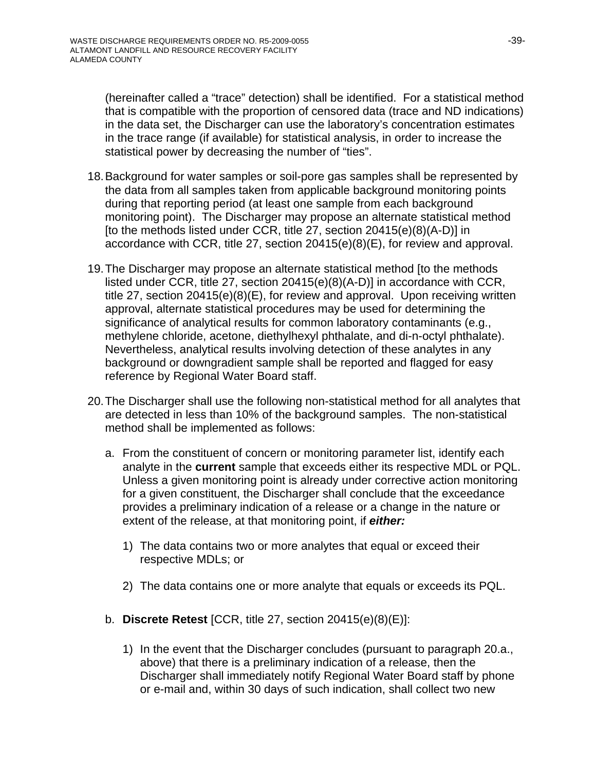(hereinafter called a "trace" detection) shall be identified. For a statistical method that is compatible with the proportion of censored data (trace and ND indications) in the data set, the Discharger can use the laboratory's concentration estimates in the trace range (if available) for statistical analysis, in order to increase the statistical power by decreasing the number of "ties".

- 18. Background for water samples or soil-pore gas samples shall be represented by the data from all samples taken from applicable background monitoring points during that reporting period (at least one sample from each background monitoring point). The Discharger may propose an alternate statistical method [to the methods listed under CCR, title 27, section 20415(e)(8)(A-D)] in accordance with CCR, title 27, section 20415(e)(8)(E), for review and approval.
- 19. The Discharger may propose an alternate statistical method [to the methods listed under CCR, title 27, section 20415(e)(8)(A-D)] in accordance with CCR, title 27, section 20415(e)(8)(E), for review and approval. Upon receiving written approval, alternate statistical procedures may be used for determining the significance of analytical results for common laboratory contaminants (e.g., methylene chloride, acetone, diethylhexyl phthalate, and di-n-octyl phthalate). Nevertheless, analytical results involving detection of these analytes in any background or downgradient sample shall be reported and flagged for easy reference by Regional Water Board staff.
- 20. The Discharger shall use the following non-statistical method for all analytes that are detected in less than 10% of the background samples. The non-statistical method shall be implemented as follows:
	- a. From the constituent of concern or monitoring parameter list, identify each analyte in the **current** sample that exceeds either its respective MDL or PQL. Unless a given monitoring point is already under corrective action monitoring for a given constituent, the Discharger shall conclude that the exceedance provides a preliminary indication of a release or a change in the nature or extent of the release, at that monitoring point, if *either:* 
		- 1) The data contains two or more analytes that equal or exceed their respective MDLs; or
		- 2) The data contains one or more analyte that equals or exceeds its PQL.
	- b. **Discrete Retest** [CCR, title 27, section 20415(e)(8)(E)]:
		- 1) In the event that the Discharger concludes (pursuant to paragraph 20.a., above) that there is a preliminary indication of a release, then the Discharger shall immediately notify Regional Water Board staff by phone or e-mail and, within 30 days of such indication, shall collect two new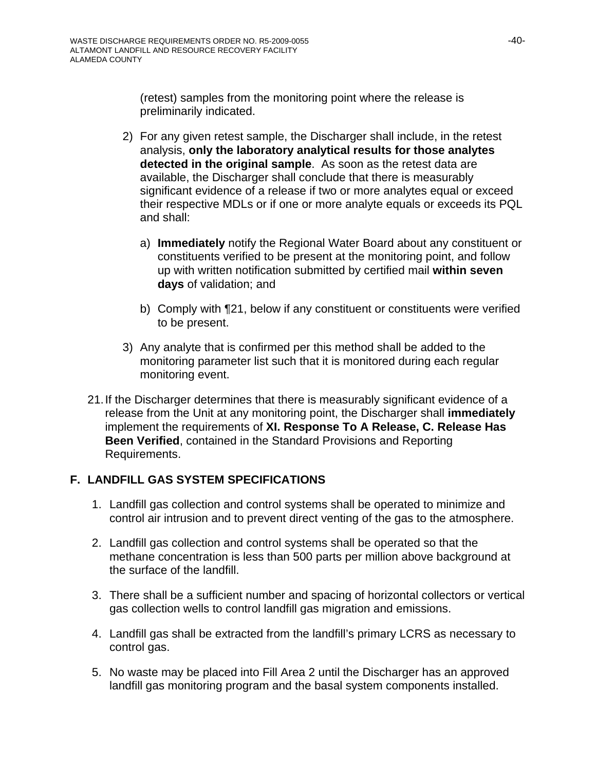(retest) samples from the monitoring point where the release is preliminarily indicated.

- 2) For any given retest sample, the Discharger shall include, in the retest analysis, **only the laboratory analytical results for those analytes detected in the original sample**. As soon as the retest data are available, the Discharger shall conclude that there is measurably significant evidence of a release if two or more analytes equal or exceed their respective MDLs or if one or more analyte equals or exceeds its PQL and shall:
	- a) **Immediately** notify the Regional Water Board about any constituent or constituents verified to be present at the monitoring point, and follow up with written notification submitted by certified mail **within seven days** of validation; and
	- b) Comply with ¶21, below if any constituent or constituents were verified to be present.
- 3) Any analyte that is confirmed per this method shall be added to the monitoring parameter list such that it is monitored during each regular monitoring event.
- 21. If the Discharger determines that there is measurably significant evidence of a release from the Unit at any monitoring point, the Discharger shall **immediately** implement the requirements of **XI. Response To A Release, C. Release Has Been Verified**, contained in the Standard Provisions and Reporting Requirements.

# **F. LANDFILL GAS SYSTEM SPECIFICATIONS**

- 1. Landfill gas collection and control systems shall be operated to minimize and control air intrusion and to prevent direct venting of the gas to the atmosphere.
- 2. Landfill gas collection and control systems shall be operated so that the methane concentration is less than 500 parts per million above background at the surface of the landfill.
- 3. There shall be a sufficient number and spacing of horizontal collectors or vertical gas collection wells to control landfill gas migration and emissions.
- 4. Landfill gas shall be extracted from the landfill's primary LCRS as necessary to control gas.
- 5. No waste may be placed into Fill Area 2 until the Discharger has an approved landfill gas monitoring program and the basal system components installed.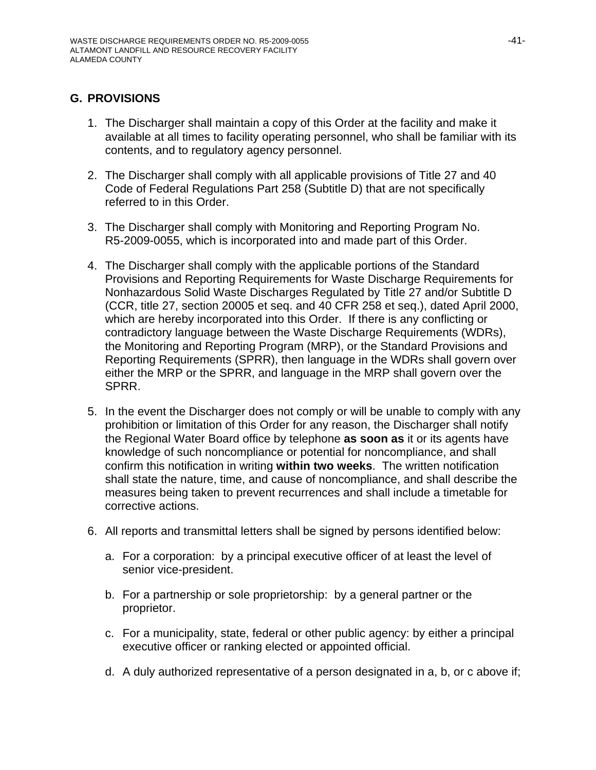# **G. PROVISIONS**

- 1. The Discharger shall maintain a copy of this Order at the facility and make it available at all times to facility operating personnel, who shall be familiar with its contents, and to regulatory agency personnel.
- 2. The Discharger shall comply with all applicable provisions of Title 27 and 40 Code of Federal Regulations Part 258 (Subtitle D) that are not specifically referred to in this Order.
- 3. The Discharger shall comply with Monitoring and Reporting Program No. R5-2009-0055, which is incorporated into and made part of this Order.
- 4. The Discharger shall comply with the applicable portions of the Standard Provisions and Reporting Requirements for Waste Discharge Requirements for Nonhazardous Solid Waste Discharges Regulated by Title 27 and/or Subtitle D (CCR, title 27, section 20005 et seq. and 40 CFR 258 et seq.), dated April 2000, which are hereby incorporated into this Order. If there is any conflicting or contradictory language between the Waste Discharge Requirements (WDRs), the Monitoring and Reporting Program (MRP), or the Standard Provisions and Reporting Requirements (SPRR), then language in the WDRs shall govern over either the MRP or the SPRR, and language in the MRP shall govern over the SPRR.
- 5. In the event the Discharger does not comply or will be unable to comply with any prohibition or limitation of this Order for any reason, the Discharger shall notify the Regional Water Board office by telephone **as soon as** it or its agents have knowledge of such noncompliance or potential for noncompliance, and shall confirm this notification in writing **within two weeks**. The written notification shall state the nature, time, and cause of noncompliance, and shall describe the measures being taken to prevent recurrences and shall include a timetable for corrective actions.
- 6. All reports and transmittal letters shall be signed by persons identified below:
	- a. For a corporation: by a principal executive officer of at least the level of senior vice-president.
	- b. For a partnership or sole proprietorship: by a general partner or the proprietor.
	- c. For a municipality, state, federal or other public agency: by either a principal executive officer or ranking elected or appointed official.
	- d. A duly authorized representative of a person designated in a, b, or c above if;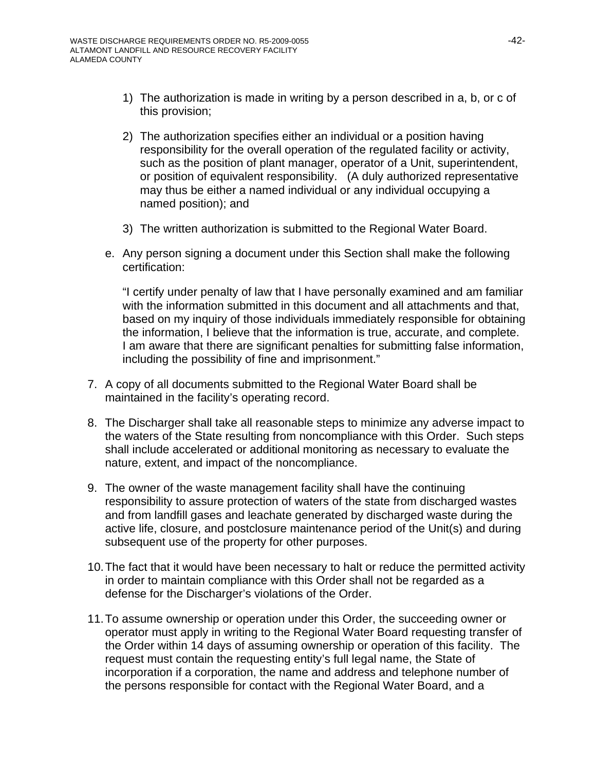- 1) The authorization is made in writing by a person described in a, b, or c of this provision;
- 2) The authorization specifies either an individual or a position having responsibility for the overall operation of the regulated facility or activity, such as the position of plant manager, operator of a Unit, superintendent, or position of equivalent responsibility. (A duly authorized representative may thus be either a named individual or any individual occupying a named position); and
- 3) The written authorization is submitted to the Regional Water Board.
- e. Any person signing a document under this Section shall make the following certification:

"I certify under penalty of law that I have personally examined and am familiar with the information submitted in this document and all attachments and that, based on my inquiry of those individuals immediately responsible for obtaining the information, I believe that the information is true, accurate, and complete. I am aware that there are significant penalties for submitting false information, including the possibility of fine and imprisonment."

- 7. A copy of all documents submitted to the Regional Water Board shall be maintained in the facility's operating record.
- 8. The Discharger shall take all reasonable steps to minimize any adverse impact to the waters of the State resulting from noncompliance with this Order. Such steps shall include accelerated or additional monitoring as necessary to evaluate the nature, extent, and impact of the noncompliance.
- 9. The owner of the waste management facility shall have the continuing responsibility to assure protection of waters of the state from discharged wastes and from landfill gases and leachate generated by discharged waste during the active life, closure, and postclosure maintenance period of the Unit(s) and during subsequent use of the property for other purposes.
- 10. The fact that it would have been necessary to halt or reduce the permitted activity in order to maintain compliance with this Order shall not be regarded as a defense for the Discharger's violations of the Order.
- 11. To assume ownership or operation under this Order, the succeeding owner or operator must apply in writing to the Regional Water Board requesting transfer of the Order within 14 days of assuming ownership or operation of this facility. The request must contain the requesting entity's full legal name, the State of incorporation if a corporation, the name and address and telephone number of the persons responsible for contact with the Regional Water Board, and a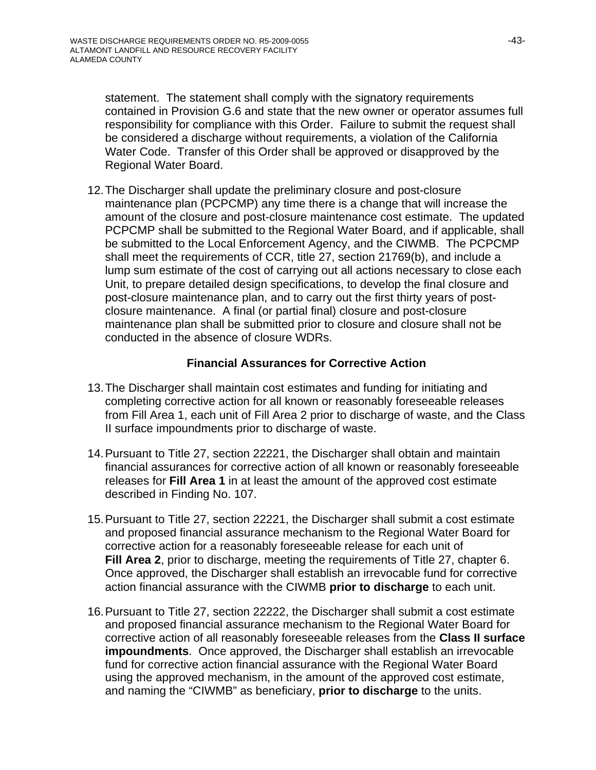statement. The statement shall comply with the signatory requirements contained in Provision G.6 and state that the new owner or operator assumes full responsibility for compliance with this Order. Failure to submit the request shall be considered a discharge without requirements, a violation of the California Water Code. Transfer of this Order shall be approved or disapproved by the Regional Water Board.

12. The Discharger shall update the preliminary closure and post-closure maintenance plan (PCPCMP) any time there is a change that will increase the amount of the closure and post-closure maintenance cost estimate. The updated PCPCMP shall be submitted to the Regional Water Board, and if applicable, shall be submitted to the Local Enforcement Agency, and the CIWMB. The PCPCMP shall meet the requirements of CCR, title 27, section 21769(b), and include a lump sum estimate of the cost of carrying out all actions necessary to close each Unit, to prepare detailed design specifications, to develop the final closure and post-closure maintenance plan, and to carry out the first thirty years of postclosure maintenance. A final (or partial final) closure and post-closure maintenance plan shall be submitted prior to closure and closure shall not be conducted in the absence of closure WDRs.

## **Financial Assurances for Corrective Action**

- 13. The Discharger shall maintain cost estimates and funding for initiating and completing corrective action for all known or reasonably foreseeable releases from Fill Area 1, each unit of Fill Area 2 prior to discharge of waste, and the Class II surface impoundments prior to discharge of waste.
- 14. Pursuant to Title 27, section 22221, the Discharger shall obtain and maintain financial assurances for corrective action of all known or reasonably foreseeable releases for **Fill Area 1** in at least the amount of the approved cost estimate described in Finding No. 107.
- 15. Pursuant to Title 27, section 22221, the Discharger shall submit a cost estimate and proposed financial assurance mechanism to the Regional Water Board for corrective action for a reasonably foreseeable release for each unit of **Fill Area 2**, prior to discharge, meeting the requirements of Title 27, chapter 6. Once approved, the Discharger shall establish an irrevocable fund for corrective action financial assurance with the CIWMB **prior to discharge** to each unit.
- 16. Pursuant to Title 27, section 22222, the Discharger shall submit a cost estimate and proposed financial assurance mechanism to the Regional Water Board for corrective action of all reasonably foreseeable releases from the **Class II surface impoundments**. Once approved, the Discharger shall establish an irrevocable fund for corrective action financial assurance with the Regional Water Board using the approved mechanism, in the amount of the approved cost estimate, and naming the "CIWMB" as beneficiary, **prior to discharge** to the units.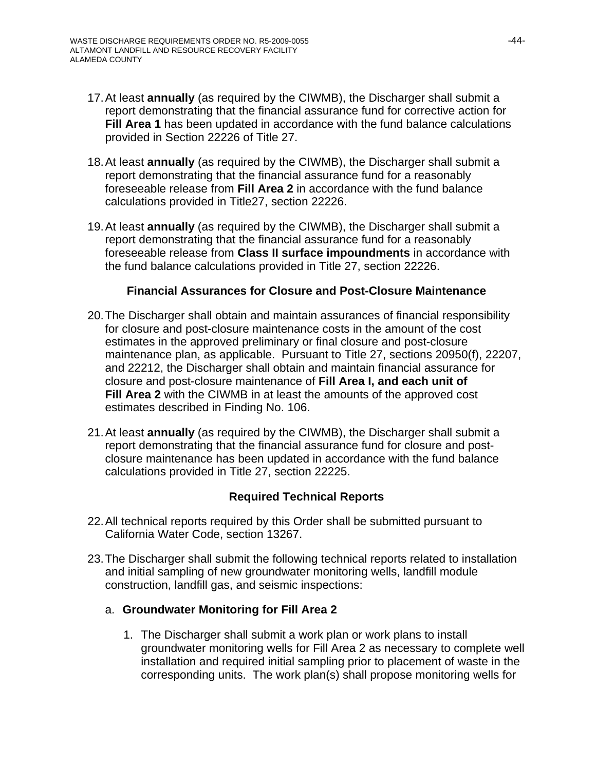- 17. At least **annually** (as required by the CIWMB), the Discharger shall submit a report demonstrating that the financial assurance fund for corrective action for **Fill Area 1** has been updated in accordance with the fund balance calculations provided in Section 22226 of Title 27.
- 18. At least **annually** (as required by the CIWMB), the Discharger shall submit a report demonstrating that the financial assurance fund for a reasonably foreseeable release from **Fill Area 2** in accordance with the fund balance calculations provided in Title27, section 22226.
- 19. At least **annually** (as required by the CIWMB), the Discharger shall submit a report demonstrating that the financial assurance fund for a reasonably foreseeable release from **Class II surface impoundments** in accordance with the fund balance calculations provided in Title 27, section 22226.

#### **Financial Assurances for Closure and Post-Closure Maintenance**

- 20. The Discharger shall obtain and maintain assurances of financial responsibility for closure and post-closure maintenance costs in the amount of the cost estimates in the approved preliminary or final closure and post-closure maintenance plan, as applicable. Pursuant to Title 27, sections 20950(f), 22207, and 22212, the Discharger shall obtain and maintain financial assurance for closure and post-closure maintenance of **Fill Area I, and each unit of Fill Area 2** with the CIWMB in at least the amounts of the approved cost estimates described in Finding No. 106.
- 21. At least **annually** (as required by the CIWMB), the Discharger shall submit a report demonstrating that the financial assurance fund for closure and postclosure maintenance has been updated in accordance with the fund balance calculations provided in Title 27, section 22225.

#### **Required Technical Reports**

- 22. All technical reports required by this Order shall be submitted pursuant to California Water Code, section 13267.
- 23. The Discharger shall submit the following technical reports related to installation and initial sampling of new groundwater monitoring wells, landfill module construction, landfill gas, and seismic inspections:

#### a. **Groundwater Monitoring for Fill Area 2**

1. The Discharger shall submit a work plan or work plans to install groundwater monitoring wells for Fill Area 2 as necessary to complete well installation and required initial sampling prior to placement of waste in the corresponding units. The work plan(s) shall propose monitoring wells for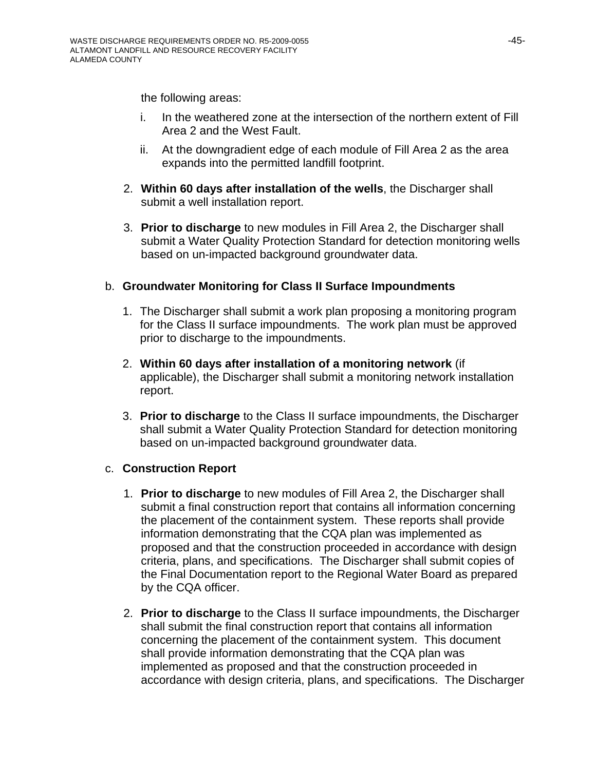the following areas:

- i. In the weathered zone at the intersection of the northern extent of Fill Area 2 and the West Fault.
- ii. At the downgradient edge of each module of Fill Area 2 as the area expands into the permitted landfill footprint.
- 2. **Within 60 days after installation of the wells**, the Discharger shall submit a well installation report.
- 3. **Prior to discharge** to new modules in Fill Area 2, the Discharger shall submit a Water Quality Protection Standard for detection monitoring wells based on un-impacted background groundwater data.

# b. **Groundwater Monitoring for Class II Surface Impoundments**

- 1. The Discharger shall submit a work plan proposing a monitoring program for the Class II surface impoundments. The work plan must be approved prior to discharge to the impoundments.
- 2. **Within 60 days after installation of a monitoring network** (if applicable), the Discharger shall submit a monitoring network installation report.
- 3. **Prior to discharge** to the Class II surface impoundments, the Discharger shall submit a Water Quality Protection Standard for detection monitoring based on un-impacted background groundwater data.

# c. **Construction Report**

- 1. **Prior to discharge** to new modules of Fill Area 2, the Discharger shall submit a final construction report that contains all information concerning the placement of the containment system. These reports shall provide information demonstrating that the CQA plan was implemented as proposed and that the construction proceeded in accordance with design criteria, plans, and specifications. The Discharger shall submit copies of the Final Documentation report to the Regional Water Board as prepared by the CQA officer.
- 2. **Prior to discharge** to the Class II surface impoundments, the Discharger shall submit the final construction report that contains all information concerning the placement of the containment system. This document shall provide information demonstrating that the CQA plan was implemented as proposed and that the construction proceeded in accordance with design criteria, plans, and specifications. The Discharger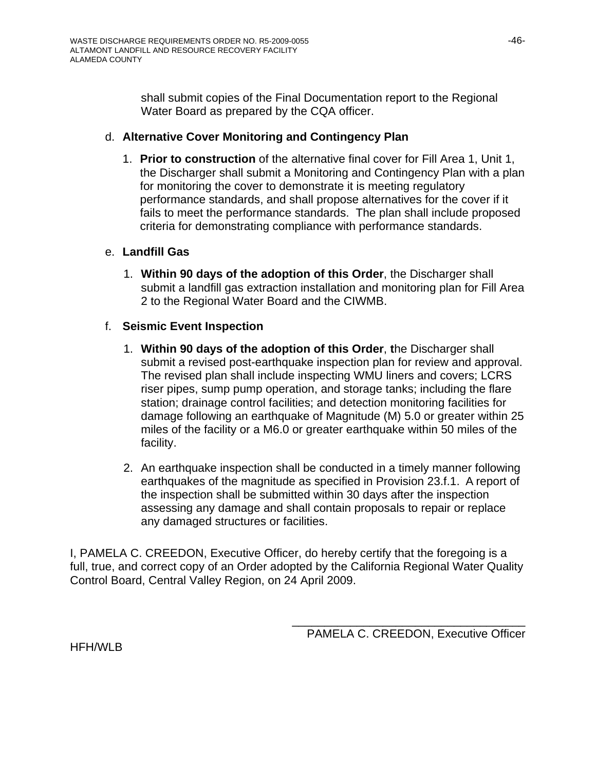shall submit copies of the Final Documentation report to the Regional Water Board as prepared by the CQA officer.

#### d. **Alternative Cover Monitoring and Contingency Plan**

1. **Prior to construction** of the alternative final cover for Fill Area 1, Unit 1, the Discharger shall submit a Monitoring and Contingency Plan with a plan for monitoring the cover to demonstrate it is meeting regulatory performance standards, and shall propose alternatives for the cover if it fails to meet the performance standards. The plan shall include proposed criteria for demonstrating compliance with performance standards.

#### e. **Landfill Gas**

1. **Within 90 days of the adoption of this Order**, the Discharger shall submit a landfill gas extraction installation and monitoring plan for Fill Area 2 to the Regional Water Board and the CIWMB.

## f. **Seismic Event Inspection**

- 1. **Within 90 days of the adoption of this Order**, **t**he Discharger shall submit a revised post-earthquake inspection plan for review and approval. The revised plan shall include inspecting WMU liners and covers; LCRS riser pipes, sump pump operation, and storage tanks; including the flare station; drainage control facilities; and detection monitoring facilities for damage following an earthquake of Magnitude (M) 5.0 or greater within 25 miles of the facility or a M6.0 or greater earthquake within 50 miles of the facility.
- 2. An earthquake inspection shall be conducted in a timely manner following earthquakes of the magnitude as specified in Provision 23.f.1. A report of the inspection shall be submitted within 30 days after the inspection assessing any damage and shall contain proposals to repair or replace any damaged structures or facilities.

I, PAMELA C. CREEDON, Executive Officer, do hereby certify that the foregoing is a full, true, and correct copy of an Order adopted by the California Regional Water Quality Control Board, Central Valley Region, on 24 April 2009.

\_\_\_\_\_\_\_\_\_\_\_\_\_\_\_\_\_\_\_\_\_\_\_\_\_\_\_\_\_\_\_\_\_\_\_\_

HFH/WLB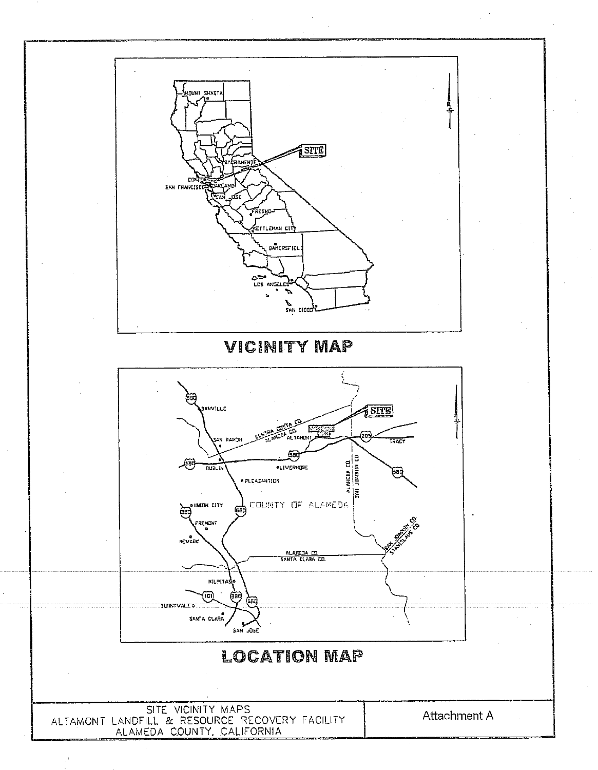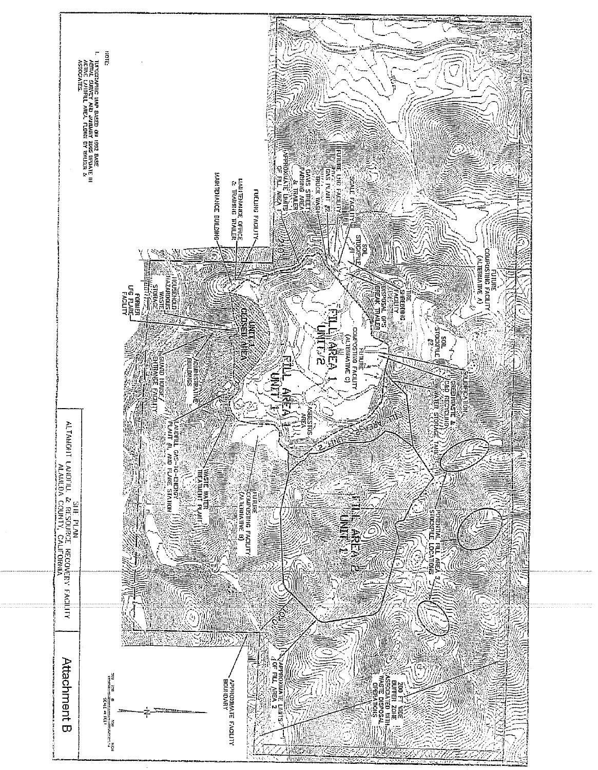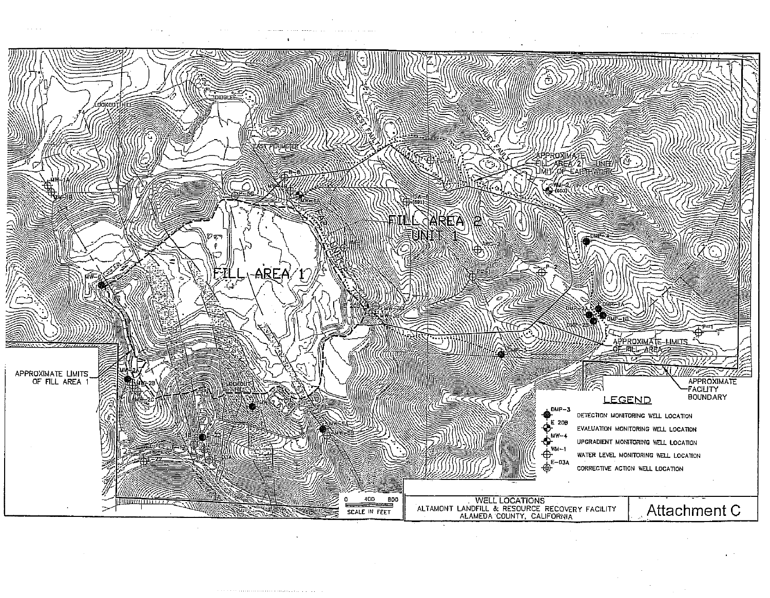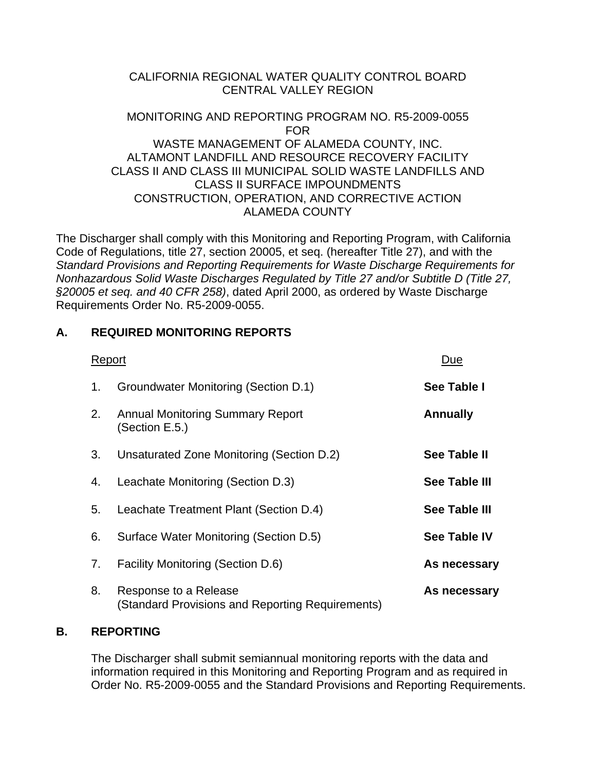#### CALIFORNIA REGIONAL WATER QUALITY CONTROL BOARD CENTRAL VALLEY REGION

#### MONITORING AND REPORTING PROGRAM NO. R5-2009-0055 FOR WASTE MANAGEMENT OF ALAMEDA COUNTY, INC. ALTAMONT LANDFILL AND RESOURCE RECOVERY FACILITY CLASS II AND CLASS III MUNICIPAL SOLID WASTE LANDFILLS AND CLASS II SURFACE IMPOUNDMENTS CONSTRUCTION, OPERATION, AND CORRECTIVE ACTION ALAMEDA COUNTY

The Discharger shall comply with this Monitoring and Reporting Program, with California Code of Regulations, title 27, section 20005, et seq. (hereafter Title 27), and with the *Standard Provisions and Reporting Requirements for Waste Discharge Requirements for Nonhazardous Solid Waste Discharges Regulated by Title 27 and/or Subtitle D (Title 27, §20005 et seq. and 40 CFR 258)*, dated April 2000, as ordered by Waste Discharge Requirements Order No. R5-2009-0055.

# **A. REQUIRED MONITORING REPORTS**

| Report |                                                                           | Due                  |
|--------|---------------------------------------------------------------------------|----------------------|
| 1.     | Groundwater Monitoring (Section D.1)                                      | See Table I          |
| 2.     | <b>Annual Monitoring Summary Report</b><br>(Section E.5.)                 | <b>Annually</b>      |
| 3.     | Unsaturated Zone Monitoring (Section D.2)                                 | See Table II         |
| 4.     | Leachate Monitoring (Section D.3)                                         | <b>See Table III</b> |
| 5.     | Leachate Treatment Plant (Section D.4)                                    | <b>See Table III</b> |
| 6.     | Surface Water Monitoring (Section D.5)                                    | <b>See Table IV</b>  |
| 7.     | <b>Facility Monitoring (Section D.6)</b>                                  | As necessary         |
| 8.     | Response to a Release<br>(Standard Provisions and Reporting Requirements) | As necessary         |

# **B. REPORTING**

 The Discharger shall submit semiannual monitoring reports with the data and information required in this Monitoring and Reporting Program and as required in Order No. R5-2009-0055 and the Standard Provisions and Reporting Requirements.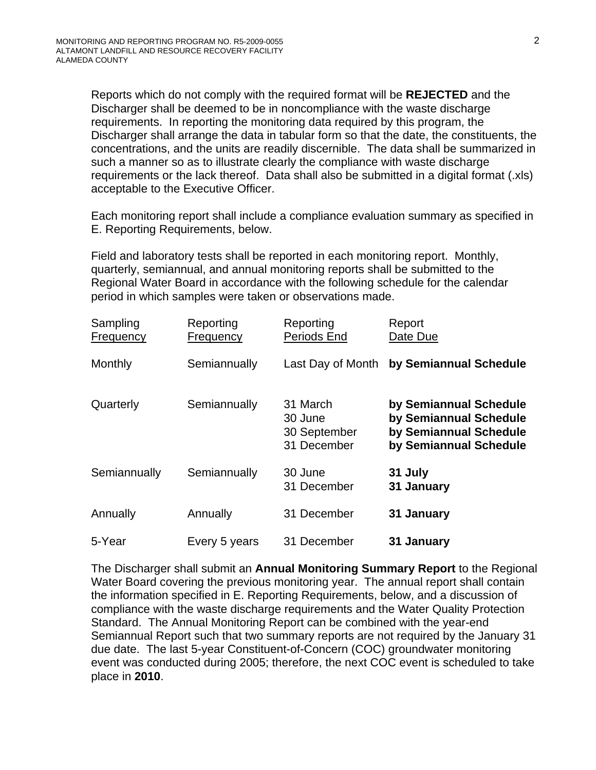Reports which do not comply with the required format will be **REJECTED** and the Discharger shall be deemed to be in noncompliance with the waste discharge requirements. In reporting the monitoring data required by this program, the Discharger shall arrange the data in tabular form so that the date, the constituents, the concentrations, and the units are readily discernible. The data shall be summarized in such a manner so as to illustrate clearly the compliance with waste discharge requirements or the lack thereof. Data shall also be submitted in a digital format (.xls) acceptable to the Executive Officer.

 Each monitoring report shall include a compliance evaluation summary as specified in E. Reporting Requirements, below.

 Field and laboratory tests shall be reported in each monitoring report. Monthly, quarterly, semiannual, and annual monitoring reports shall be submitted to the Regional Water Board in accordance with the following schedule for the calendar period in which samples were taken or observations made.

| Sampling<br>Frequency | Reporting<br>Frequency | Reporting<br>Periods End                           | Report<br>Date Due                                                                                   |
|-----------------------|------------------------|----------------------------------------------------|------------------------------------------------------------------------------------------------------|
| Monthly               | Semiannually           | Last Day of Month                                  | by Semiannual Schedule                                                                               |
| Quarterly             | Semiannually           | 31 March<br>30 June<br>30 September<br>31 December | by Semiannual Schedule<br>by Semiannual Schedule<br>by Semiannual Schedule<br>by Semiannual Schedule |
| Semiannually          | Semiannually           | 30 June<br>31 December                             | 31 July<br>31 January                                                                                |
| Annually              | Annually               | 31 December                                        | 31 January                                                                                           |
| 5-Year                | Every 5 years          | 31 December                                        | 31 January                                                                                           |

 The Discharger shall submit an **Annual Monitoring Summary Report** to the Regional Water Board covering the previous monitoring year. The annual report shall contain the information specified in E. Reporting Requirements, below, and a discussion of compliance with the waste discharge requirements and the Water Quality Protection Standard. The Annual Monitoring Report can be combined with the year-end Semiannual Report such that two summary reports are not required by the January 31 due date. The last 5-year Constituent-of-Concern (COC) groundwater monitoring event was conducted during 2005; therefore, the next COC event is scheduled to take place in **2010**.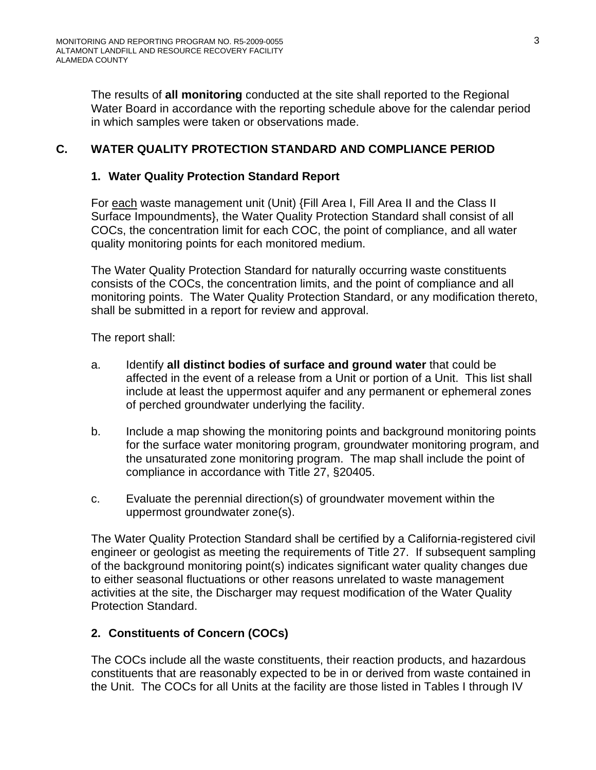The results of **all monitoring** conducted at the site shall reported to the Regional Water Board in accordance with the reporting schedule above for the calendar period in which samples were taken or observations made.

# **C. WATER QUALITY PROTECTION STANDARD AND COMPLIANCE PERIOD**

#### **1. Water Quality Protection Standard Report**

 For each waste management unit (Unit) {Fill Area I, Fill Area II and the Class II Surface Impoundments}, the Water Quality Protection Standard shall consist of all COCs, the concentration limit for each COC, the point of compliance, and all water quality monitoring points for each monitored medium.

 The Water Quality Protection Standard for naturally occurring waste constituents consists of the COCs, the concentration limits, and the point of compliance and all monitoring points. The Water Quality Protection Standard, or any modification thereto, shall be submitted in a report for review and approval.

The report shall:

- a. Identify **all distinct bodies of surface and ground water** that could be affected in the event of a release from a Unit or portion of a Unit. This list shall include at least the uppermost aquifer and any permanent or ephemeral zones of perched groundwater underlying the facility.
- b. Include a map showing the monitoring points and background monitoring points for the surface water monitoring program, groundwater monitoring program, and the unsaturated zone monitoring program. The map shall include the point of compliance in accordance with Title 27, §20405.
- c. Evaluate the perennial direction(s) of groundwater movement within the uppermost groundwater zone(s).

 The Water Quality Protection Standard shall be certified by a California-registered civil engineer or geologist as meeting the requirements of Title 27. If subsequent sampling of the background monitoring point(s) indicates significant water quality changes due to either seasonal fluctuations or other reasons unrelated to waste management activities at the site, the Discharger may request modification of the Water Quality Protection Standard.

# **2. Constituents of Concern (COCs)**

 The COCs include all the waste constituents, their reaction products, and hazardous constituents that are reasonably expected to be in or derived from waste contained in the Unit. The COCs for all Units at the facility are those listed in Tables I through IV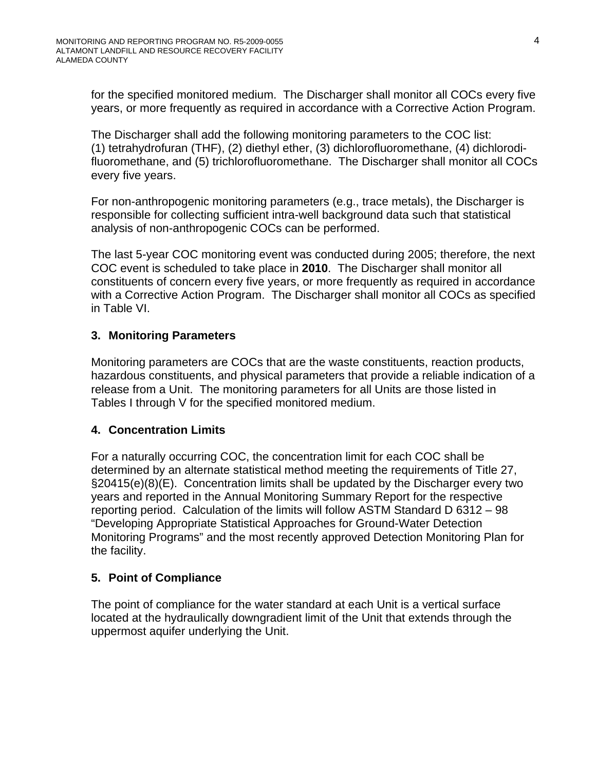for the specified monitored medium. The Discharger shall monitor all COCs every five years, or more frequently as required in accordance with a Corrective Action Program.

The Discharger shall add the following monitoring parameters to the COC list: (1) tetrahydrofuran (THF), (2) diethyl ether, (3) dichlorofluoromethane, (4) dichlorodifluoromethane, and (5) trichlorofluoromethane. The Discharger shall monitor all COCs every five years.

For non-anthropogenic monitoring parameters (e.g., trace metals), the Discharger is responsible for collecting sufficient intra-well background data such that statistical analysis of non-anthropogenic COCs can be performed.

The last 5-year COC monitoring event was conducted during 2005; therefore, the next COC event is scheduled to take place in **2010**. The Discharger shall monitor all constituents of concern every five years, or more frequently as required in accordance with a Corrective Action Program. The Discharger shall monitor all COCs as specified in Table VI.

# **3. Monitoring Parameters**

Monitoring parameters are COCs that are the waste constituents, reaction products, hazardous constituents, and physical parameters that provide a reliable indication of a release from a Unit. The monitoring parameters for all Units are those listed in Tables I through V for the specified monitored medium.

# **4. Concentration Limits**

For a naturally occurring COC, the concentration limit for each COC shall be determined by an alternate statistical method meeting the requirements of Title 27, §20415(e)(8)(E). Concentration limits shall be updated by the Discharger every two years and reported in the Annual Monitoring Summary Report for the respective reporting period. Calculation of the limits will follow ASTM Standard D 6312 – 98 "Developing Appropriate Statistical Approaches for Ground-Water Detection Monitoring Programs" and the most recently approved Detection Monitoring Plan for the facility.

# **5. Point of Compliance**

 The point of compliance for the water standard at each Unit is a vertical surface located at the hydraulically downgradient limit of the Unit that extends through the uppermost aquifer underlying the Unit.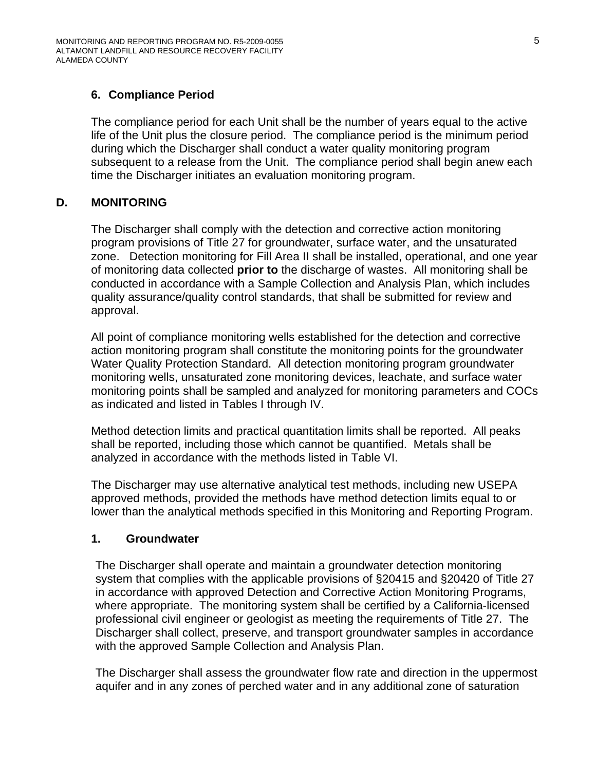# **6. Compliance Period**

The compliance period for each Unit shall be the number of years equal to the active life of the Unit plus the closure period. The compliance period is the minimum period during which the Discharger shall conduct a water quality monitoring program subsequent to a release from the Unit. The compliance period shall begin anew each time the Discharger initiates an evaluation monitoring program.

## **D. MONITORING**

The Discharger shall comply with the detection and corrective action monitoring program provisions of Title 27 for groundwater, surface water, and the unsaturated zone. Detection monitoring for Fill Area II shall be installed, operational, and one year of monitoring data collected **prior to** the discharge of wastes. All monitoring shall be conducted in accordance with a Sample Collection and Analysis Plan, which includes quality assurance/quality control standards, that shall be submitted for review and approval.

All point of compliance monitoring wells established for the detection and corrective action monitoring program shall constitute the monitoring points for the groundwater Water Quality Protection Standard. All detection monitoring program groundwater monitoring wells, unsaturated zone monitoring devices, leachate, and surface water monitoring points shall be sampled and analyzed for monitoring parameters and COCs as indicated and listed in Tables I through IV.

Method detection limits and practical quantitation limits shall be reported. All peaks shall be reported, including those which cannot be quantified. Metals shall be analyzed in accordance with the methods listed in Table VI.

The Discharger may use alternative analytical test methods, including new USEPA approved methods, provided the methods have method detection limits equal to or lower than the analytical methods specified in this Monitoring and Reporting Program.

#### **1. Groundwater**

The Discharger shall operate and maintain a groundwater detection monitoring system that complies with the applicable provisions of §20415 and §20420 of Title 27 in accordance with approved Detection and Corrective Action Monitoring Programs, where appropriate. The monitoring system shall be certified by a California-licensed professional civil engineer or geologist as meeting the requirements of Title 27. The Discharger shall collect, preserve, and transport groundwater samples in accordance with the approved Sample Collection and Analysis Plan.

The Discharger shall assess the groundwater flow rate and direction in the uppermost aquifer and in any zones of perched water and in any additional zone of saturation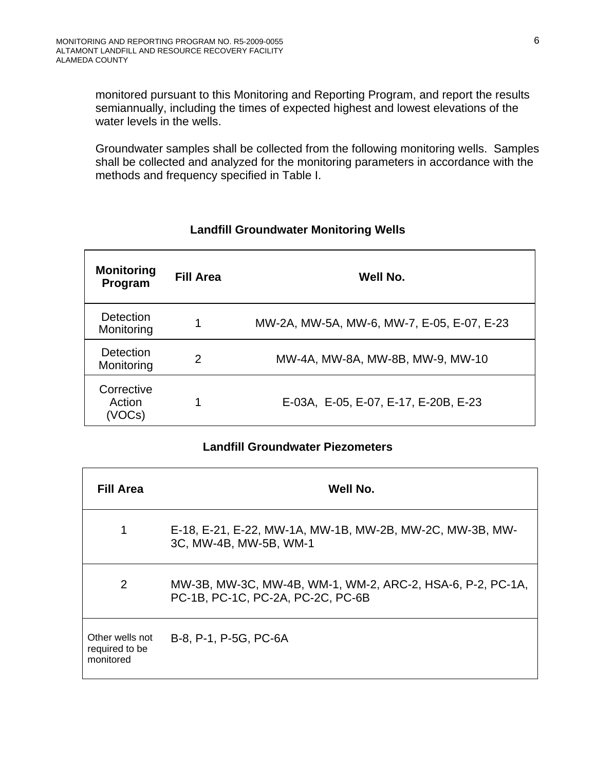monitored pursuant to this Monitoring and Reporting Program, and report the results semiannually, including the times of expected highest and lowest elevations of the water levels in the wells.

Groundwater samples shall be collected from the following monitoring wells. Samples shall be collected and analyzed for the monitoring parameters in accordance with the methods and frequency specified in Table I.

| <b>Monitoring</b><br>Program   | <b>Fill Area</b> | Well No.                                   |
|--------------------------------|------------------|--------------------------------------------|
| Detection<br>Monitoring        | 1                | MW-2A, MW-5A, MW-6, MW-7, E-05, E-07, E-23 |
| Detection<br>Monitoring        | $\mathcal{P}$    | MW-4A, MW-8A, MW-8B, MW-9, MW-10           |
| Corrective<br>Action<br>(VOCs) | 1                | E-03A, E-05, E-07, E-17, E-20B, E-23       |

#### **Landfill Groundwater Monitoring Wells**

#### **Landfill Groundwater Piezometers**

| <b>Fill Area</b>                               | Well No.                                                                                        |
|------------------------------------------------|-------------------------------------------------------------------------------------------------|
| 1                                              | E-18, E-21, E-22, MW-1A, MW-1B, MW-2B, MW-2C, MW-3B, MW-<br>3C, MW-4B, MW-5B, WM-1              |
| 2                                              | MW-3B, MW-3C, MW-4B, WM-1, WM-2, ARC-2, HSA-6, P-2, PC-1A,<br>PC-1B, PC-1C, PC-2A, PC-2C, PC-6B |
| Other wells not<br>required to be<br>monitored | B-8, P-1, P-5G, PC-6A                                                                           |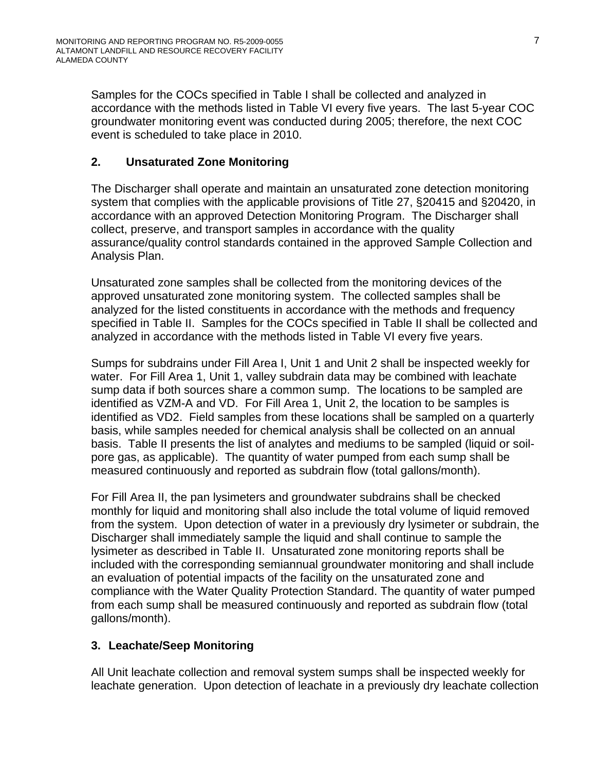Samples for the COCs specified in Table I shall be collected and analyzed in accordance with the methods listed in Table VI every five years. The last 5-year COC groundwater monitoring event was conducted during 2005; therefore, the next COC event is scheduled to take place in 2010.

# **2. Unsaturated Zone Monitoring**

The Discharger shall operate and maintain an unsaturated zone detection monitoring system that complies with the applicable provisions of Title 27, §20415 and §20420, in accordance with an approved Detection Monitoring Program. The Discharger shall collect, preserve, and transport samples in accordance with the quality assurance/quality control standards contained in the approved Sample Collection and Analysis Plan.

Unsaturated zone samples shall be collected from the monitoring devices of the approved unsaturated zone monitoring system. The collected samples shall be analyzed for the listed constituents in accordance with the methods and frequency specified in Table II. Samples for the COCs specified in Table II shall be collected and analyzed in accordance with the methods listed in Table VI every five years.

Sumps for subdrains under Fill Area I, Unit 1 and Unit 2 shall be inspected weekly for water. For Fill Area 1, Unit 1, valley subdrain data may be combined with leachate sump data if both sources share a common sump. The locations to be sampled are identified as VZM-A and VD. For Fill Area 1, Unit 2, the location to be samples is identified as VD2. Field samples from these locations shall be sampled on a quarterly basis, while samples needed for chemical analysis shall be collected on an annual basis. Table II presents the list of analytes and mediums to be sampled (liquid or soilpore gas, as applicable). The quantity of water pumped from each sump shall be measured continuously and reported as subdrain flow (total gallons/month).

For Fill Area II, the pan lysimeters and groundwater subdrains shall be checked monthly for liquid and monitoring shall also include the total volume of liquid removed from the system. Upon detection of water in a previously dry lysimeter or subdrain, the Discharger shall immediately sample the liquid and shall continue to sample the lysimeter as described in Table II. Unsaturated zone monitoring reports shall be included with the corresponding semiannual groundwater monitoring and shall include an evaluation of potential impacts of the facility on the unsaturated zone and compliance with the Water Quality Protection Standard. The quantity of water pumped from each sump shall be measured continuously and reported as subdrain flow (total gallons/month).

# **3. Leachate/Seep Monitoring**

All Unit leachate collection and removal system sumps shall be inspected weekly for leachate generation. Upon detection of leachate in a previously dry leachate collection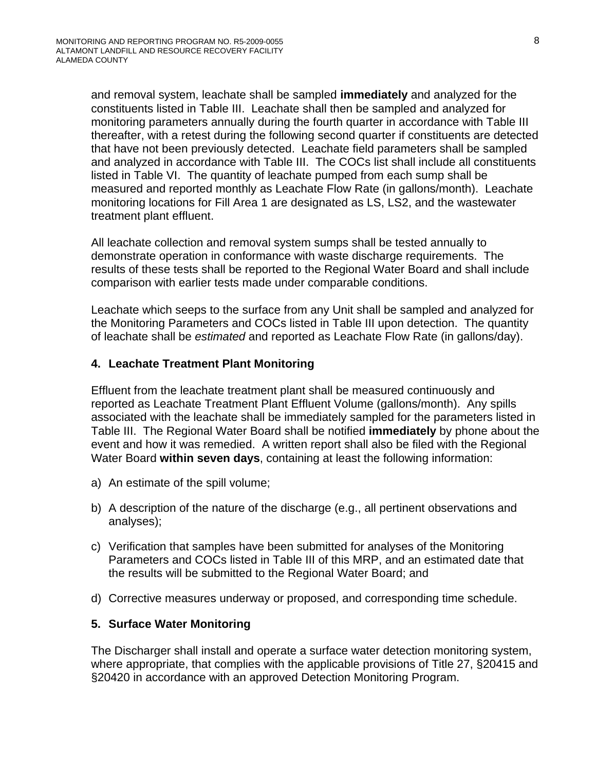and removal system, leachate shall be sampled **immediately** and analyzed for the constituents listed in Table III. Leachate shall then be sampled and analyzed for monitoring parameters annually during the fourth quarter in accordance with Table III thereafter, with a retest during the following second quarter if constituents are detected that have not been previously detected. Leachate field parameters shall be sampled and analyzed in accordance with Table III. The COCs list shall include all constituents listed in Table VI. The quantity of leachate pumped from each sump shall be measured and reported monthly as Leachate Flow Rate (in gallons/month). Leachate monitoring locations for Fill Area 1 are designated as LS, LS2, and the wastewater treatment plant effluent.

All leachate collection and removal system sumps shall be tested annually to demonstrate operation in conformance with waste discharge requirements. The results of these tests shall be reported to the Regional Water Board and shall include comparison with earlier tests made under comparable conditions.

Leachate which seeps to the surface from any Unit shall be sampled and analyzed for the Monitoring Parameters and COCs listed in Table III upon detection. The quantity of leachate shall be *estimated* and reported as Leachate Flow Rate (in gallons/day).

#### **4. Leachate Treatment Plant Monitoring**

Effluent from the leachate treatment plant shall be measured continuously and reported as Leachate Treatment Plant Effluent Volume (gallons/month). Any spills associated with the leachate shall be immediately sampled for the parameters listed in Table III. The Regional Water Board shall be notified **immediately** by phone about the event and how it was remedied. A written report shall also be filed with the Regional Water Board **within seven days**, containing at least the following information:

- a) An estimate of the spill volume;
- b) A description of the nature of the discharge (e.g., all pertinent observations and analyses);
- c) Verification that samples have been submitted for analyses of the Monitoring Parameters and COCs listed in Table III of this MRP, and an estimated date that the results will be submitted to the Regional Water Board; and
- d) Corrective measures underway or proposed, and corresponding time schedule.

#### **5. Surface Water Monitoring**

The Discharger shall install and operate a surface water detection monitoring system, where appropriate, that complies with the applicable provisions of Title 27, §20415 and §20420 in accordance with an approved Detection Monitoring Program.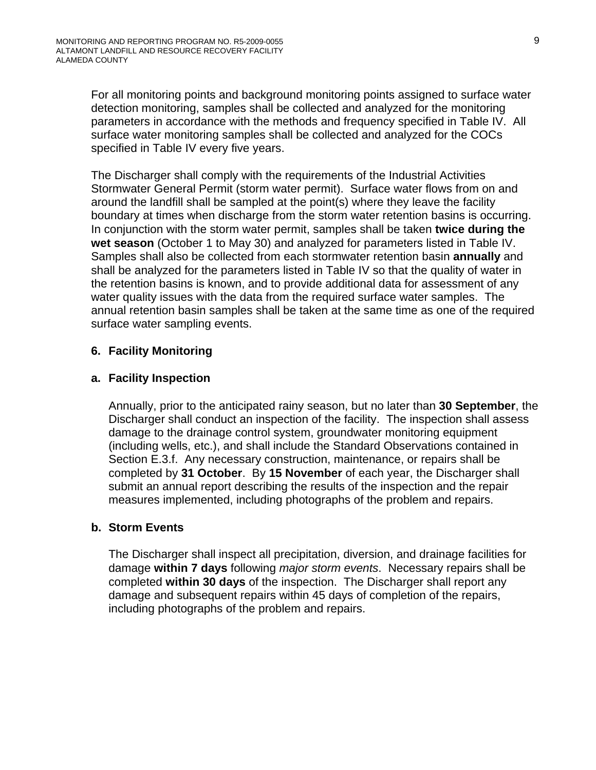For all monitoring points and background monitoring points assigned to surface water detection monitoring, samples shall be collected and analyzed for the monitoring parameters in accordance with the methods and frequency specified in Table IV. All surface water monitoring samples shall be collected and analyzed for the COCs specified in Table IV every five years.

The Discharger shall comply with the requirements of the Industrial Activities Stormwater General Permit (storm water permit). Surface water flows from on and around the landfill shall be sampled at the point(s) where they leave the facility boundary at times when discharge from the storm water retention basins is occurring. In conjunction with the storm water permit, samples shall be taken **twice during the wet season** (October 1 to May 30) and analyzed for parameters listed in Table IV. Samples shall also be collected from each stormwater retention basin **annually** and shall be analyzed for the parameters listed in Table IV so that the quality of water in the retention basins is known, and to provide additional data for assessment of any water quality issues with the data from the required surface water samples. The annual retention basin samples shall be taken at the same time as one of the required surface water sampling events.

#### **6. Facility Monitoring**

#### **a. Facility Inspection**

Annually, prior to the anticipated rainy season, but no later than **30 September**, the Discharger shall conduct an inspection of the facility. The inspection shall assess damage to the drainage control system, groundwater monitoring equipment (including wells, etc.), and shall include the Standard Observations contained in Section E.3.f. Any necessary construction, maintenance, or repairs shall be completed by **31 October**. By **15 November** of each year, the Discharger shall submit an annual report describing the results of the inspection and the repair measures implemented, including photographs of the problem and repairs.

#### **b. Storm Events**

The Discharger shall inspect all precipitation, diversion, and drainage facilities for damage **within 7 days** following *major storm events*. Necessary repairs shall be completed **within 30 days** of the inspection. The Discharger shall report any damage and subsequent repairs within 45 days of completion of the repairs, including photographs of the problem and repairs.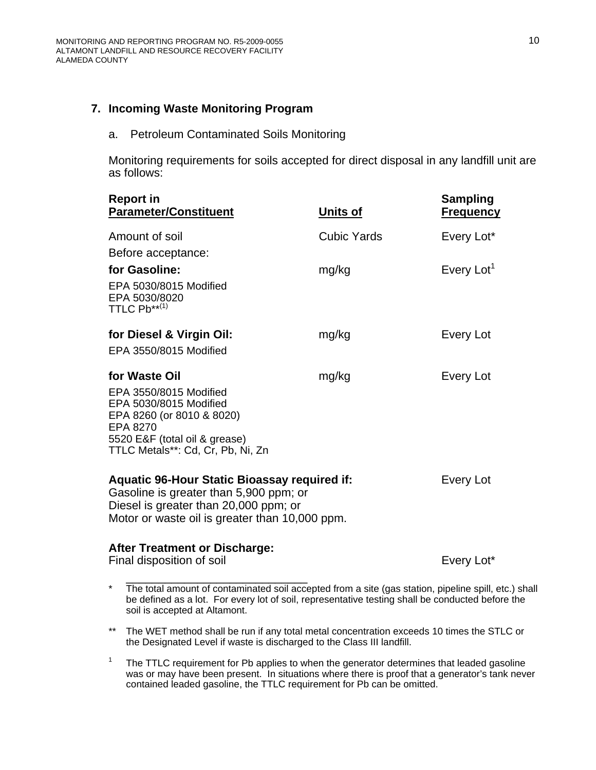#### **7. Incoming Waste Monitoring Program**

a. Petroleum Contaminated Soils Monitoring

Monitoring requirements for soils accepted for direct disposal in any landfill unit are as follows:

| <b>Report in</b><br><b>Parameter/Constituent</b>                                                                                                                                         | Units of    | <b>Sampling</b><br><b>Frequency</b> |
|------------------------------------------------------------------------------------------------------------------------------------------------------------------------------------------|-------------|-------------------------------------|
| Amount of soil                                                                                                                                                                           | Cubic Yards | Every Lot*                          |
| Before acceptance:                                                                                                                                                                       |             |                                     |
| for Gasoline:                                                                                                                                                                            | mg/kg       | Every Lot <sup>1</sup>              |
| EPA 5030/8015 Modified<br>EPA 5030/8020<br>TTLC $Pb^{**(1)}$                                                                                                                             |             |                                     |
| for Diesel & Virgin Oil:                                                                                                                                                                 | mg/kg       | Every Lot                           |
| EPA 3550/8015 Modified                                                                                                                                                                   |             |                                     |
| for Waste Oil                                                                                                                                                                            | mg/kg       | Every Lot                           |
| EPA 3550/8015 Modified<br>EPA 5030/8015 Modified<br>EPA 8260 (or 8010 & 8020)<br>EPA 8270<br>5520 E&F (total oil & grease)<br>TTLC Metals**: Cd, Cr, Pb, Ni, Zn                          |             |                                     |
| <b>Aquatic 96-Hour Static Bioassay required if:</b><br>Gasoline is greater than 5,900 ppm; or<br>Diesel is greater than 20,000 ppm; or<br>Motor or waste oil is greater than 10,000 ppm. |             | Every Lot                           |
| <b>After Treatment or Discharge:</b><br>Final disposition of soil                                                                                                                        |             | Every Lot*                          |

\* The total amount of contaminated soil accepted from a site (gas station, pipeline spill, etc.) shall be defined as a lot. For every lot of soil, representative testing shall be conducted before the soil is accepted at Altamont.

- \*\* The WET method shall be run if any total metal concentration exceeds 10 times the STLC or the Designated Level if waste is discharged to the Class III landfill.
- <sup>1</sup> The TTLC requirement for Pb applies to when the generator determines that leaded gasoline was or may have been present. In situations where there is proof that a generator's tank never contained leaded gasoline, the TTLC requirement for Pb can be omitted.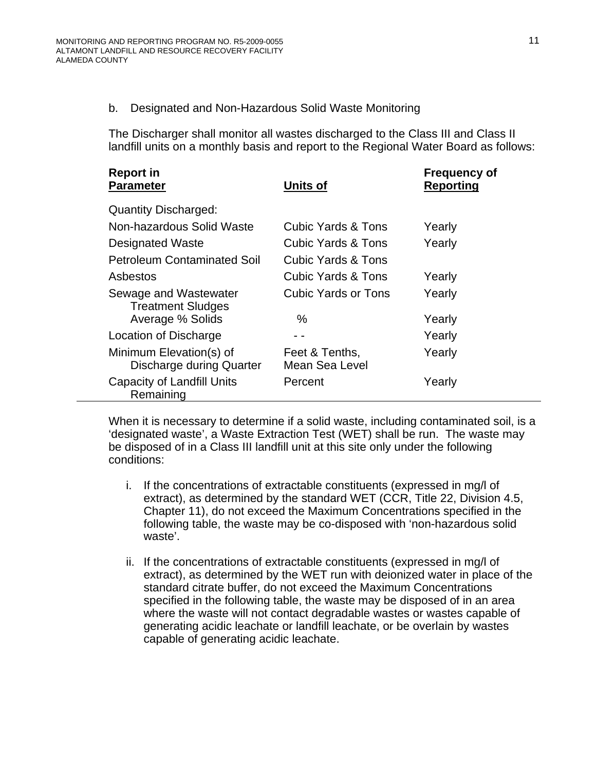#### b. Designated and Non-Hazardous Solid Waste Monitoring

The Discharger shall monitor all wastes discharged to the Class III and Class II landfill units on a monthly basis and report to the Regional Water Board as follows:

| <b>Report in</b><br><b>Parameter</b>                | <b>Units of</b>                  | <b>Frequency of</b><br><b>Reporting</b> |
|-----------------------------------------------------|----------------------------------|-----------------------------------------|
| <b>Quantity Discharged:</b>                         |                                  |                                         |
| Non-hazardous Solid Waste                           | <b>Cubic Yards &amp; Tons</b>    | Yearly                                  |
| Designated Waste                                    | Cubic Yards & Tons               | Yearly                                  |
| <b>Petroleum Contaminated Soil</b>                  | Cubic Yards & Tons               |                                         |
| Asbestos                                            | Cubic Yards & Tons               | Yearly                                  |
| Sewage and Wastewater<br><b>Treatment Sludges</b>   | Cubic Yards or Tons              | Yearly                                  |
| Average % Solids                                    | $\%$                             | Yearly                                  |
| Location of Discharge                               |                                  | Yearly                                  |
| Minimum Elevation(s) of<br>Discharge during Quarter | Feet & Tenths,<br>Mean Sea Level | Yearly                                  |
| Capacity of Landfill Units<br>Remaining             | Percent                          | Yearly                                  |

When it is necessary to determine if a solid waste, including contaminated soil, is a 'designated waste', a Waste Extraction Test (WET) shall be run. The waste may be disposed of in a Class III landfill unit at this site only under the following conditions:

- i. If the concentrations of extractable constituents (expressed in mg/l of extract), as determined by the standard WET (CCR, Title 22, Division 4.5, Chapter 11), do not exceed the Maximum Concentrations specified in the following table, the waste may be co-disposed with 'non-hazardous solid waste'.
- ii. If the concentrations of extractable constituents (expressed in mg/l of extract), as determined by the WET run with deionized water in place of the standard citrate buffer, do not exceed the Maximum Concentrations specified in the following table, the waste may be disposed of in an area where the waste will not contact degradable wastes or wastes capable of generating acidic leachate or landfill leachate, or be overlain by wastes capable of generating acidic leachate.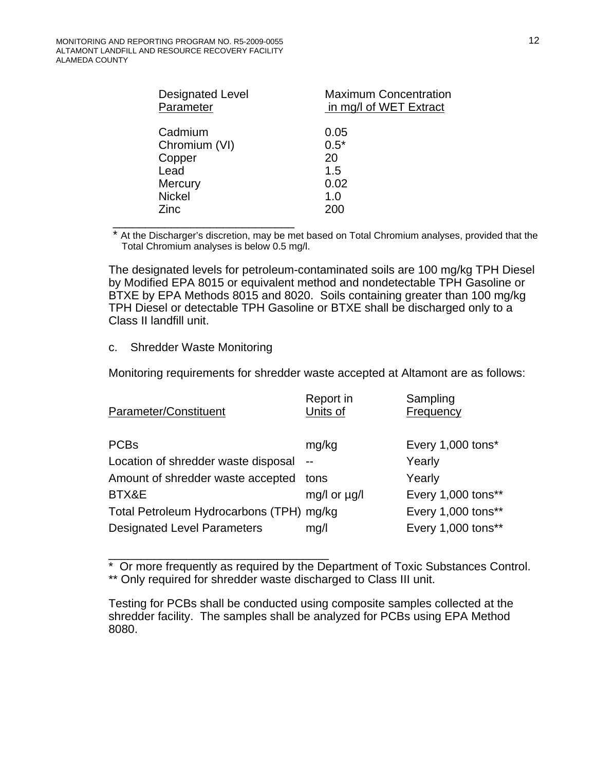| Cadmium<br>0.05<br>$0.5*$<br>Chromium (VI)<br>Copper<br>20<br>Lead<br>1.5<br>0.02<br>Mercury<br><b>Nickel</b><br>1.0<br>200<br>Zinc | <b>Designated Level</b><br>Parameter | <b>Maximum Concentration</b><br>in mg/l of WET Extract |
|-------------------------------------------------------------------------------------------------------------------------------------|--------------------------------------|--------------------------------------------------------|
|                                                                                                                                     |                                      |                                                        |

At the Discharger's discretion, may be met based on Total Chromium analyses, provided that the Total Chromium analyses is below 0.5 mg/l.

The designated levels for petroleum-contaminated soils are 100 mg/kg TPH Diesel by Modified EPA 8015 or equivalent method and nondetectable TPH Gasoline or BTXE by EPA Methods 8015 and 8020. Soils containing greater than 100 mg/kg TPH Diesel or detectable TPH Gasoline or BTXE shall be discharged only to a Class II landfill unit.

#### c. Shredder Waste Monitoring

Monitoring requirements for shredder waste accepted at Altamont are as follows:

| Parameter/Constituent                    | Report in<br>Units of | Sampling<br>Frequency |
|------------------------------------------|-----------------------|-----------------------|
| <b>PCBs</b>                              | mg/kg                 | Every 1,000 tons*     |
| Location of shredder waste disposal      | $-$                   | Yearly                |
| Amount of shredder waste accepted tons   |                       | Yearly                |
| BTX&E                                    | mg/l or ug/l          | Every 1,000 tons**    |
| Total Petroleum Hydrocarbons (TPH) mg/kg |                       | Every 1,000 tons**    |
| <b>Designated Level Parameters</b>       | mg/l                  | Every 1,000 tons**    |

\_\_\_\_\_\_\_\_\_\_\_\_\_\_\_\_\_\_\_\_\_\_\_\_\_\_\_\_\_\_\_\_\_\_ \* Or more frequently as required by the Department of Toxic Substances Control. \*\* Only required for shredder waste discharged to Class III unit.

Testing for PCBs shall be conducted using composite samples collected at the shredder facility. The samples shall be analyzed for PCBs using EPA Method 8080.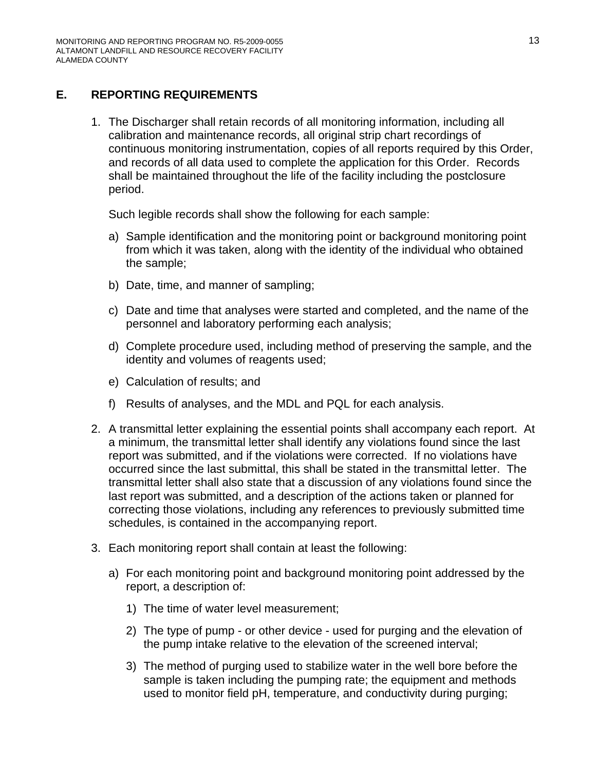# **E. REPORTING REQUIREMENTS**

1. The Discharger shall retain records of all monitoring information, including all calibration and maintenance records, all original strip chart recordings of continuous monitoring instrumentation, copies of all reports required by this Order, and records of all data used to complete the application for this Order. Records shall be maintained throughout the life of the facility including the postclosure period.

Such legible records shall show the following for each sample:

- a) Sample identification and the monitoring point or background monitoring point from which it was taken, along with the identity of the individual who obtained the sample;
- b) Date, time, and manner of sampling;
- c) Date and time that analyses were started and completed, and the name of the personnel and laboratory performing each analysis;
- d) Complete procedure used, including method of preserving the sample, and the identity and volumes of reagents used;
- e) Calculation of results; and
- f) Results of analyses, and the MDL and PQL for each analysis.
- 2. A transmittal letter explaining the essential points shall accompany each report. At a minimum, the transmittal letter shall identify any violations found since the last report was submitted, and if the violations were corrected. If no violations have occurred since the last submittal, this shall be stated in the transmittal letter. The transmittal letter shall also state that a discussion of any violations found since the last report was submitted, and a description of the actions taken or planned for correcting those violations, including any references to previously submitted time schedules, is contained in the accompanying report.
- 3. Each monitoring report shall contain at least the following:
	- a) For each monitoring point and background monitoring point addressed by the report, a description of:
		- 1) The time of water level measurement;
		- 2) The type of pump or other device used for purging and the elevation of the pump intake relative to the elevation of the screened interval;
		- 3) The method of purging used to stabilize water in the well bore before the sample is taken including the pumping rate; the equipment and methods used to monitor field pH, temperature, and conductivity during purging;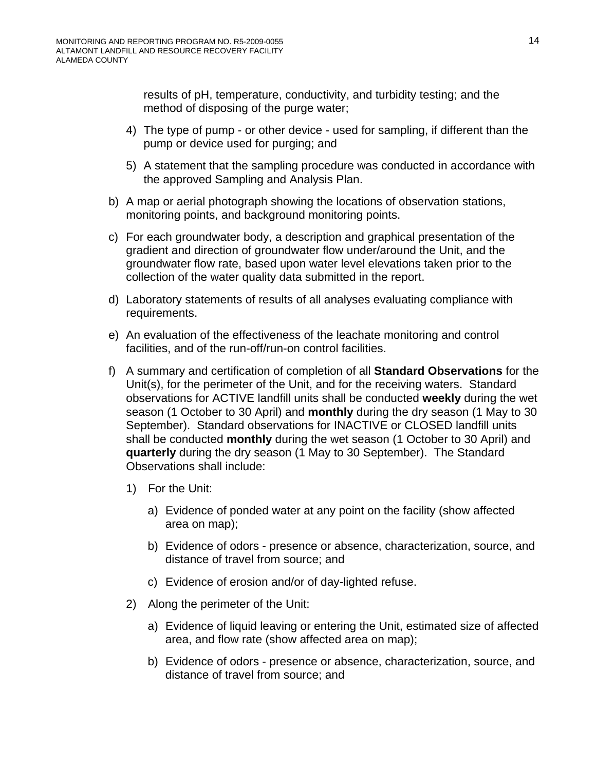results of pH, temperature, conductivity, and turbidity testing; and the method of disposing of the purge water;

- 4) The type of pump or other device used for sampling, if different than the pump or device used for purging; and
- 5) A statement that the sampling procedure was conducted in accordance with the approved Sampling and Analysis Plan.
- b) A map or aerial photograph showing the locations of observation stations, monitoring points, and background monitoring points.
- c) For each groundwater body, a description and graphical presentation of the gradient and direction of groundwater flow under/around the Unit, and the groundwater flow rate, based upon water level elevations taken prior to the collection of the water quality data submitted in the report.
- d) Laboratory statements of results of all analyses evaluating compliance with requirements.
- e) An evaluation of the effectiveness of the leachate monitoring and control facilities, and of the run-off/run-on control facilities.
- f) A summary and certification of completion of all **Standard Observations** for the Unit(s), for the perimeter of the Unit, and for the receiving waters. Standard observations for ACTIVE landfill units shall be conducted **weekly** during the wet season (1 October to 30 April) and **monthly** during the dry season (1 May to 30 September). Standard observations for INACTIVE or CLOSED landfill units shall be conducted **monthly** during the wet season (1 October to 30 April) and **quarterly** during the dry season (1 May to 30 September). The Standard Observations shall include:
	- 1) For the Unit:
		- a) Evidence of ponded water at any point on the facility (show affected area on map);
		- b) Evidence of odors presence or absence, characterization, source, and distance of travel from source; and
		- c) Evidence of erosion and/or of day-lighted refuse.
	- 2) Along the perimeter of the Unit:
		- a) Evidence of liquid leaving or entering the Unit, estimated size of affected area, and flow rate (show affected area on map);
		- b) Evidence of odors presence or absence, characterization, source, and distance of travel from source; and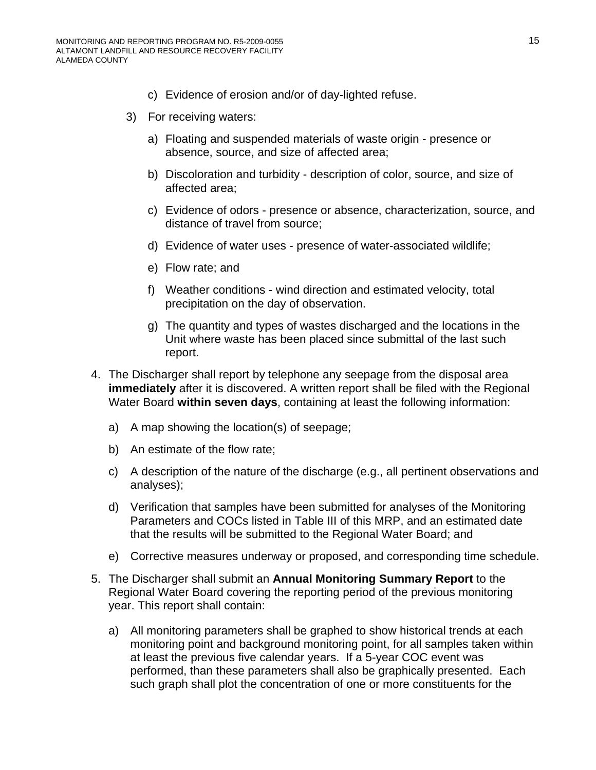- c) Evidence of erosion and/or of day-lighted refuse.
- 3) For receiving waters:
	- a) Floating and suspended materials of waste origin presence or absence, source, and size of affected area;
	- b) Discoloration and turbidity description of color, source, and size of affected area;
	- c) Evidence of odors presence or absence, characterization, source, and distance of travel from source;
	- d) Evidence of water uses presence of water-associated wildlife;
	- e) Flow rate; and
	- f) Weather conditions wind direction and estimated velocity, total precipitation on the day of observation.
	- g) The quantity and types of wastes discharged and the locations in the Unit where waste has been placed since submittal of the last such report.
- 4. The Discharger shall report by telephone any seepage from the disposal area **immediately** after it is discovered. A written report shall be filed with the Regional Water Board **within seven days**, containing at least the following information:
	- a) A map showing the location(s) of seepage;
	- b) An estimate of the flow rate;
	- c) A description of the nature of the discharge (e.g., all pertinent observations and analyses);
	- d) Verification that samples have been submitted for analyses of the Monitoring Parameters and COCs listed in Table III of this MRP, and an estimated date that the results will be submitted to the Regional Water Board; and
	- e) Corrective measures underway or proposed, and corresponding time schedule.
- 5. The Discharger shall submit an **Annual Monitoring Summary Report** to the Regional Water Board covering the reporting period of the previous monitoring year. This report shall contain:
	- a) All monitoring parameters shall be graphed to show historical trends at each monitoring point and background monitoring point, for all samples taken within at least the previous five calendar years. If a 5-year COC event was performed, than these parameters shall also be graphically presented. Each such graph shall plot the concentration of one or more constituents for the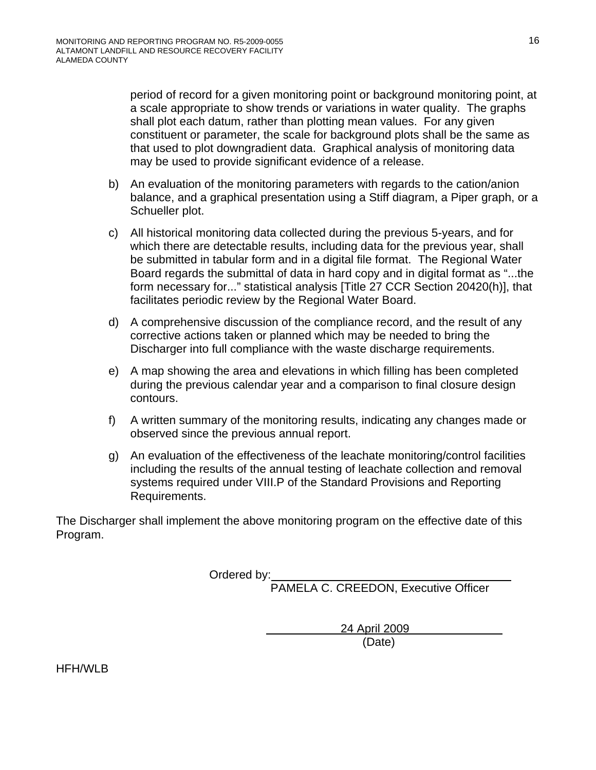period of record for a given monitoring point or background monitoring point, at a scale appropriate to show trends or variations in water quality. The graphs shall plot each datum, rather than plotting mean values. For any given constituent or parameter, the scale for background plots shall be the same as that used to plot downgradient data. Graphical analysis of monitoring data may be used to provide significant evidence of a release.

- b) An evaluation of the monitoring parameters with regards to the cation/anion balance, and a graphical presentation using a Stiff diagram, a Piper graph, or a Schueller plot.
- c) All historical monitoring data collected during the previous 5-years, and for which there are detectable results, including data for the previous year, shall be submitted in tabular form and in a digital file format. The Regional Water Board regards the submittal of data in hard copy and in digital format as "...the form necessary for..." statistical analysis [Title 27 CCR Section 20420(h)], that facilitates periodic review by the Regional Water Board.
- d) A comprehensive discussion of the compliance record, and the result of any corrective actions taken or planned which may be needed to bring the Discharger into full compliance with the waste discharge requirements.
- e) A map showing the area and elevations in which filling has been completed during the previous calendar year and a comparison to final closure design contours.
- f) A written summary of the monitoring results, indicating any changes made or observed since the previous annual report.
- g) An evaluation of the effectiveness of the leachate monitoring/control facilities including the results of the annual testing of leachate collection and removal systems required under VIII.P of the Standard Provisions and Reporting Requirements.

The Discharger shall implement the above monitoring program on the effective date of this Program.

Ordered by:

PAMELA C. CREEDON, Executive Officer

 24 April 2009 (Date)

HFH/WLB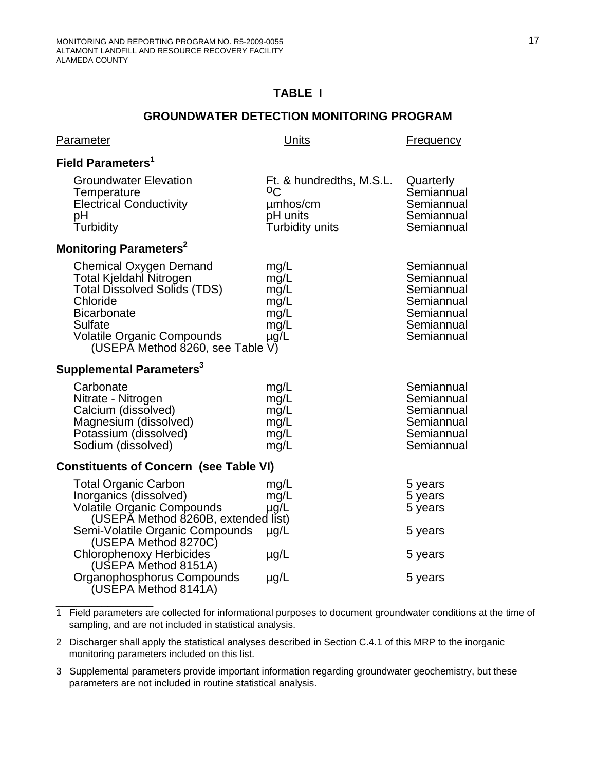$\overbrace{\phantom{aaaaaaa}}$ 

# **TABLE I**

#### **GROUNDWATER DETECTION MONITORING PROGRAM**

| <b>Parameter</b>                                                                                                                                                                                                      | <b>Units</b>                                                              | <b>Frequency</b>                                                                               |  |  |
|-----------------------------------------------------------------------------------------------------------------------------------------------------------------------------------------------------------------------|---------------------------------------------------------------------------|------------------------------------------------------------------------------------------------|--|--|
| Field Parameters <sup>1</sup>                                                                                                                                                                                         |                                                                           |                                                                                                |  |  |
| <b>Groundwater Elevation</b><br>Temperature<br><b>Electrical Conductivity</b><br>рH<br>Turbidity                                                                                                                      | Ft. & hundredths, M.S.L.<br>οC<br>umhos/cm<br>pH units<br>Turbidity units | Quarterly<br>Semiannual<br>Semiannual<br>Semiannual<br>Semiannual                              |  |  |
| Monitoring Parameters <sup>2</sup>                                                                                                                                                                                    |                                                                           |                                                                                                |  |  |
| <b>Chemical Oxygen Demand</b><br>Total Kjeldahl Nitrogen<br><b>Total Dissolved Solids (TDS)</b><br>Chloride<br><b>Bicarbonate</b><br>Sulfate<br><b>Volatile Organic Compounds</b><br>(USEPA Method 8260, see Table V) | mg/L<br>mg/L<br>mg/L<br>mg/L<br>mg/L<br>mg/L<br>µg/L                      | Semiannual<br>Semiannual<br>Semiannual<br>Semiannual<br>Semiannual<br>Semiannual<br>Semiannual |  |  |
| Supplemental Parameters <sup>3</sup>                                                                                                                                                                                  |                                                                           |                                                                                                |  |  |
| Carbonate<br>Nitrate - Nitrogen<br>Calcium (dissolved)<br>Magnesium (dissolved)<br>Potassium (dissolved)<br>Sodium (dissolved)                                                                                        | mg/L<br>mg/L<br>mg/L<br>mg/L<br>mg/L<br>mg/L                              | Semiannual<br>Semiannual<br>Semiannual<br>Semiannual<br>Semiannual<br>Semiannual               |  |  |
| <b>Constituents of Concern (see Table VI)</b>                                                                                                                                                                         |                                                                           |                                                                                                |  |  |
| <b>Total Organic Carbon</b><br>Inorganics (dissolved)<br><b>Volatile Organic Compounds</b><br>(USEPĂ Method 8260B, extended list)                                                                                     | mg/L<br>mg/L<br>$\mu$ g/L                                                 | 5 years<br>5 years<br>5 years                                                                  |  |  |
| Semi-Volatile Organic Compounds<br>(USEPA Method 8270C)                                                                                                                                                               | $\mu$ g/L                                                                 | 5 years                                                                                        |  |  |
| <b>Chlorophenoxy Herbicides</b><br>(USEPA Method 8151A)                                                                                                                                                               | $\mu$ g/L                                                                 | 5 years                                                                                        |  |  |
| Organophosphorus Compounds<br>(USEPA Method 8141A)                                                                                                                                                                    | $\mu$ g/L                                                                 | 5 years                                                                                        |  |  |

1 Field parameters are collected for informational purposes to document groundwater conditions at the time of sampling, and are not included in statistical analysis.

2 Discharger shall apply the statistical analyses described in Section C.4.1 of this MRP to the inorganic monitoring parameters included on this list.

3 Supplemental parameters provide important information regarding groundwater geochemistry, but these parameters are not included in routine statistical analysis.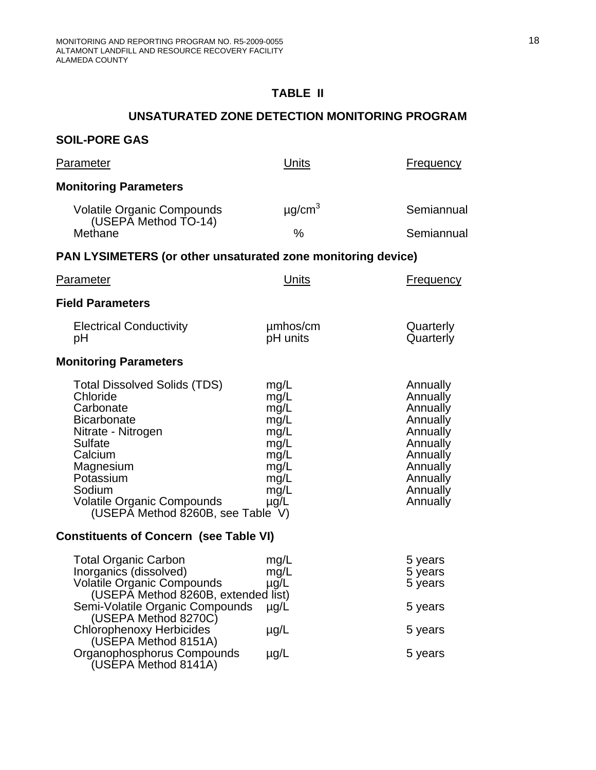# **TABLE II**

# **UNSATURATED ZONE DETECTION MONITORING PROGRAM**

# **SOIL-PORE GAS**

| <u>Parameter</u>                                                                                                                                                                                                                             | Units                                                                                     | <b>Frequency</b>                                                                                                                 |  |  |
|----------------------------------------------------------------------------------------------------------------------------------------------------------------------------------------------------------------------------------------------|-------------------------------------------------------------------------------------------|----------------------------------------------------------------------------------------------------------------------------------|--|--|
| <b>Monitoring Parameters</b>                                                                                                                                                                                                                 |                                                                                           |                                                                                                                                  |  |  |
| <b>Volatile Organic Compounds</b><br>(USEPĂ Method TO-14)                                                                                                                                                                                    | $\mu$ g/cm <sup>3</sup>                                                                   | Semiannual                                                                                                                       |  |  |
| Methane                                                                                                                                                                                                                                      | $\%$                                                                                      | Semiannual                                                                                                                       |  |  |
| PAN LYSIMETERS (or other unsaturated zone monitoring device)                                                                                                                                                                                 |                                                                                           |                                                                                                                                  |  |  |
| <u>Parameter</u>                                                                                                                                                                                                                             | Units                                                                                     | <b>Frequency</b>                                                                                                                 |  |  |
| <b>Field Parameters</b>                                                                                                                                                                                                                      |                                                                                           |                                                                                                                                  |  |  |
| <b>Electrical Conductivity</b><br>рH                                                                                                                                                                                                         | umhos/cm<br>pH units                                                                      | Quarterly<br>Quarterly                                                                                                           |  |  |
| <b>Monitoring Parameters</b>                                                                                                                                                                                                                 |                                                                                           |                                                                                                                                  |  |  |
| <b>Total Dissolved Solids (TDS)</b><br>Chloride<br>Carbonate<br><b>Bicarbonate</b><br>Nitrate - Nitrogen<br>Sulfate<br>Calcium<br>Magnesium<br>Potassium<br>Sodium<br><b>Volatile Organic Compounds</b><br>(USEPA Method 8260B, see Table V) | mg/L<br>mg/L<br>mg/L<br>mg/L<br>mg/L<br>mg/L<br>mg/L<br>mg/L<br>mg/L<br>mg/L<br>$\mu$ g/L | Annually<br>Annually<br>Annually<br>Annually<br>Annually<br>Annually<br>Annually<br>Annually<br>Annually<br>Annually<br>Annually |  |  |
| <b>Constituents of Concern (see Table VI)</b>                                                                                                                                                                                                |                                                                                           |                                                                                                                                  |  |  |
| <b>Total Organic Carbon</b><br>Inorganics (dissolved)<br><b>Volatile Organic Compounds</b><br>(USEPA Method 8260B, extended list)                                                                                                            | mg/L<br>mg/L<br>$\mu$ g/L                                                                 | 5 years<br>5 years<br>5 years                                                                                                    |  |  |
| Semi-Volatile Organic Compounds<br>(USEPA Method 8270C)                                                                                                                                                                                      | $\mu$ g/L                                                                                 | 5 years                                                                                                                          |  |  |
| <b>Chlorophenoxy Herbicides</b><br>(USEPA Method 8151A)                                                                                                                                                                                      | $\mu$ g/L                                                                                 | 5 years                                                                                                                          |  |  |
| Organophosphorus Compounds<br>(USEPA Method 8141A)                                                                                                                                                                                           | $\mu$ g/L                                                                                 | 5 years                                                                                                                          |  |  |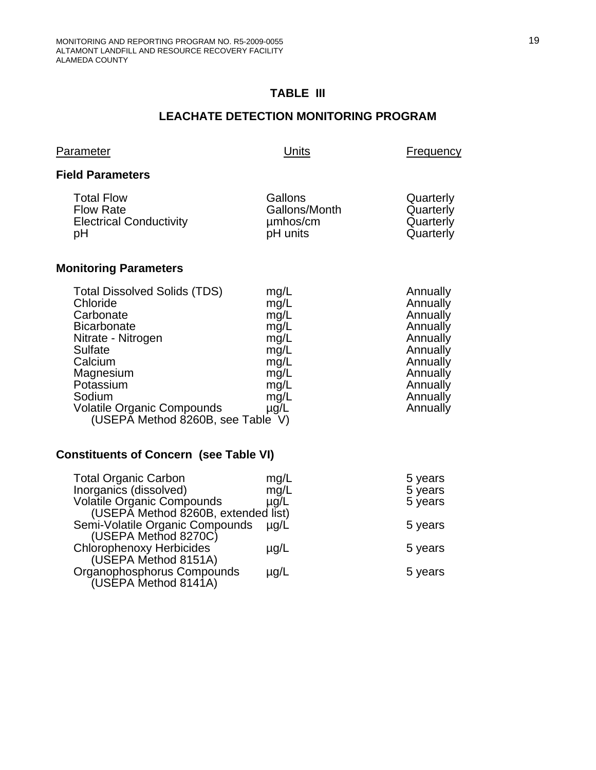# **TABLE III**

# **LEACHATE DETECTION MONITORING PROGRAM**

| Parameter                                                                                                                                                                                                                                    | Units                                                                                     | Frequency                                                                                                                        |
|----------------------------------------------------------------------------------------------------------------------------------------------------------------------------------------------------------------------------------------------|-------------------------------------------------------------------------------------------|----------------------------------------------------------------------------------------------------------------------------------|
| <b>Field Parameters</b>                                                                                                                                                                                                                      |                                                                                           |                                                                                                                                  |
| <b>Total Flow</b><br><b>Flow Rate</b><br><b>Electrical Conductivity</b><br>рH                                                                                                                                                                | Gallons<br>Gallons/Month<br>umhos/cm<br>pH units                                          | Quarterly<br>Quarterly<br>Quarterly<br>Quarterly                                                                                 |
| <b>Monitoring Parameters</b>                                                                                                                                                                                                                 |                                                                                           |                                                                                                                                  |
| <b>Total Dissolved Solids (TDS)</b><br>Chloride<br>Carbonate<br><b>Bicarbonate</b><br>Nitrate - Nitrogen<br>Sulfate<br>Calcium<br>Magnesium<br>Potassium<br>Sodium<br><b>Volatile Organic Compounds</b><br>(USEPA Method 8260B, see Table V) | mg/L<br>mg/L<br>mg/L<br>mg/L<br>mg/L<br>mg/L<br>mg/L<br>mg/L<br>mg/L<br>mg/L<br>$\mu$ g/L | Annually<br>Annually<br>Annually<br>Annually<br>Annually<br>Annually<br>Annually<br>Annually<br>Annually<br>Annually<br>Annually |

# **Constituents of Concern (see Table VI)**

| <b>Total Organic Carbon</b><br>Inorganics (dissolved) | mg/L<br>mg/L | 5 years<br>5 years |
|-------------------------------------------------------|--------------|--------------------|
| <b>Volatile Organic Compounds</b>                     | $\mu$ g/L    | 5 years            |
| (USEPĂ Method 8260B, extended list)                   |              |                    |
| Semi-Volatile Organic Compounds                       | $\mu q/L$    | 5 years            |
| (USEPA Method 8270C)                                  |              |                    |
| <b>Chlorophenoxy Herbicides</b>                       | $\mu$ g/L    | 5 years            |
| (USEPA Method 8151A)                                  |              |                    |
| Organophosphorus Compounds                            | $\mu$ g/L    | 5 years            |
| (USEPA Method 8141A)                                  |              |                    |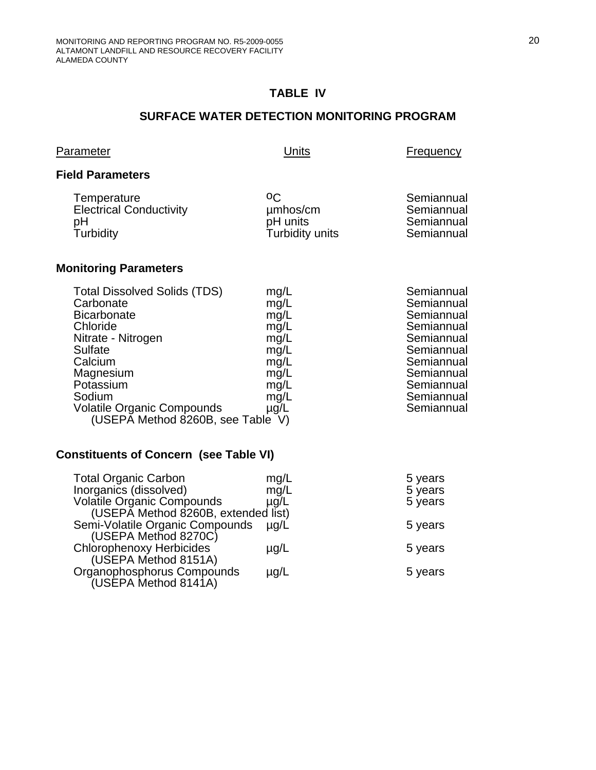## **TABLE IV**

#### **SURFACE WATER DETECTION MONITORING PROGRAM**

| Parameter                                                                          | Units                                         | Frequency                                            |
|------------------------------------------------------------------------------------|-----------------------------------------------|------------------------------------------------------|
| <b>Field Parameters</b>                                                            |                                               |                                                      |
| Temperature<br><b>Electrical Conductivity</b><br>рH<br>Turbidity                   | οC<br>umhos/cm<br>pH units<br>Turbidity units | Semiannual<br>Semiannual<br>Semiannual<br>Semiannual |
| <b>Monitoring Parameters</b>                                                       |                                               |                                                      |
| <b>Total Dissolved Solids (TDS)</b><br>Carbonate<br><b>Bicarbonate</b><br>Chloride | mg/L<br>mg/L<br>mg/L<br>mg/L                  | Semiannual<br>Semiannual<br>Semiannual<br>Semiannual |

# Nitrate - Nitrogen mg/L mg/L Semiannual Nitrate - Nitrogen mg/L<br>
Sulfate mg/L Semiannual<br>
Calcium mg/L Semiannual<br>
Calcium mg/L Semiannual mg/L<br>mg/L Semiannual<br>Semiannual Magnesium mg/L<br>Potassium mg/L Potassium mg/L mg/L Semiannual<br>Sodium mg/L Semiannual Volatile Organic Compounds  $\mu$ g/L Semiannual (USEPA Method 8260B, see Table V)

#### **Constituents of Concern (see Table VI)**

| <b>Total Organic Carbon</b><br>Inorganics (dissolved) | mg/L<br>mg/L | 5 years<br>5 years |
|-------------------------------------------------------|--------------|--------------------|
| <b>Volatile Organic Compounds</b>                     | $\mu$ g/L    | 5 years            |
| (USEPĂ Method 8260B, extended list)                   |              |                    |
| Semi-Volatile Organic Compounds                       | $\mu q/L$    | 5 years            |
| (USEPA Method 8270C)                                  |              |                    |
| <b>Chlorophenoxy Herbicides</b>                       | $\mu$ g/L    | 5 years            |
| (USEPA Method 8151A)                                  |              |                    |
| Organophosphorus Compounds                            | $\mu$ g/L    | 5 years            |
| (USEPA Method 8141A)                                  |              |                    |

Semiannual<br>Semiannual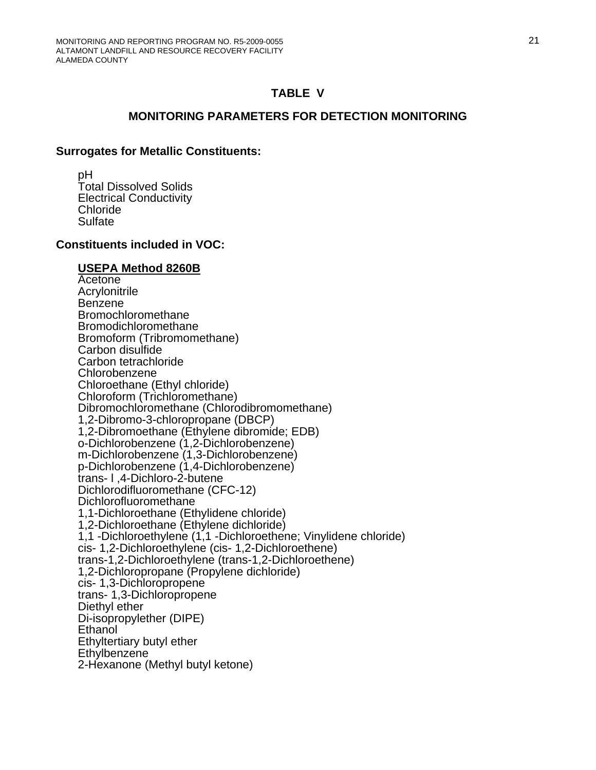#### **TABLE V**

#### **MONITORING PARAMETERS FOR DETECTION MONITORING**

#### **Surrogates for Metallic Constituents:**

 pH Total Dissolved Solids Electrical Conductivity Chloride **Sulfate** 

#### **Constituents included in VOC:**

#### **USEPA Method 8260B**

 Acetone **Acrylonitrile**  Benzene Bromochloromethane Bromodichloromethane Bromoform (Tribromomethane) Carbon disulfide Carbon tetrachloride Chlorobenzene Chloroethane (Ethyl chloride) Chloroform (Trichloromethane) Dibromochloromethane (Chlorodibromomethane) 1,2-Dibromo-3-chloropropane (DBCP) 1,2-Dibromoethane (Ethylene dibromide; EDB) o-Dichlorobenzene (1,2-Dichlorobenzene) m-Dichlorobenzene (1,3-Dichlorobenzene) p-Dichlorobenzene (1,4-Dichlorobenzene) trans- l ,4-Dichloro-2-butene Dichlorodifluoromethane (CFC-12) Dichlorofluoromethane 1,1-Dichloroethane (Ethylidene chloride) 1,2-Dichloroethane (Ethylene dichloride) 1,1 -Dichloroethylene (1,1 -Dichloroethene; Vinylidene chloride) cis- 1,2-Dichloroethylene (cis- 1,2-Dichloroethene) trans-1,2-Dichloroethylene (trans-1,2-Dichloroethene) 1,2-Dichloropropane (Propylene dichloride) cis- 1,3-Dichloropropene trans- 1,3-Dichloropropene Diethyl ether Di-isopropylether (DIPE) Ethanol Ethyltertiary butyl ether **Ethylbenzene** 2-Hexanone (Methyl butyl ketone)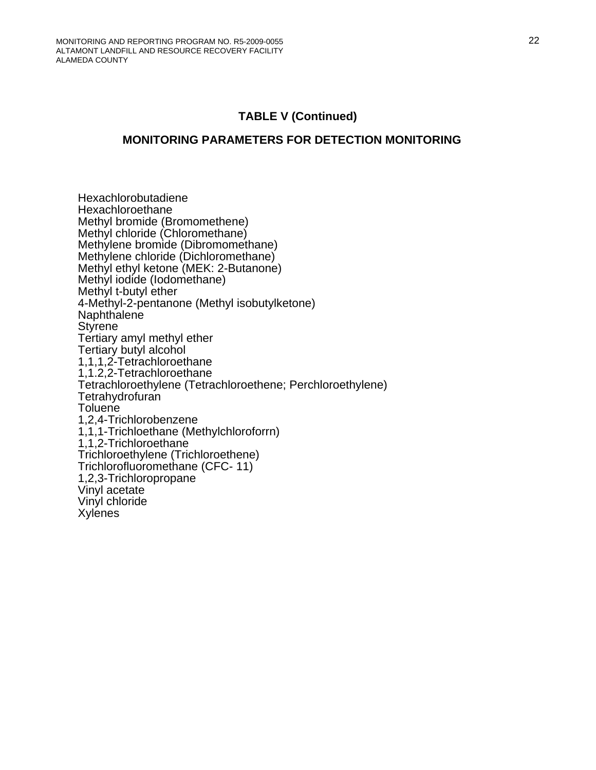# **TABLE V (Continued)**

#### **MONITORING PARAMETERS FOR DETECTION MONITORING**

 Hexachlorobutadiene Hexachloroethane Methyl bromide (Bromomethene) Methyl chloride (Chloromethane) Methylene bromide (Dibromomethane) Methylene chloride (Dichloromethane) Methyl ethyl ketone (MEK: 2-Butanone) Methyl iodide (Iodomethane) Methyl t-butyl ether 4-Methyl-2-pentanone (Methyl isobutylketone) **Naphthalene Styrene**  Tertiary amyl methyl ether Tertiary butyl alcohol 1,1,1,2-Tetrachloroethane 1,1.2,2-Tetrachloroethane Tetrachloroethylene (Tetrachloroethene; Perchloroethylene) **Tetrahydrofuran Toluene**  1,2,4-Trichlorobenzene 1,1,1-Trichloethane (Methylchloroforrn) 1,1,2-Trichloroethane Trichloroethylene (Trichloroethene) Trichlorofluoromethane (CFC- 11) 1,2,3-Trichloropropane Vinyl acetate Vinyl chloride **Xylenes**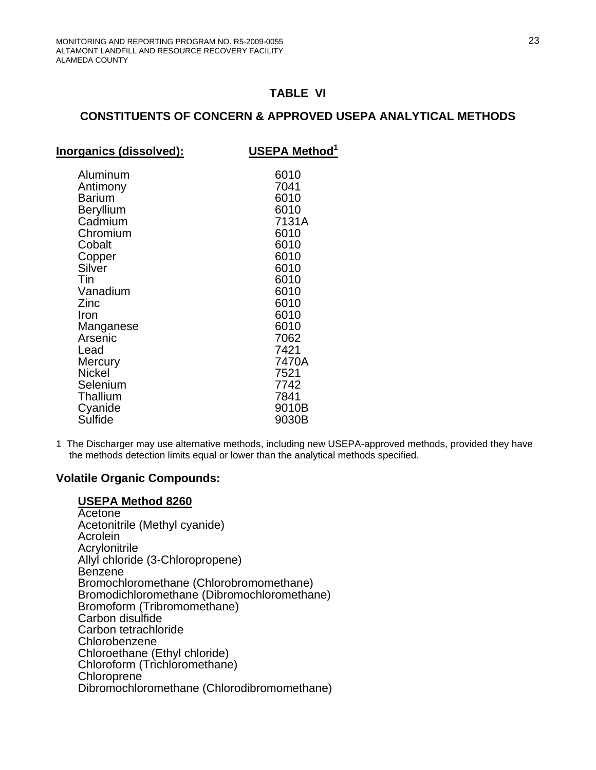## **TABLE VI**

## **CONSTITUENTS OF CONCERN & APPROVED USEPA ANALYTICAL METHODS**

| Inorganics (dissolved): | <b>USEPA Method</b> <sup>1</sup> |
|-------------------------|----------------------------------|
|                         |                                  |
| Aluminum                | 6010                             |
| Antimony                | 7041                             |
| <b>Barium</b>           | 6010                             |
| <b>Beryllium</b>        | 6010                             |
| Cadmium                 | 7131A                            |
| Chromium                | 6010                             |
| Cobalt                  | 6010                             |
| Copper                  | 6010                             |
| Silver                  | 6010                             |
| Tin                     | 6010                             |
| Vanadium                | 6010                             |
| Zinc                    | 6010                             |
| Iron                    | 6010                             |
| Manganese               | 6010                             |
| Arsenic                 | 7062                             |
| Lead                    | 7421                             |
| Mercury                 | 7470A                            |
| <b>Nickel</b>           | 7521                             |
| Selenium                | 7742                             |
| Thallium                | 7841                             |
| Cyanide                 | 9010B                            |
| Sulfide                 | 9030B                            |
|                         |                                  |

1 The Discharger may use alternative methods, including new USEPA-approved methods, provided they have the methods detection limits equal or lower than the analytical methods specified.

#### **Volatile Organic Compounds:**

#### **USEPA Method 8260**

**Acetone**  Acetonitrile (Methyl cyanide) Acrolein **Acrylonitrile**  Allyl chloride (3-Chloropropene) Benzene Bromochloromethane (Chlorobromomethane) Bromodichloromethane (Dibromochloromethane) Bromoform (Tribromomethane) Carbon disulfide Carbon tetrachloride Chlorobenzene Chloroethane (Ethyl chloride) Chloroform (Trichloromethane) Chloroprene Dibromochloromethane (Chlorodibromomethane)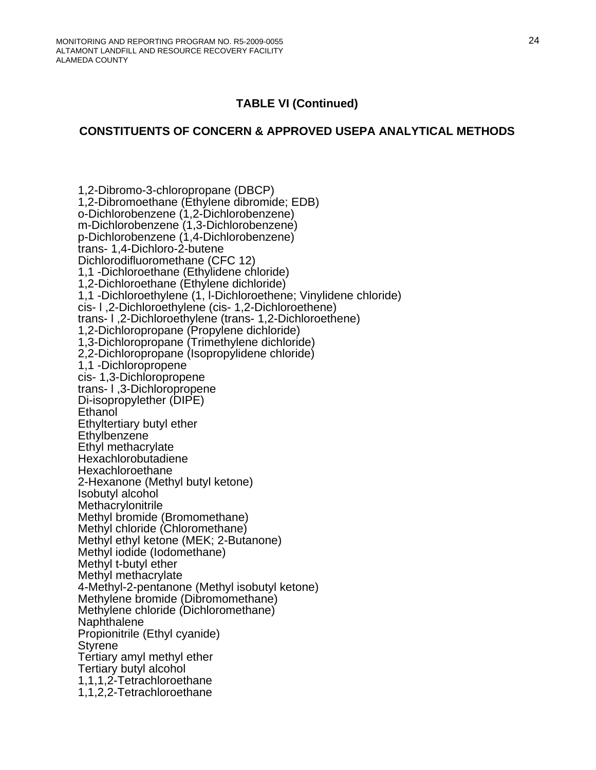# **CONSTITUENTS OF CONCERN & APPROVED USEPA ANALYTICAL METHODS**

 1,2-Dibromo-3-chloropropane (DBCP) 1,2-Dibromoethane (Ethylene dibromide; EDB) o-Dichlorobenzene (1,2-Dichlorobenzene) m-Dichlorobenzene (1,3-Dichlorobenzene) p-Dichlorobenzene (1,4-Dichlorobenzene) trans- 1,4-Dichloro-2-butene Dichlorodifluoromethane (CFC 12) 1,1 -Dichloroethane (Ethylidene chloride) 1,2-Dichloroethane (Ethylene dichloride) 1,1 -Dichloroethylene (1, l-Dichloroethene; Vinylidene chloride) cis- l ,2-Dichloroethylene (cis- 1,2-Dichloroethene) trans- l ,2-Dichloroethylene (trans- 1,2-Dichloroethene) 1,2-Dichloropropane (Propylene dichloride) 1,3-Dichloropropane (Trimethylene dichloride) 2,2-Dichloropropane (Isopropylidene chloride) 1,1 -Dichloropropene cis- 1,3-Dichloropropene trans- l ,3-Dichloropropene Di-isopropylether (DIPE) Ethanol Ethyltertiary butyl ether Ethylbenzene Ethyl methacrylate Hexachlorobutadiene Hexachloroethane 2-Hexanone (Methyl butyl ketone) Isobutyl alcohol Methacrylonitrile Methyl bromide (Bromomethane) Methyl chloride (Chloromethane) Methyl ethyl ketone (MEK; 2-Butanone) Methyl iodide (Iodomethane) Methyl t-butyl ether Methyl methacrylate 4-Methyl-2-pentanone (Methyl isobutyl ketone) Methylene bromide (Dibromomethane) Methylene chloride (Dichloromethane) Naphthalene Propionitrile (Ethyl cyanide) Styrene Tertiary amyl methyl ether Tertiary butyl alcohol 1,1,1,2-Tetrachloroethane 1,1,2,2-Tetrachloroethane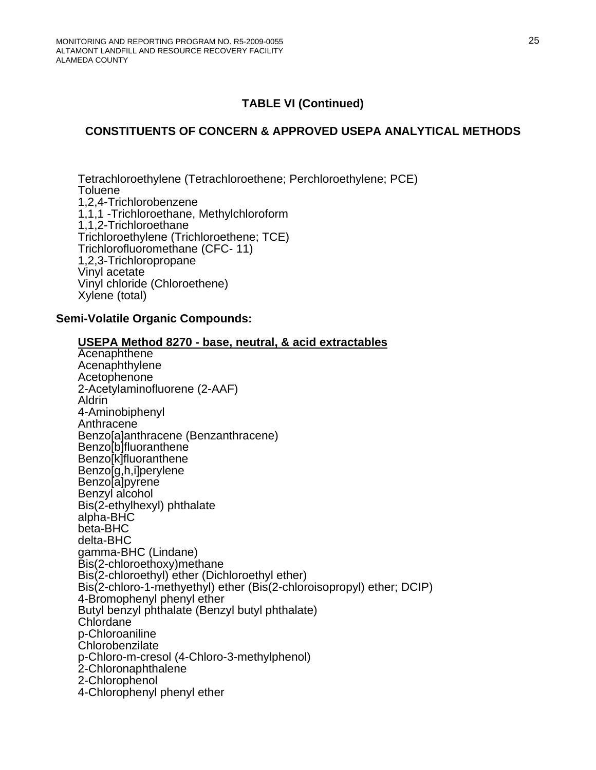## **CONSTITUENTS OF CONCERN & APPROVED USEPA ANALYTICAL METHODS**

 Tetrachloroethylene (Tetrachloroethene; Perchloroethylene; PCE) **Toluene**  1,2,4-Trichlorobenzene 1,1,1 -Trichloroethane, Methylchloroform 1,1,2-Trichloroethane Trichloroethylene (Trichloroethene; TCE) Trichlorofluoromethane (CFC- 11) 1,2,3-Trichloropropane Vinyl acetate Vinyl chloride (Chloroethene) Xylene (total)

#### **Semi-Volatile Organic Compounds:**

| USEPA Method 8270 - base, neutral, & acid extractables                |
|-----------------------------------------------------------------------|
| Acenaphthene                                                          |
| Acenaphthylene                                                        |
| Acetophenone                                                          |
| 2-Acetylaminofluorene (2-AAF)                                         |
| Aldrin                                                                |
| 4-Aminobiphenyl                                                       |
| Anthracene                                                            |
| Benzo[a]anthracene (Benzanthracene)                                   |
| Benzo <sup>[b]fluoranthene</sup>                                      |
| Benzo <sup>[k]fluoranthene</sup>                                      |
| Benzo[g,h,i]perylene                                                  |
| Benzo[a]pyrene                                                        |
| Benzyl alcohol                                                        |
| Bis(2-ethylhexyl) phthalate<br>alpha-BHC                              |
| beta-BHC                                                              |
| delta-BHC                                                             |
| gamma-BHC (Lindane)                                                   |
| Bis(2-chloroethoxy) methane                                           |
| Bis(2-chloroethyl) ether (Dichloroethyl ether)                        |
| Bis(2-chloro-1-methyethyl) ether (Bis(2-chloroisopropyl) ether; DCIP) |
| 4-Bromophenyl phenyl ether                                            |
| Butyl benzyl phthalate (Benzyl butyl phthalate)                       |
| Chlordane                                                             |
| p-Chloroaniline                                                       |
| Chlorobenzilate                                                       |
| p-Chloro-m-cresol (4-Chloro-3-methylphenol)                           |
| 2-Chloronaphthalene                                                   |
| 2-Chlorophenol                                                        |
| 4-Chlorophenyl phenyl ether                                           |
|                                                                       |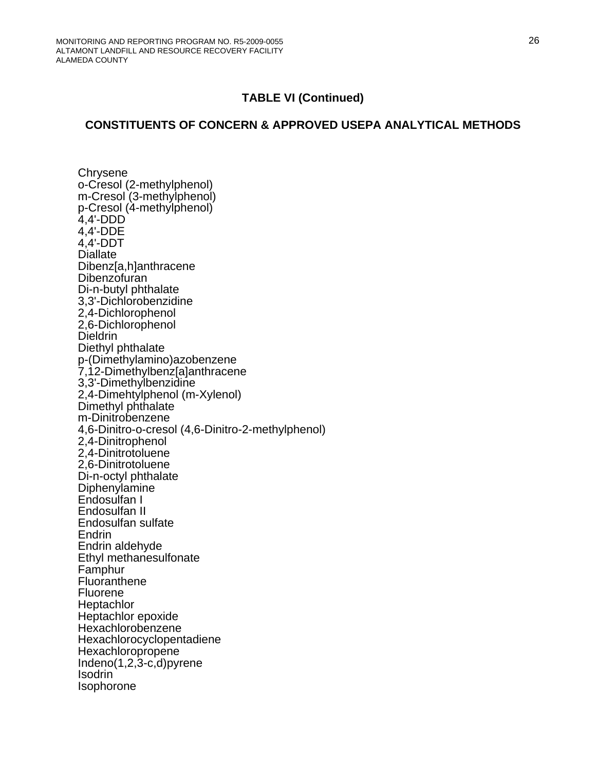## **CONSTITUENTS OF CONCERN & APPROVED USEPA ANALYTICAL METHODS**

**Chrysene** o-Cresol (2-methylphenol) m-Cresol (3-methylphenol) p-Cresol (4-methylphenol) 4,4'-DDD 4,4'-DDE 4,4'-DDT **Diallate**  Dibenz[a,h]anthracene **Dibenzofuran**  Di-n-butyl phthalate 3,3'-Dichlorobenzidine 2,4-Dichlorophenol 2,6-Dichlorophenol **Dieldrin**  Diethyl phthalate p-(Dimethylamino)azobenzene 7,12-Dimethylbenz[a]anthracene 3,3'-Dimethylbenzidine 2,4-Dimehtylphenol (m-Xylenol) Dimethyl phthalate m-Dinitrobenzene 4,6-Dinitro-o-cresol (4,6-Dinitro-2-methylphenol) 2,4-Dinitrophenol 2,4-Dinitrotoluene 2,6-Dinitrotoluene Di-n-octyl phthalate Diphenylamine Endosulfan I Endosulfan II Endosulfan sulfate Endrin Endrin aldehyde Ethyl methanesulfonate Famphur Fluoranthene Fluorene **Heptachlor**  Heptachlor epoxide Hexachlorobenzene Hexachlorocyclopentadiene Hexachloropropene Indeno(1,2,3-c,d)pyrene Isodrin Isophorone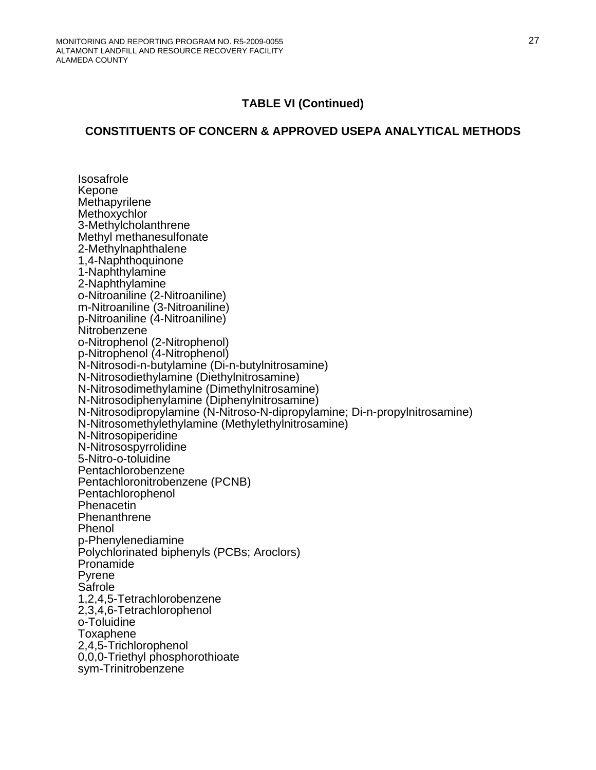### **CONSTITUENTS OF CONCERN & APPROVED USEPA ANALYTICAL METHODS**

 Isosafrole Kepone Methapyrilene **Methoxychlor**  3-Methylcholanthrene Methyl methanesulfonate 2-Methylnaphthalene 1,4-Naphthoquinone 1-Naphthylamine 2-Naphthylamine o-Nitroaniline (2-Nitroaniline) m-Nitroaniline (3-Nitroaniline) p-Nitroaniline (4-Nitroaniline) **Nitrobenzene**  o-Nitrophenol (2-Nitrophenol) p-Nitrophenol (4-Nitrophenol) N-Nitrosodi-n-butylamine (Di-n-butylnitrosamine) N-Nitrosodiethylamine (Diethylnitrosamine) N-Nitrosodimethylamine (Dimethylnitrosamine) N-Nitrosodiphenylamine (Diphenylnitrosamine) N-Nitrosodipropylamine (N-Nitroso-N-dipropylamine; Di-n-propylnitrosamine) N-Nitrosomethylethylamine (Methylethylnitrosamine) N-Nitrosopiperidine N-Nitrosospyrrolidine 5-Nitro-o-toluidine Pentachlorobenzene Pentachloronitrobenzene (PCNB) Pentachlorophenol Phenacetin **Phenanthrene** Phenol p-Phenylenediamine Polychlorinated biphenyls (PCBs; Aroclors) Pronamide Pyrene Safrole 1,2,4,5-Tetrachlorobenzene 2,3,4,6-Tetrachlorophenol o-Toluidine Toxaphene 2,4,5-Trichlorophenol 0,0,0-Triethyl phosphorothioate sym-Trinitrobenzene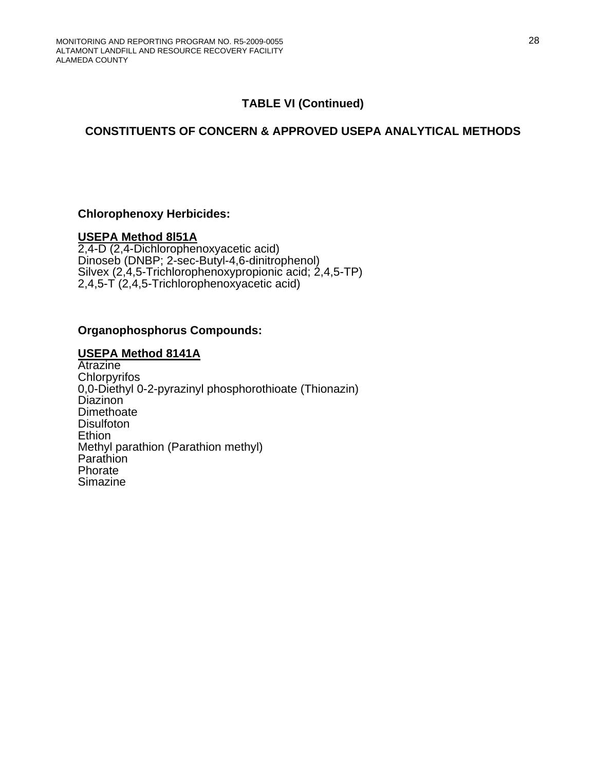# **CONSTITUENTS OF CONCERN & APPROVED USEPA ANALYTICAL METHODS**

### **Chlorophenoxy Herbicides:**

#### **USEPA Method 8l51A**

2,4-D (2,4-Dichlorophenoxyacetic acid) Dinoseb (DNBP; 2-sec-Butyl-4,6-dinitrophenol) Silvex (2,4,5-Trichlorophenoxypropionic acid; 2,4,5-TP) 2,4,5-T (2,4,5-Trichlorophenoxyacetic acid)

### **Organophosphorus Compounds:**

#### **USEPA Method 8141A**

**Atrazine Chlorpyrifos** 0,0-Diethyl 0-2-pyrazinyl phosphorothioate (Thionazin) Diazinon **Dimethoate Disulfoton Ethion**  Methyl parathion (Parathion methyl) Parathion **Phorate** Simazine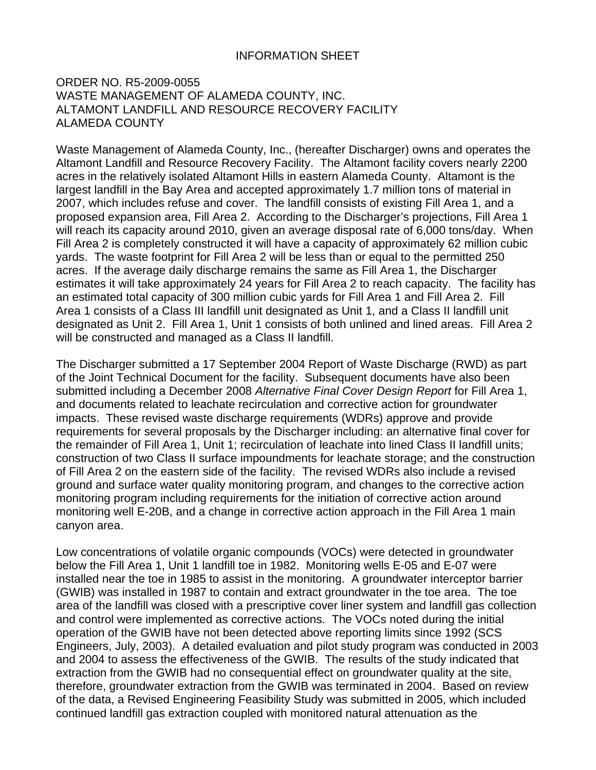## INFORMATION SHEET

#### ORDER NO. R5-2009-0055 WASTE MANAGEMENT OF ALAMEDA COUNTY, INC. ALTAMONT LANDFILL AND RESOURCE RECOVERY FACILITY ALAMEDA COUNTY

Waste Management of Alameda County, Inc., (hereafter Discharger) owns and operates the Altamont Landfill and Resource Recovery Facility. The Altamont facility covers nearly 2200 acres in the relatively isolated Altamont Hills in eastern Alameda County. Altamont is the largest landfill in the Bay Area and accepted approximately 1.7 million tons of material in 2007, which includes refuse and cover. The landfill consists of existing Fill Area 1, and a proposed expansion area, Fill Area 2. According to the Discharger's projections, Fill Area 1 will reach its capacity around 2010, given an average disposal rate of 6,000 tons/day. When Fill Area 2 is completely constructed it will have a capacity of approximately 62 million cubic yards. The waste footprint for Fill Area 2 will be less than or equal to the permitted 250 acres. If the average daily discharge remains the same as Fill Area 1, the Discharger estimates it will take approximately 24 years for Fill Area 2 to reach capacity. The facility has an estimated total capacity of 300 million cubic yards for Fill Area 1 and Fill Area 2. Fill Area 1 consists of a Class III landfill unit designated as Unit 1, and a Class II landfill unit designated as Unit 2. Fill Area 1, Unit 1 consists of both unlined and lined areas. Fill Area 2 will be constructed and managed as a Class II landfill.

The Discharger submitted a 17 September 2004 Report of Waste Discharge (RWD) as part of the Joint Technical Document for the facility. Subsequent documents have also been submitted including a December 2008 *Alternative Final Cover Design Report* for Fill Area 1, and documents related to leachate recirculation and corrective action for groundwater impacts. These revised waste discharge requirements (WDRs) approve and provide requirements for several proposals by the Discharger including: an alternative final cover for the remainder of Fill Area 1, Unit 1; recirculation of leachate into lined Class II landfill units; construction of two Class II surface impoundments for leachate storage; and the construction of Fill Area 2 on the eastern side of the facility. The revised WDRs also include a revised ground and surface water quality monitoring program, and changes to the corrective action monitoring program including requirements for the initiation of corrective action around monitoring well E-20B, and a change in corrective action approach in the Fill Area 1 main canyon area.

Low concentrations of volatile organic compounds (VOCs) were detected in groundwater below the Fill Area 1, Unit 1 landfill toe in 1982. Monitoring wells E-05 and E-07 were installed near the toe in 1985 to assist in the monitoring. A groundwater interceptor barrier (GWIB) was installed in 1987 to contain and extract groundwater in the toe area. The toe area of the landfill was closed with a prescriptive cover liner system and landfill gas collection and control were implemented as corrective actions. The VOCs noted during the initial operation of the GWIB have not been detected above reporting limits since 1992 (SCS Engineers, July, 2003). A detailed evaluation and pilot study program was conducted in 2003 and 2004 to assess the effectiveness of the GWIB. The results of the study indicated that extraction from the GWIB had no consequential effect on groundwater quality at the site, therefore, groundwater extraction from the GWIB was terminated in 2004. Based on review of the data, a Revised Engineering Feasibility Study was submitted in 2005, which included continued landfill gas extraction coupled with monitored natural attenuation as the